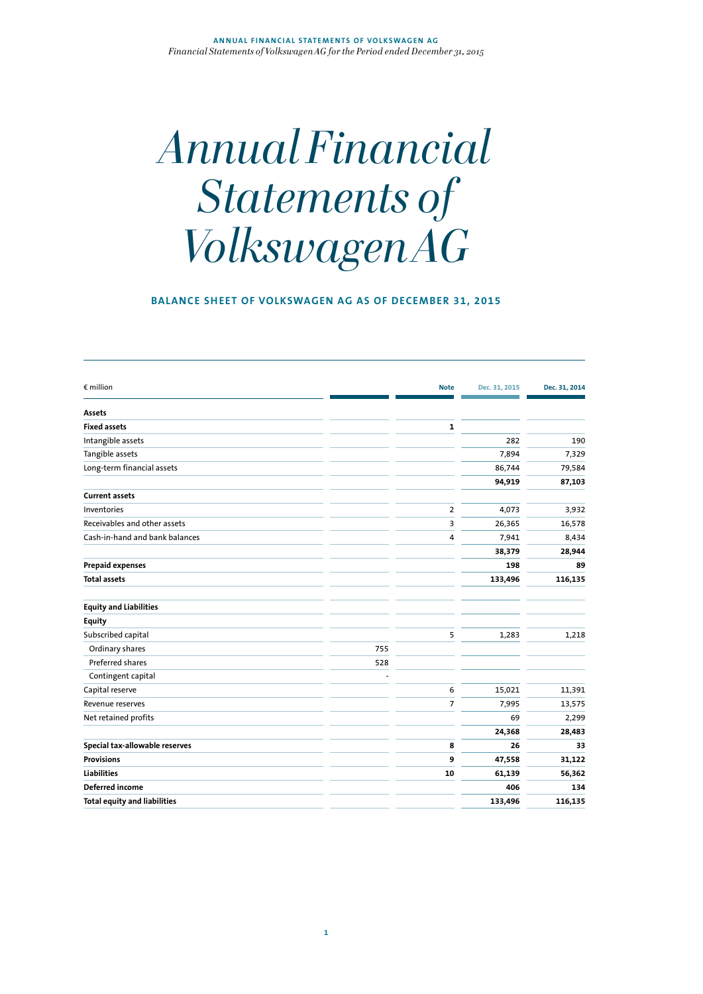# *Annual Financial Statements of Volkswagen AG*

# **BALANCE SHEET OF VOLKSWAGEN AG AS OF DECEMBER 31, 2015**

| $\epsilon$ million                  |     | <b>Note</b>    | Dec. 31, 2015 | Dec. 31, 2014 |
|-------------------------------------|-----|----------------|---------------|---------------|
| Assets                              |     |                |               |               |
| <b>Fixed assets</b>                 |     | 1              |               |               |
| Intangible assets                   |     |                | 282           | 190           |
| Tangible assets                     |     |                | 7,894         | 7,329         |
| Long-term financial assets          |     |                | 86,744        | 79,584        |
|                                     |     |                | 94,919        | 87,103        |
| <b>Current assets</b>               |     |                |               |               |
| Inventories                         |     | $\overline{2}$ | 4,073         | 3,932         |
| Receivables and other assets        |     | 3              | 26,365        | 16,578        |
| Cash-in-hand and bank balances      |     | 4              | 7,941         | 8,434         |
|                                     |     |                | 38,379        | 28,944        |
| <b>Prepaid expenses</b>             |     |                | 198           | 89            |
| <b>Total assets</b>                 |     |                | 133,496       | 116,135       |
| <b>Equity and Liabilities</b>       |     |                |               |               |
| <b>Equity</b>                       |     |                |               |               |
| Subscribed capital                  |     | 5              | 1,283         | 1,218         |
| Ordinary shares                     | 755 |                |               |               |
| Preferred shares                    | 528 |                |               |               |
| Contingent capital                  |     |                |               |               |
| Capital reserve                     |     | 6              | 15,021        | 11,391        |
| Revenue reserves                    |     | $\overline{7}$ | 7,995         | 13,575        |
| Net retained profits                |     |                | 69            | 2,299         |
|                                     |     |                | 24,368        | 28,483        |
| Special tax-allowable reserves      |     | 8              | 26            | 33            |
| <b>Provisions</b>                   |     | 9              | 47,558        | 31,122        |
| <b>Liabilities</b>                  |     | 10             | 61,139        | 56,362        |
| Deferred income                     |     |                | 406           | 134           |
| <b>Total equity and liabilities</b> |     |                | 133,496       | 116,135       |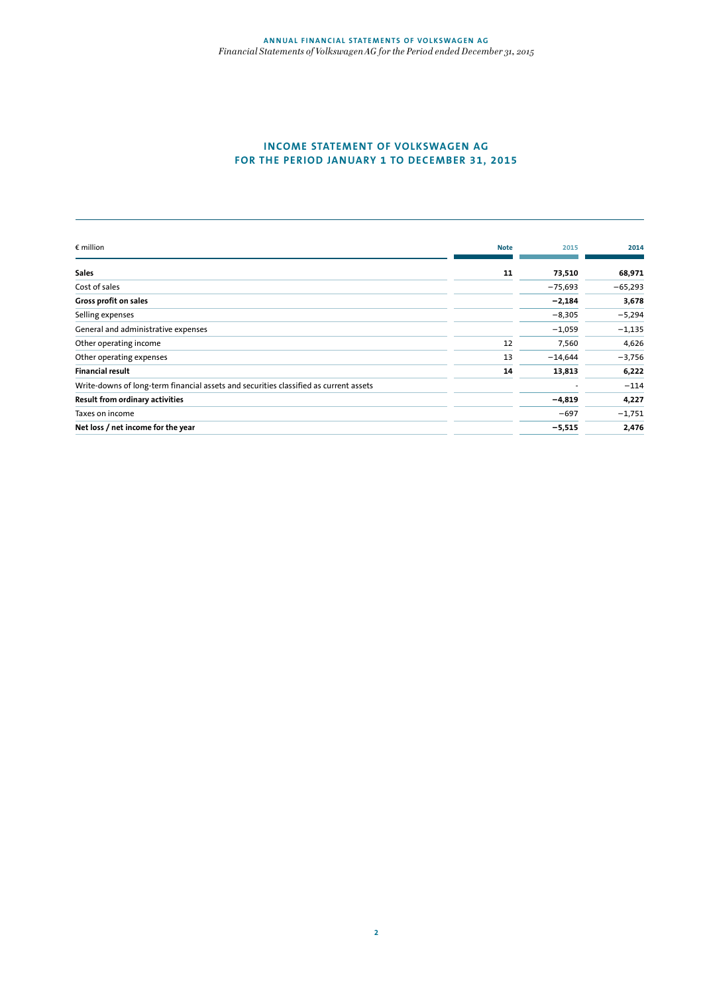# **INCOME STATEMENT OF VOLKSWAGEN AG FOR THE PERIOD JANUARY 1 TO DECEMBER 31, 2015**

| $\epsilon$ million                                                                    | <b>Note</b> | 2015      | 2014      |
|---------------------------------------------------------------------------------------|-------------|-----------|-----------|
| <b>Sales</b>                                                                          | 11          | 73,510    | 68,971    |
| Cost of sales                                                                         |             | $-75,693$ | $-65,293$ |
| Gross profit on sales                                                                 |             | $-2,184$  | 3,678     |
| Selling expenses                                                                      |             | $-8,305$  | $-5,294$  |
| General and administrative expenses                                                   |             | $-1,059$  | $-1,135$  |
| Other operating income                                                                | 12          | 7,560     | 4,626     |
| Other operating expenses                                                              | 13          | $-14,644$ | $-3,756$  |
| <b>Financial result</b>                                                               | 14          | 13,813    | 6,222     |
| Write-downs of long-term financial assets and securities classified as current assets |             |           | $-114$    |
| Result from ordinary activities                                                       |             | $-4,819$  | 4,227     |
| Taxes on income                                                                       |             | $-697$    | $-1,751$  |
| Net loss / net income for the year                                                    |             | $-5,515$  | 2,476     |
|                                                                                       |             |           |           |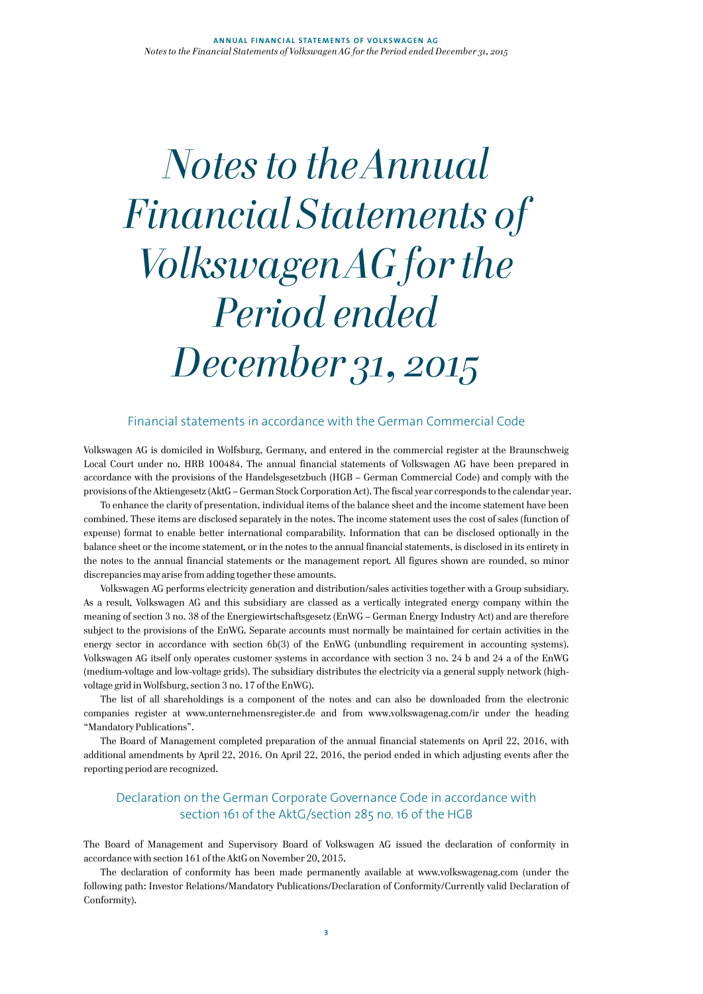# *Notes to the Annual Financial Statements of Volkswagen AG for the Period ended December 31, 2015*

# Financial statements in accordance with the German Commercial Code

Volkswagen AG is domiciled in Wolfsburg, Germany, and entered in the commercial register at the Braunschweig Local Court under no. HRB 100484. The annual financial statements of Volkswagen AG have been prepared in accordance with the provisions of the Handelsgesetzbuch (HGB – German Commercial Code) and comply with the provisions of the Aktiengesetz (AktG – German Stock Corporation Act). The fiscal year corresponds to the calendar year.

To enhance the clarity of presentation, individual items of the balance sheet and the income statement have been combined. These items are disclosed separately in the notes. The income statement uses the cost of sales (function of expense) format to enable better international comparability. Information that can be disclosed optionally in the balance sheet or the income statement, or in the notes to the annual financial statements, is disclosed in its entirety in the notes to the annual financial statements or the management report. All figures shown are rounded, so minor discrepancies may arise from adding together these amounts.

Volkswagen AG performs electricity generation and distribution/sales activities together with a Group subsidiary. As a result, Volkswagen AG and this subsidiary are classed as a vertically integrated energy company within the meaning of section 3 no. 38 of the Energiewirtschaftsgesetz (EnWG – German Energy Industry Act) and are therefore subject to the provisions of the EnWG. Separate accounts must normally be maintained for certain activities in the energy sector in accordance with section 6b(3) of the EnWG (unbundling requirement in accounting systems). Volkswagen AG itself only operates customer systems in accordance with section 3 no. 24 b and 24 a of the EnWG (medium-voltage and low-voltage grids). The subsidiary distributes the electricity via a general supply network (highvoltage grid in Wolfsburg, section 3 no. 17 of the EnWG).

The list of all shareholdings is a component of the notes and can also be downloaded from the electronic companies register at www.unternehmensregister.de and from www.volkswagenag.com/ir under the heading "Mandatory Publications".

The Board of Management completed preparation of the annual financial statements on April 22, 2016, with additional amendments by April 22, 2016. On April 22, 2016, the period ended in which adjusting events after the reporting period are recognized.

# Declaration on the German Corporate Governance Code in accordance with section 161 of the AktG/section 285 no. 16 of the HGB

The Board of Management and Supervisory Board of Volkswagen AG issued the declaration of conformity in accordance with section 161 of the AktG on November 20, 2015.

The declaration of conformity has been made permanently available at www.volkswagenag.com (under the following path: Investor Relations/Mandatory Publications/Declaration of Conformity/Currently valid Declaration of Conformity).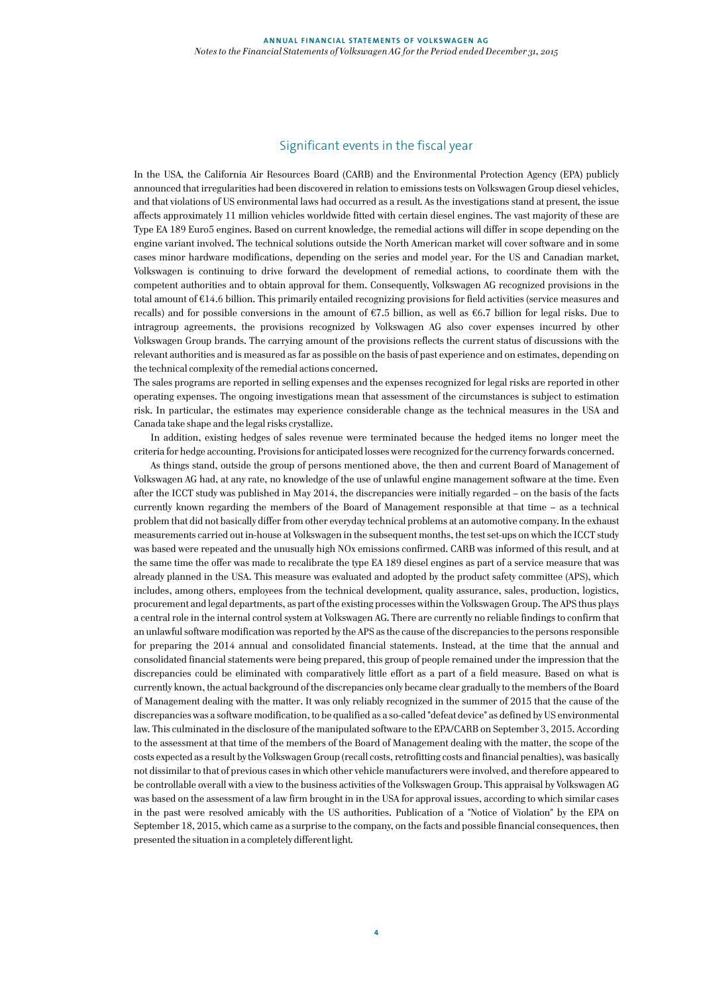# Significant events in the fiscal year

In the USA, the California Air Resources Board (CARB) and the Environmental Protection Agency (EPA) publicly announced that irregularities had been discovered in relation to emissions tests on Volkswagen Group diesel vehicles, and that violations of US environmental laws had occurred as a result. As the investigations stand at present, the issue affects approximately 11 million vehicles worldwide fitted with certain diesel engines. The vast majority of these are Type EA 189 Euro5 engines. Based on current knowledge, the remedial actions will differ in scope depending on the engine variant involved. The technical solutions outside the North American market will cover software and in some cases minor hardware modifications, depending on the series and model year. For the US and Canadian market, Volkswagen is continuing to drive forward the development of remedial actions, to coordinate them with the competent authorities and to obtain approval for them. Consequently, Volkswagen AG recognized provisions in the total amount of €14.6 billion. This primarily entailed recognizing provisions for field activities (service measures and recalls) and for possible conversions in the amount of  $67.5$  billion, as well as  $66.7$  billion for legal risks. Due to intragroup agreements, the provisions recognized by Volkswagen AG also cover expenses incurred by other Volkswagen Group brands. The carrying amount of the provisions reflects the current status of discussions with the relevant authorities and is measured as far as possible on the basis of past experience and on estimates, depending on the technical complexity of the remedial actions concerned.

The sales programs are reported in selling expenses and the expenses recognized for legal risks are reported in other operating expenses. The ongoing investigations mean that assessment of the circumstances is subject to estimation risk. In particular, the estimates may experience considerable change as the technical measures in the USA and Canada take shape and the legal risks crystallize.

In addition, existing hedges of sales revenue were terminated because the hedged items no longer meet the criteria for hedge accounting. Provisions for anticipated losses were recognized for the currency forwards concerned.

As things stand, outside the group of persons mentioned above, the then and current Board of Management of Volkswagen AG had, at any rate, no knowledge of the use of unlawful engine management software at the time. Even after the ICCT study was published in May 2014, the discrepancies were initially regarded – on the basis of the facts currently known regarding the members of the Board of Management responsible at that time – as a technical problem that did not basically differ from other everyday technical problems at an automotive company. In the exhaust measurements carried out in-house at Volkswagen in the subsequent months, the test set-ups on which the ICCT study was based were repeated and the unusually high NOx emissions confirmed. CARB was informed of this result, and at the same time the offer was made to recalibrate the type EA 189 diesel engines as part of a service measure that was already planned in the USA. This measure was evaluated and adopted by the product safety committee (APS), which includes, among others, employees from the technical development, quality assurance, sales, production, logistics, procurement and legal departments, as part of the existing processes within the Volkswagen Group. The APS thus plays a central role in the internal control system at Volkswagen AG. There are currently no reliable findings to confirm that an unlawful software modification was reported by the APS as the cause of the discrepancies to the persons responsible for preparing the 2014 annual and consolidated financial statements. Instead, at the time that the annual and consolidated financial statements were being prepared, this group of people remained under the impression that the discrepancies could be eliminated with comparatively little effort as a part of a field measure. Based on what is currently known, the actual background of the discrepancies only became clear gradually to the members of the Board of Management dealing with the matter. It was only reliably recognized in the summer of 2015 that the cause of the discrepancies was a software modification, to be qualified as a so-called "defeat device" as defined by US environmental law. This culminated in the disclosure of the manipulated software to the EPA/CARB on September 3, 2015. According to the assessment at that time of the members of the Board of Management dealing with the matter, the scope of the costs expected as a result by the Volkswagen Group (recall costs, retrofitting costs and financial penalties), was basically not dissimilar to that of previous cases in which other vehicle manufacturers were involved, and therefore appeared to be controllable overall with a view to the business activities of the Volkswagen Group. This appraisal by Volkswagen AG was based on the assessment of a law firm brought in in the USA for approval issues, according to which similar cases in the past were resolved amicably with the US authorities. Publication of a "Notice of Violation" by the EPA on September 18, 2015, which came as a surprise to the company, on the facts and possible financial consequences, then presented the situation in a completely different light.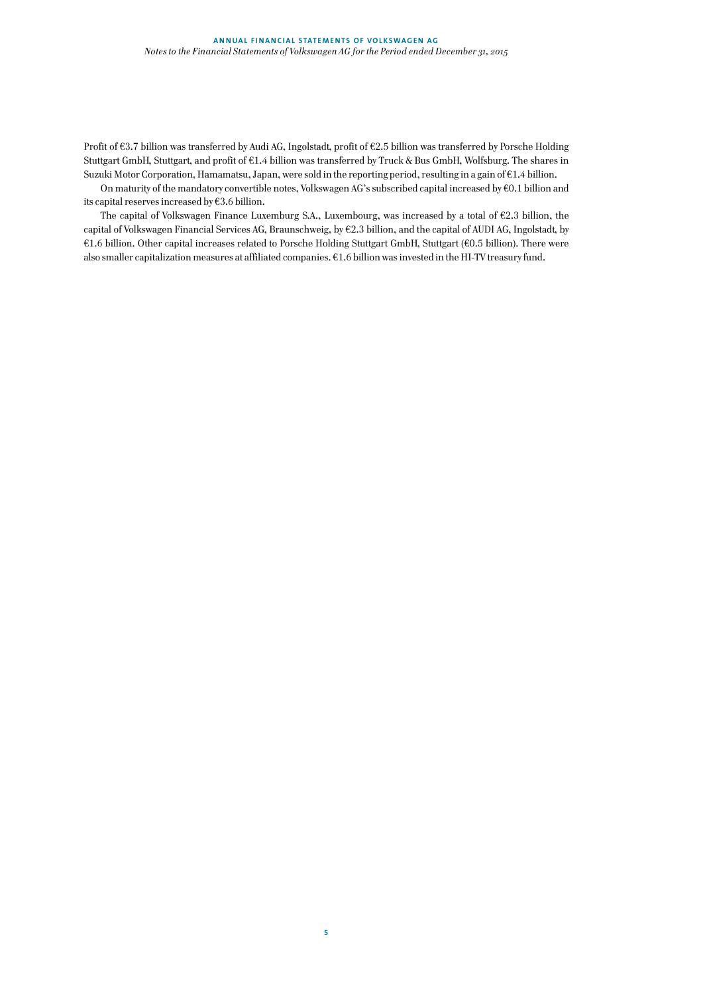Profit of €3.7 billion was transferred by Audi AG, Ingolstadt, profit of €2.5 billion was transferred by Porsche Holding Stuttgart GmbH, Stuttgart, and profit of €1.4 billion was transferred by Truck & Bus GmbH, Wolfsburg. The shares in Suzuki Motor Corporation, Hamamatsu, Japan, were sold in the reporting period, resulting in a gain of €1.4 billion.

On maturity of the mandatory convertible notes, Volkswagen AG's subscribed capital increased by €0.1 billion and its capital reserves increased by €3.6 billion.

The capital of Volkswagen Finance Luxemburg S.A., Luxembourg, was increased by a total of  $\epsilon$ 2.3 billion, the capital of Volkswagen Financial Services AG, Braunschweig, by €2.3 billion, and the capital of AUDI AG, Ingolstadt, by €1.6 billion. Other capital increases related to Porsche Holding Stuttgart GmbH, Stuttgart (€0.5 billion). There were also smaller capitalization measures at affiliated companies. €1.6 billion was invested in the HI-TV treasury fund.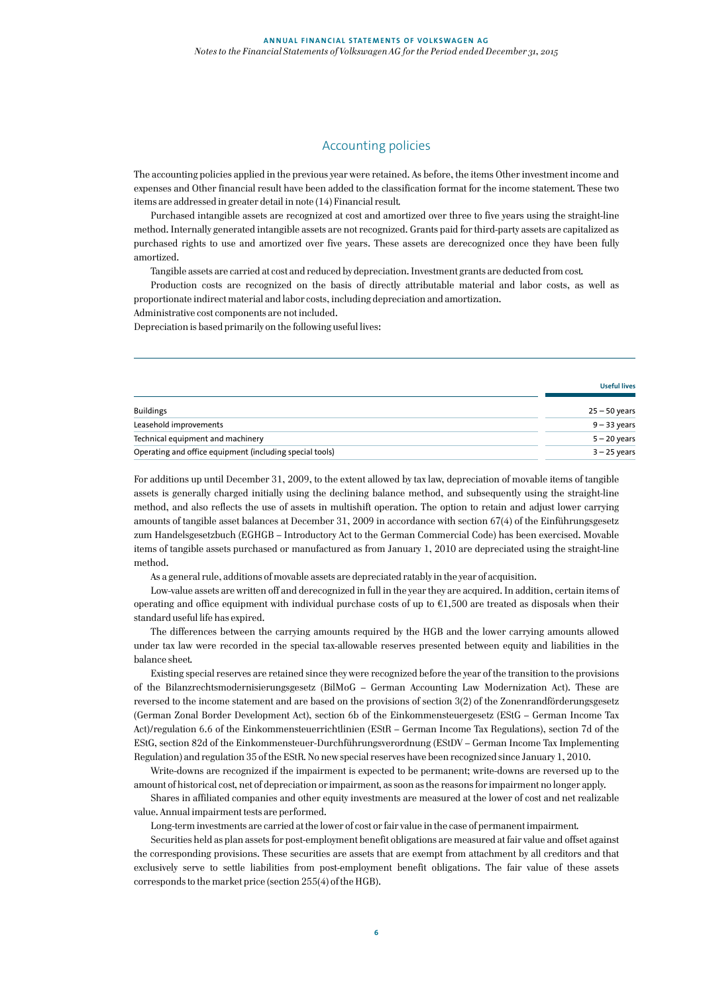# Accounting policies

The accounting policies applied in the previous year were retained. As before, the items Other investment income and expenses and Other financial result have been added to the classification format for the income statement. These two items are addressed in greater detail in note (14) Financial result.

Purchased intangible assets are recognized at cost and amortized over three to five years using the straight-line method. Internally generated intangible assets are not recognized. Grants paid for third-party assets are capitalized as purchased rights to use and amortized over five years. These assets are derecognized once they have been fully amortized.

Tangible assets are carried at cost and reduced by depreciation. Investment grants are deducted from cost.

Production costs are recognized on the basis of directly attributable material and labor costs, as well as proportionate indirect material and labor costs, including depreciation and amortization.

Administrative cost components are not included.

Depreciation is based primarily on the following useful lives:

|                                                          | <b>Useful lives</b> |
|----------------------------------------------------------|---------------------|
| <b>Buildings</b>                                         | $25 - 50$ years     |
| Leasehold improvements                                   | $9 - 33$ years      |
| Technical equipment and machinery                        | $5 - 20$ years      |
| Operating and office equipment (including special tools) | $3 - 25$ years      |

For additions up until December 31, 2009, to the extent allowed by tax law, depreciation of movable items of tangible assets is generally charged initially using the declining balance method, and subsequently using the straight-line method, and also reflects the use of assets in multishift operation. The option to retain and adjust lower carrying amounts of tangible asset balances at December 31, 2009 in accordance with section 67(4) of the Einführungsgesetz zum Handelsgesetzbuch (EGHGB – Introductory Act to the German Commercial Code) has been exercised. Movable items of tangible assets purchased or manufactured as from January 1, 2010 are depreciated using the straight-line method.

As a general rule, additions of movable assets are depreciated ratably in the year of acquisition.

Low-value assets are written off and derecognized in full in the year they are acquired. In addition, certain items of operating and office equipment with individual purchase costs of up to  $61,500$  are treated as disposals when their standard useful life has expired.

The differences between the carrying amounts required by the HGB and the lower carrying amounts allowed under tax law were recorded in the special tax-allowable reserves presented between equity and liabilities in the balance sheet.

Existing special reserves are retained since they were recognized before the year of the transition to the provisions of the Bilanzrechtsmodernisierungsgesetz (BilMoG – German Accounting Law Modernization Act). These are reversed to the income statement and are based on the provisions of section 3(2) of the Zonenrandförderungsgesetz (German Zonal Border Development Act), section 6b of the Einkommensteuergesetz (EStG – German Income Tax Act)/regulation 6.6 of the Einkommensteuerrichtlinien (EStR – German Income Tax Regulations), section 7d of the EStG, section 82d of the Einkommensteuer-Durchführungsverordnung (EStDV – German Income Tax Implementing Regulation) and regulation 35 of the EStR. No new special reserves have been recognized since January 1, 2010.

Write-downs are recognized if the impairment is expected to be permanent; write-downs are reversed up to the amount of historical cost, net of depreciation or impairment, as soon as the reasons for impairment no longer apply.

Shares in affiliated companies and other equity investments are measured at the lower of cost and net realizable value. Annual impairment tests are performed.

Long-term investments are carried at the lower of cost or fair value in the case of permanent impairment.

Securities held as plan assets for post-employment benefit obligations are measured at fair value and offset against the corresponding provisions. These securities are assets that are exempt from attachment by all creditors and that exclusively serve to settle liabilities from post-employment benefit obligations. The fair value of these assets corresponds to the market price (section 255(4) of the HGB).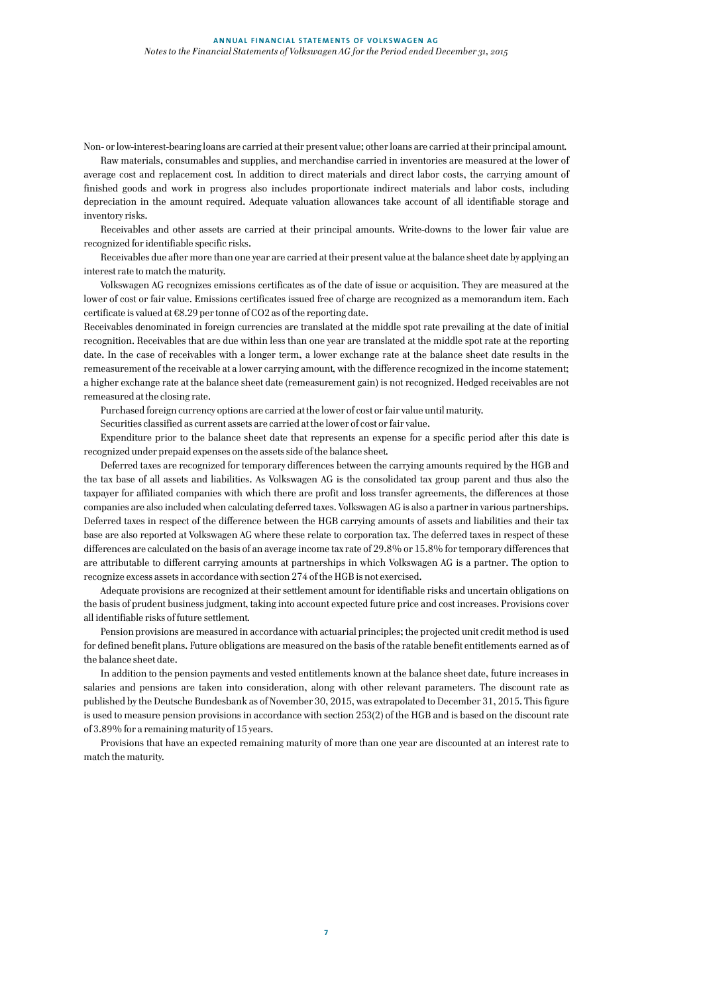Non- or low-interest-bearing loans are carried at their present value; other loans are carried at their principal amount.

Raw materials, consumables and supplies, and merchandise carried in inventories are measured at the lower of average cost and replacement cost. In addition to direct materials and direct labor costs, the carrying amount of finished goods and work in progress also includes proportionate indirect materials and labor costs, including depreciation in the amount required. Adequate valuation allowances take account of all identifiable storage and inventory risks.

Receivables and other assets are carried at their principal amounts. Write-downs to the lower fair value are recognized for identifiable specific risks.

Receivables due after more than one year are carried at their present value at the balance sheet date by applying an interest rate to match the maturity.

Volkswagen AG recognizes emissions certificates as of the date of issue or acquisition. They are measured at the lower of cost or fair value. Emissions certificates issued free of charge are recognized as a memorandum item. Each certificate is valued at  $E8.29$  per tonne of CO2 as of the reporting date.

Receivables denominated in foreign currencies are translated at the middle spot rate prevailing at the date of initial recognition. Receivables that are due within less than one year are translated at the middle spot rate at the reporting date. In the case of receivables with a longer term, a lower exchange rate at the balance sheet date results in the remeasurement of the receivable at a lower carrying amount, with the difference recognized in the income statement; a higher exchange rate at the balance sheet date (remeasurement gain) is not recognized. Hedged receivables are not remeasured at the closing rate.

Purchased foreign currency options are carried at the lower of cost or fair value until maturity.

Securities classified as current assets are carried at the lower of cost or fair value.

Expenditure prior to the balance sheet date that represents an expense for a specific period after this date is recognized under prepaid expenses on the assets side of the balance sheet.

Deferred taxes are recognized for temporary differences between the carrying amounts required by the HGB and the tax base of all assets and liabilities. As Volkswagen AG is the consolidated tax group parent and thus also the taxpayer for affiliated companies with which there are profit and loss transfer agreements, the differences at those companies are also included when calculating deferred taxes. Volkswagen AG is also a partner in various partnerships. Deferred taxes in respect of the difference between the HGB carrying amounts of assets and liabilities and their tax base are also reported at Volkswagen AG where these relate to corporation tax. The deferred taxes in respect of these differences are calculated on the basis of an average income tax rate of 29.8% or 15.8% for temporary differences that are attributable to different carrying amounts at partnerships in which Volkswagen AG is a partner. The option to recognize excess assets in accordance with section 274 of the HGB is not exercised.

Adequate provisions are recognized at their settlement amount for identifiable risks and uncertain obligations on the basis of prudent business judgment, taking into account expected future price and cost increases. Provisions cover all identifiable risks of future settlement.

Pension provisions are measured in accordance with actuarial principles; the projected unit credit method is used for defined benefit plans. Future obligations are measured on the basis of the ratable benefit entitlements earned as of the balance sheet date.

In addition to the pension payments and vested entitlements known at the balance sheet date, future increases in salaries and pensions are taken into consideration, along with other relevant parameters. The discount rate as published by the Deutsche Bundesbank as of November 30, 2015, was extrapolated to December 31, 2015. This figure is used to measure pension provisions in accordance with section 253(2) of the HGB and is based on the discount rate of 3.89% for a remaining maturity of 15 years.

Provisions that have an expected remaining maturity of more than one year are discounted at an interest rate to match the maturity.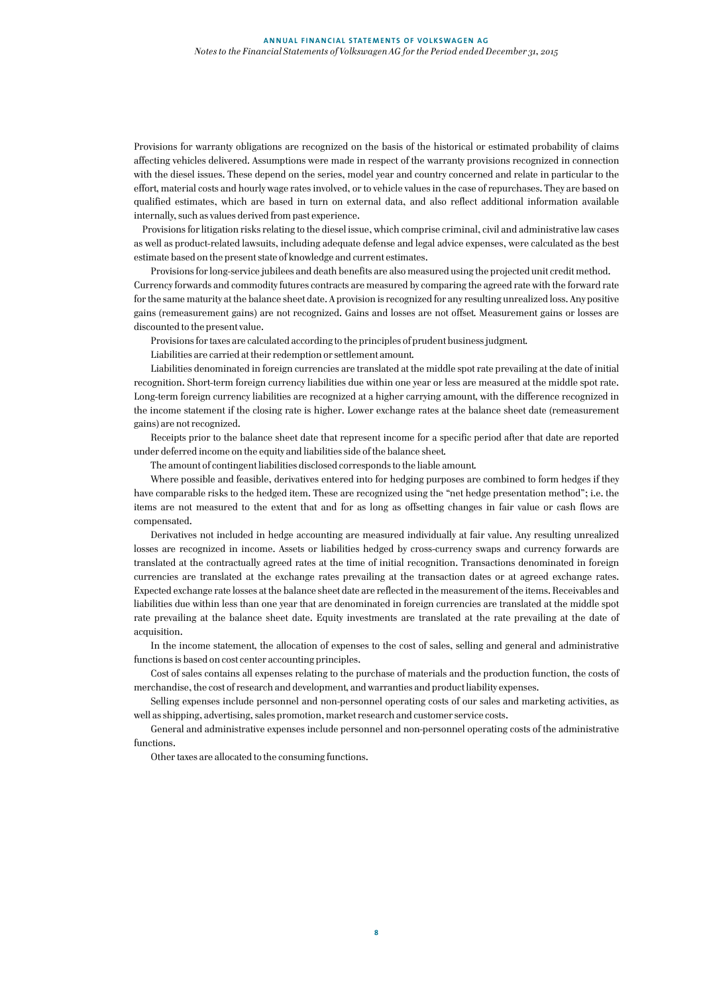Provisions for warranty obligations are recognized on the basis of the historical or estimated probability of claims affecting vehicles delivered. Assumptions were made in respect of the warranty provisions recognized in connection with the diesel issues. These depend on the series, model year and country concerned and relate in particular to the effort, material costs and hourly wage rates involved, or to vehicle values in the case of repurchases. They are based on qualified estimates, which are based in turn on external data, and also reflect additional information available internally, such as values derived from past experience.

 Provisions for litigation risks relating to the diesel issue, which comprise criminal, civil and administrative law cases as well as product-related lawsuits, including adequate defense and legal advice expenses, were calculated as the best estimate based on the present state of knowledge and current estimates.

Provisions for long-service jubilees and death benefits are also measured using the projected unit credit method. Currency forwards and commodity futures contracts are measured by comparing the agreed rate with the forward rate for the same maturity at the balance sheet date. A provision is recognized for any resulting unrealized loss. Any positive gains (remeasurement gains) are not recognized. Gains and losses are not offset. Measurement gains or losses are

discounted to the present value.

Provisions for taxes are calculated according to the principles of prudent business judgment.

Liabilities are carried at their redemption or settlement amount.

Liabilities denominated in foreign currencies are translated at the middle spot rate prevailing at the date of initial recognition. Short-term foreign currency liabilities due within one year or less are measured at the middle spot rate. Long-term foreign currency liabilities are recognized at a higher carrying amount, with the difference recognized in the income statement if the closing rate is higher. Lower exchange rates at the balance sheet date (remeasurement gains) are not recognized.

Receipts prior to the balance sheet date that represent income for a specific period after that date are reported under deferred income on the equity and liabilities side of the balance sheet.

The amount of contingent liabilities disclosed corresponds to the liable amount.

Where possible and feasible, derivatives entered into for hedging purposes are combined to form hedges if they have comparable risks to the hedged item. These are recognized using the "net hedge presentation method"; i.e. the items are not measured to the extent that and for as long as offsetting changes in fair value or cash flows are compensated.

Derivatives not included in hedge accounting are measured individually at fair value. Any resulting unrealized losses are recognized in income. Assets or liabilities hedged by cross-currency swaps and currency forwards are translated at the contractually agreed rates at the time of initial recognition. Transactions denominated in foreign currencies are translated at the exchange rates prevailing at the transaction dates or at agreed exchange rates. Expected exchange rate losses at the balance sheet date are reflected in the measurement of the items. Receivables and liabilities due within less than one year that are denominated in foreign currencies are translated at the middle spot rate prevailing at the balance sheet date. Equity investments are translated at the rate prevailing at the date of acquisition.

In the income statement, the allocation of expenses to the cost of sales, selling and general and administrative functions is based on cost center accounting principles.

Cost of sales contains all expenses relating to the purchase of materials and the production function, the costs of merchandise, the cost of research and development, and warranties and product liability expenses.

Selling expenses include personnel and non-personnel operating costs of our sales and marketing activities, as well as shipping, advertising, sales promotion, market research and customer service costs.

General and administrative expenses include personnel and non-personnel operating costs of the administrative functions.

Other taxes are allocated to the consuming functions.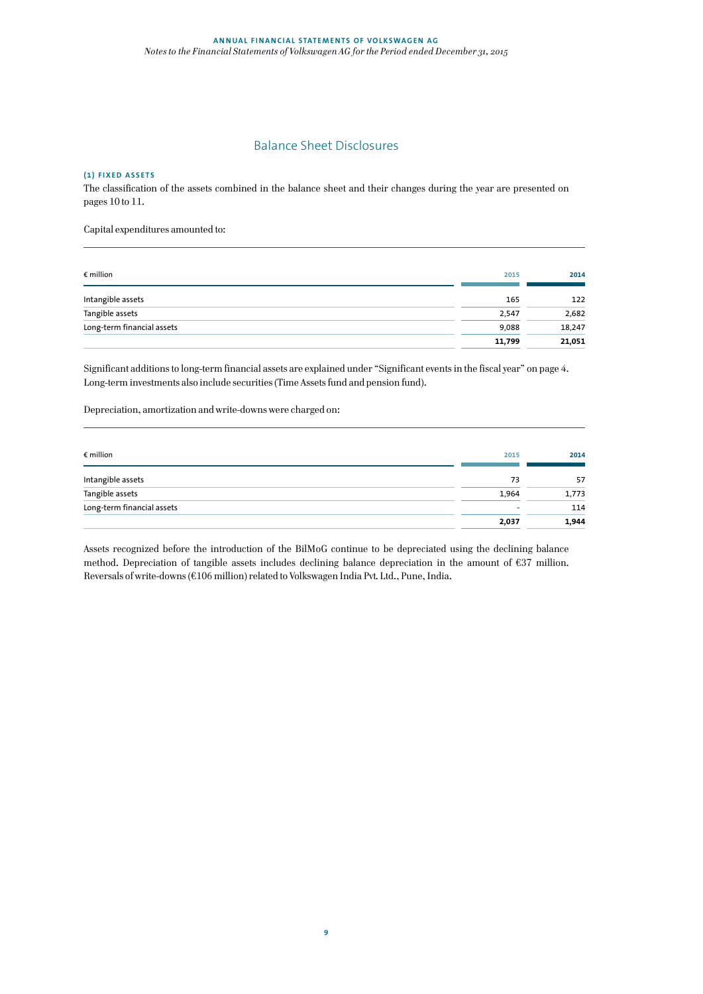# Balance Sheet Disclosures

# **(1) FIXED ASSETS**

The classification of the assets combined in the balance sheet and their changes during the year are presented on pages 10 to 11.

Capital expenditures amounted to:

| $\epsilon$ million         | 2015   | 2014   |
|----------------------------|--------|--------|
| Intangible assets          | 165    | 122    |
| Tangible assets            | 2,547  | 2,682  |
| Long-term financial assets | 9,088  | 18,247 |
|                            | 11,799 | 21,051 |

Significant additions to long-term financial assets are explained under "Significant events in the fiscal year" on page 4. Long-term investments also include securities (Time Assets fund and pension fund).

Depreciation, amortization and write-downs were charged on:

| $\epsilon$ million         | 2015                     | 2014  |
|----------------------------|--------------------------|-------|
| Intangible assets          | 73                       | 57    |
| Tangible assets            | 1.964                    | 1,773 |
| Long-term financial assets | $\overline{\phantom{a}}$ | 114   |
|                            | 2,037                    | 1,944 |

Assets recognized before the introduction of the BilMoG continue to be depreciated using the declining balance method. Depreciation of tangible assets includes declining balance depreciation in the amount of €37 million. Reversals of write-downs (€106 million) related to Volkswagen India Pvt. Ltd., Pune, India.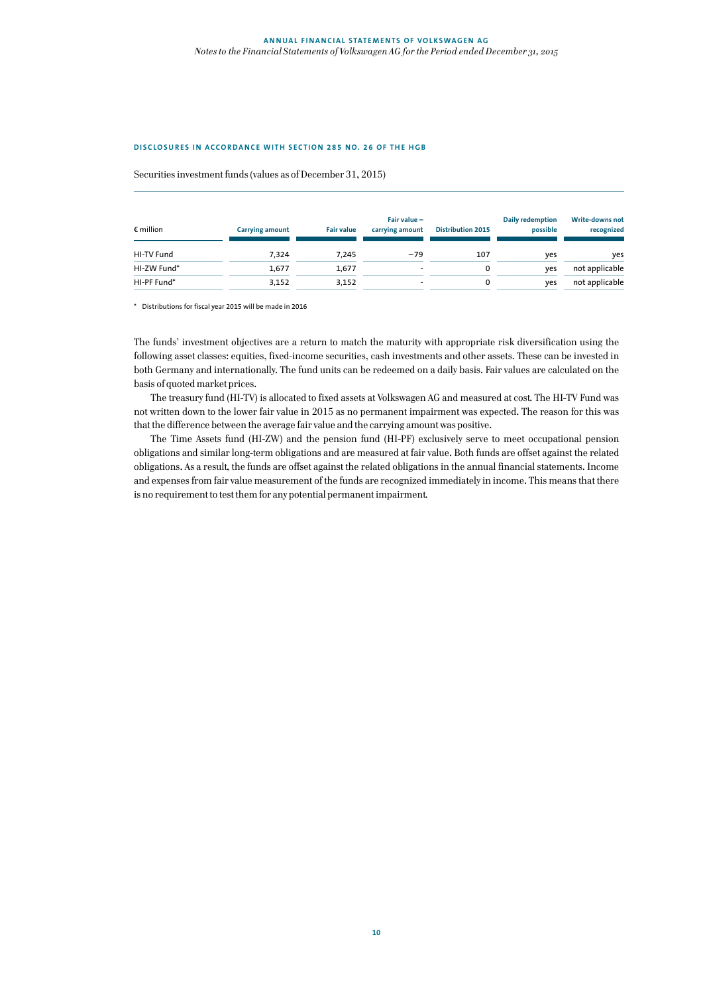#### **DISCLOSURES IN ACCORDANCE WITH SECTION 285 NO. 26 OF THE HGB**

Securities investment funds (values as of December 31, 2015)

| $\epsilon$ million | <b>Carrying amount</b> | <b>Fair value</b> | Fair value -<br>carrying amount | <b>Distribution 2015</b> | Daily redemption<br>possible | <b>Write-downs not</b><br>recognized |
|--------------------|------------------------|-------------------|---------------------------------|--------------------------|------------------------------|--------------------------------------|
| HI-TV Fund         | 7.324                  | 7.245             | $-79$                           | 107                      | yes                          | yes                                  |
| HI-ZW Fund*        | 1.677                  | 1.677             |                                 | $\mathbf 0$              | ves                          | not applicable                       |
| HI-PF Fund*        | 3,152                  | 3,152             |                                 | 0                        | yes                          | not applicable                       |

\* Distributions for fiscal year 2015 will be made in 2016

The funds' investment objectives are a return to match the maturity with appropriate risk diversification using the following asset classes: equities, fixed-income securities, cash investments and other assets. These can be invested in both Germany and internationally. The fund units can be redeemed on a daily basis. Fair values are calculated on the basis of quoted market prices.

The treasury fund (HI-TV) is allocated to fixed assets at Volkswagen AG and measured at cost. The HI-TV Fund was not written down to the lower fair value in 2015 as no permanent impairment was expected. The reason for this was that the difference between the average fair value and the carrying amount was positive.

The Time Assets fund (HI-ZW) and the pension fund (HI-PF) exclusively serve to meet occupational pension obligations and similar long-term obligations and are measured at fair value. Both funds are offset against the related obligations. As a result, the funds are offset against the related obligations in the annual financial statements. Income and expenses from fair value measurement of the funds are recognized immediately in income. This means that there is no requirement to test them for any potential permanent impairment.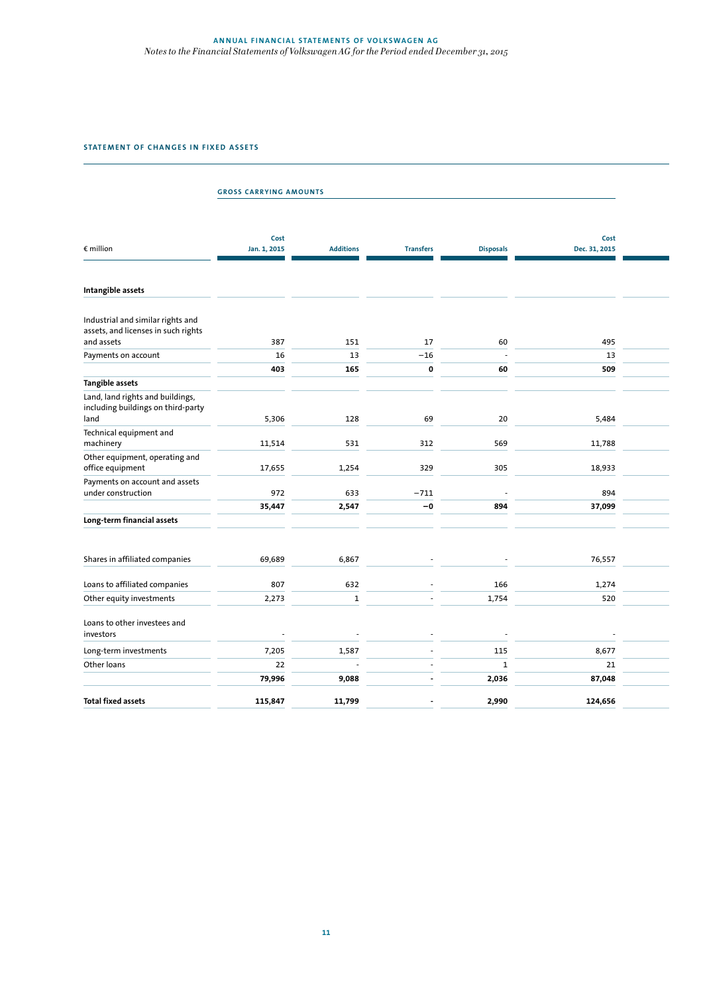# **ANNUAL FINANCIAL STATEMENTS OF VOLKSWAGEN AG** *Notes to the Financial Statements of Volkswagen AG for the Period ended December 31, 2015*

# **STATEMENT OF CHANGES IN FIXED ASSETS**

|                                                                                                          | <b>GROSS CARRYING AMOUNTS</b> |                  |                  |                  |                       |  |
|----------------------------------------------------------------------------------------------------------|-------------------------------|------------------|------------------|------------------|-----------------------|--|
| € million                                                                                                | Cost<br>Jan. 1, 2015          | <b>Additions</b> | <b>Transfers</b> | <b>Disposals</b> | Cost<br>Dec. 31, 2015 |  |
| Intangible assets                                                                                        |                               |                  |                  |                  |                       |  |
| Industrial and similar rights and<br>assets, and licenses in such rights                                 |                               |                  |                  |                  |                       |  |
| and assets                                                                                               | 387                           | 151              | 17               | 60               | 495                   |  |
| Payments on account                                                                                      | 16                            | 13               | $-16$            |                  | 13                    |  |
|                                                                                                          | 403                           | 165              | 0                | 60               | 509                   |  |
| <b>Tangible assets</b><br>Land, land rights and buildings,<br>including buildings on third-party<br>land | 5,306                         | 128              | 69               | 20               | 5,484                 |  |
| Technical equipment and<br>machinery                                                                     | 11,514                        | 531              | 312              | 569              | 11,788                |  |
| Other equipment, operating and<br>office equipment                                                       | 17,655                        | 1,254            | 329              | 305              | 18,933                |  |
| Payments on account and assets<br>under construction                                                     | 972                           | 633              | $-711$           |                  | 894                   |  |
|                                                                                                          | 35,447                        | 2,547            | -0               | 894              | 37,099                |  |
| Long-term financial assets                                                                               |                               |                  |                  |                  |                       |  |
| Shares in affiliated companies                                                                           | 69,689                        | 6,867            |                  |                  | 76,557                |  |
| Loans to affiliated companies                                                                            | 807                           | 632              |                  | 166              | 1,274                 |  |
| Other equity investments                                                                                 | 2,273                         | $\mathbf 1$      |                  | 1,754            | 520                   |  |
| Loans to other investees and<br>investors                                                                |                               |                  |                  |                  |                       |  |
| Long-term investments                                                                                    | 7,205                         | 1,587            |                  | 115              | 8,677                 |  |
| Other loans                                                                                              | 22                            |                  |                  | $\mathbf 1$      | 21                    |  |
|                                                                                                          | 79,996                        | 9,088            |                  | 2,036            | 87,048                |  |
| <b>Total fixed assets</b>                                                                                | 115,847                       | 11,799           |                  | 2,990            | 124,656               |  |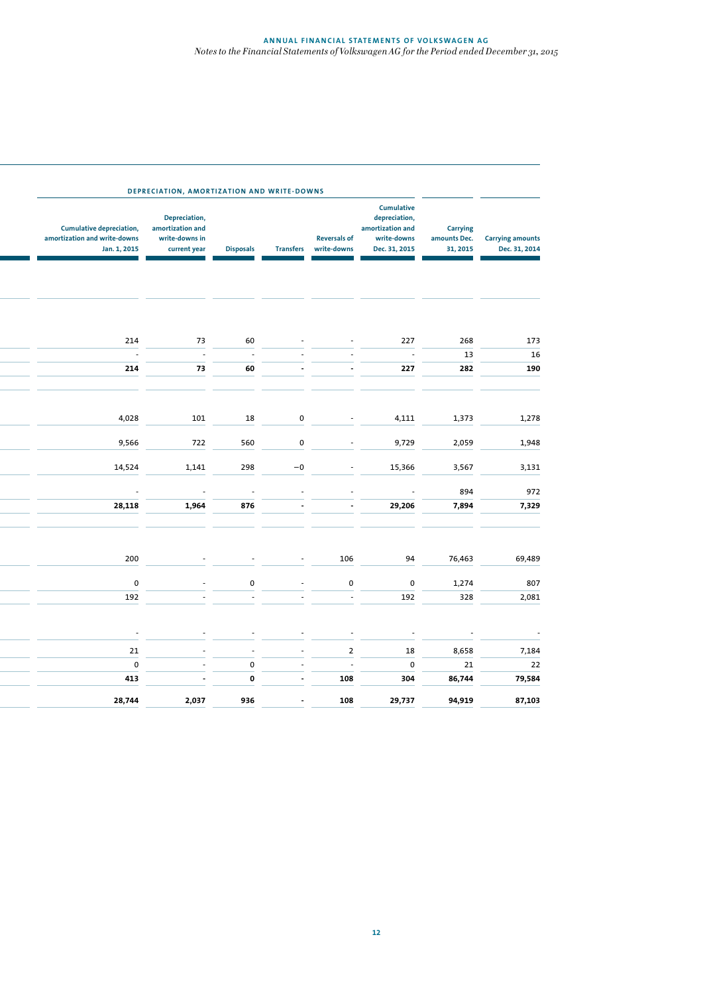| <b>Carrying amounts</b><br>Dec. 31, 2014 | <b>Carrying</b><br>amounts Dec.<br>31, 2015 | <b>Cumulative</b><br>depreciation,<br>amortization and<br>write-downs<br>Dec. 31, 2015 | <b>Reversals of</b><br>write-downs | <b>Transfers</b> | <b>Disposals</b> | Depreciation,<br>amortization and<br>write-downs in<br>current year | <b>Cumulative depreciation,</b><br>amortization and write-downs<br>Jan. 1, 2015 |
|------------------------------------------|---------------------------------------------|----------------------------------------------------------------------------------------|------------------------------------|------------------|------------------|---------------------------------------------------------------------|---------------------------------------------------------------------------------|
|                                          |                                             |                                                                                        |                                    |                  |                  |                                                                     |                                                                                 |
| 173                                      | 268                                         | 227                                                                                    |                                    |                  | 60               | 73                                                                  | 214                                                                             |
| 16                                       | 13                                          |                                                                                        |                                    |                  |                  |                                                                     |                                                                                 |
| 190                                      | 282                                         | 227                                                                                    |                                    |                  | 60               | 73                                                                  | 214                                                                             |
| 1,278                                    | 1,373                                       | 4,111                                                                                  |                                    | 0                | 18               | 101                                                                 | 4,028                                                                           |
| 1,948                                    | 2,059                                       | 9,729                                                                                  |                                    | 0                | 560              | 722                                                                 | 9,566                                                                           |
| 3,131                                    | 3,567                                       | 15,366                                                                                 |                                    | $-0$             | 298              | 1,141                                                               | 14,524                                                                          |
| 972                                      | 894                                         |                                                                                        |                                    |                  |                  |                                                                     |                                                                                 |
| 7,329                                    | 7,894                                       | 29,206                                                                                 |                                    |                  | 876              | 1,964                                                               | 28,118                                                                          |
| 69,489                                   | 76,463                                      | 94                                                                                     | 106                                |                  |                  |                                                                     | 200                                                                             |
|                                          |                                             |                                                                                        |                                    |                  |                  |                                                                     |                                                                                 |
| 807                                      | 1,274                                       | $\pmb{0}$                                                                              | $\pmb{0}$                          |                  | 0                |                                                                     | $\pmb{0}$                                                                       |
| 2,081                                    | 328                                         | 192                                                                                    |                                    |                  |                  |                                                                     | 192                                                                             |
|                                          |                                             |                                                                                        |                                    |                  |                  |                                                                     |                                                                                 |
| 7,184                                    | 8,658                                       | 18                                                                                     | $\mathbf 2$                        |                  |                  |                                                                     | 21                                                                              |
| 22                                       | 21                                          | 0                                                                                      | $\overline{\phantom{a}}$           |                  | $\pmb{0}$        |                                                                     | $\pmb{0}$                                                                       |
| 79,584                                   | 86,744                                      | 304                                                                                    | 108                                |                  | $\mathbf 0$      |                                                                     | 413                                                                             |
| 87,103                                   | 94,919                                      | 29,737                                                                                 | 108                                |                  | 936              | 2,037                                                               | 28,744                                                                          |
|                                          |                                             |                                                                                        |                                    |                  |                  |                                                                     |                                                                                 |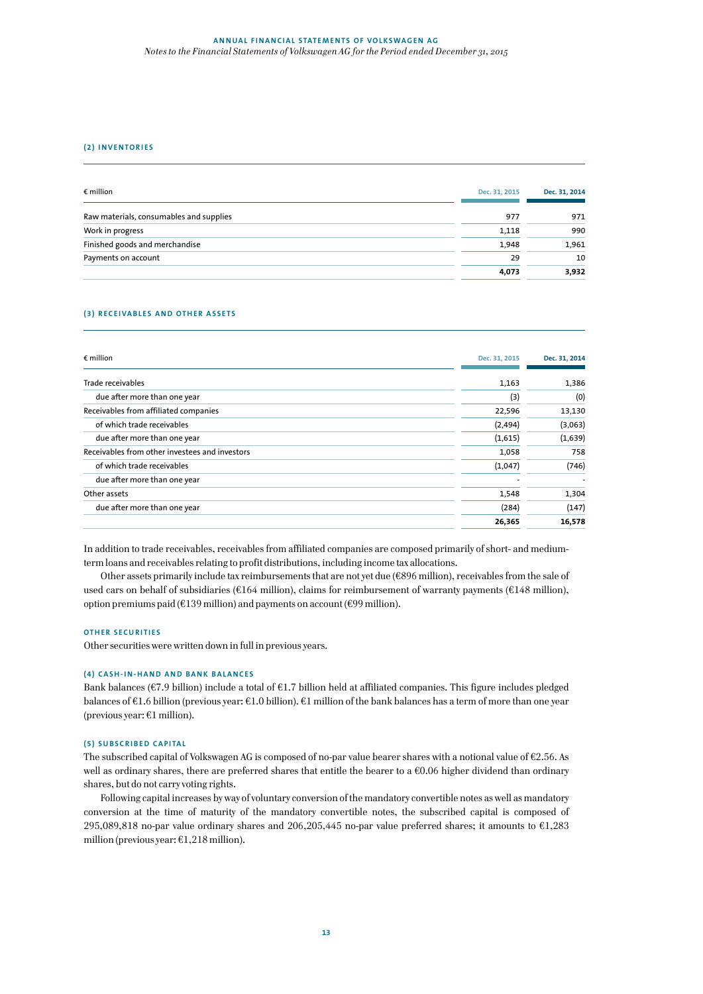#### **ANNUAL FINANCIAL STATEMENTS OF VOLKSWAGEN AG** *Notes to the Financial Statements of Volkswagen AG for the Period ended December 31, 2015*

#### **(2) INVENTORIES**

| $\epsilon$ million                      | Dec. 31, 2015 | Dec. 31, 2014 |
|-----------------------------------------|---------------|---------------|
| Raw materials, consumables and supplies | 977           | 971           |
| Work in progress                        | 1.118         | 990           |
| Finished goods and merchandise          | 1.948         | 1,961         |
| Payments on account                     | 29            | 10            |
|                                         | 4,073         | 3,932         |

#### **(3) RECEIVABLES AND OTHER ASSETS**

| $\epsilon$ million                             | Dec. 31, 2015 | Dec. 31, 2014 |
|------------------------------------------------|---------------|---------------|
| Trade receivables                              | 1,163         | 1,386         |
| due after more than one year                   | (3)           | (0)           |
| Receivables from affiliated companies          | 22,596        | 13,130        |
| of which trade receivables                     | (2, 494)      | (3,063)       |
| due after more than one year                   | (1,615)       | (1,639)       |
| Receivables from other investees and investors | 1,058         | 758           |
| of which trade receivables                     | (1,047)       | (746)         |
| due after more than one year                   |               |               |
| Other assets                                   | 1,548         | 1,304         |
| due after more than one year                   | (284)         | (147)         |
|                                                | 26,365        | 16,578        |

In addition to trade receivables, receivables from affiliated companies are composed primarily of short- and mediumterm loans and receivables relating to profit distributions, including income tax allocations.

Other assets primarily include tax reimbursements that are not yet due (€896 million), receivables from the sale of used cars on behalf of subsidiaries (€164 million), claims for reimbursement of warranty payments (€148 million), option premiums paid ( $\epsilon$ 139 million) and payments on account ( $\epsilon$ 99 million).

#### **OTHER SECURITIES**

Other securities were written down in full in previous years.

#### **(4) CASH-IN-HAND AND BANK BALANCES**

Bank balances (€7.9 billion) include a total of €1.7 billion held at affiliated companies. This figure includes pledged balances of €1.6 billion (previous year: €1.0 billion). €1 million of the bank balances has a term of more than one year (previous year: €1 million).

# **(5) SUBSCRIBED CAPITAL**

The subscribed capital of Volkswagen AG is composed of no-par value bearer shares with a notional value of €2.56. As well as ordinary shares, there are preferred shares that entitle the bearer to a  $\epsilon$ 0.06 higher dividend than ordinary shares, but do not carry voting rights.

Following capital increases by way of voluntary conversion of the mandatory convertible notes as well as mandatory conversion at the time of maturity of the mandatory convertible notes, the subscribed capital is composed of 295,089,818 no-par value ordinary shares and 206,205,445 no-par value preferred shares; it amounts to €1,283 million (previous year:  $\epsilon$ 1,218 million).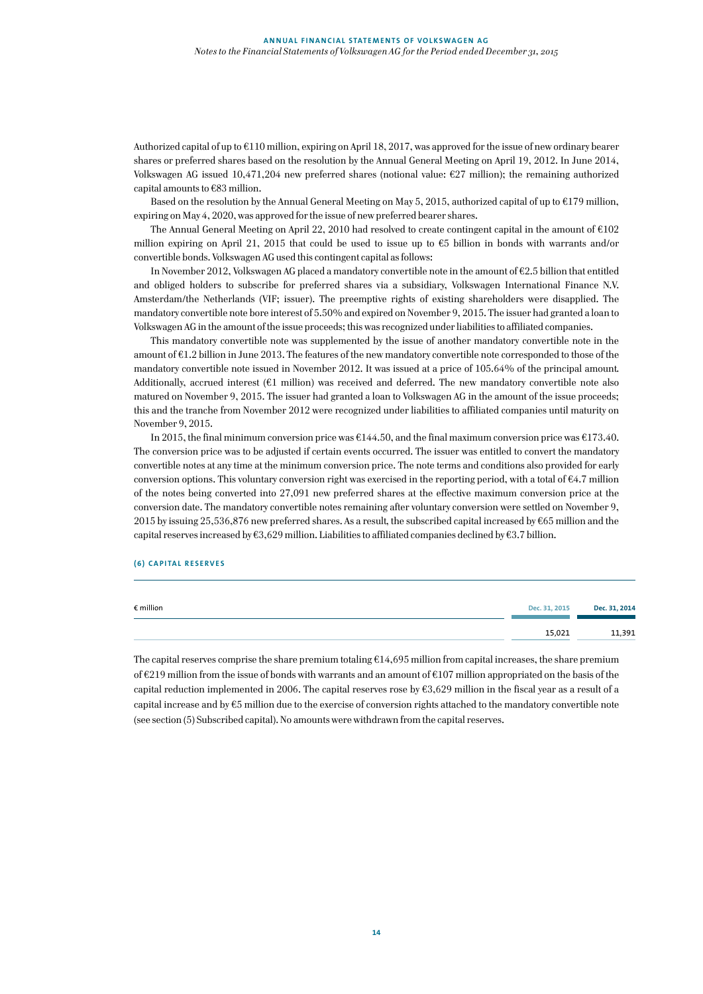Authorized capital of up to €110 million, expiring on April 18, 2017, was approved for the issue of new ordinary bearer shares or preferred shares based on the resolution by the Annual General Meeting on April 19, 2012. In June 2014, Volkswagen AG issued 10,471,204 new preferred shares (notional value: €27 million); the remaining authorized capital amounts to €83 million.

Based on the resolution by the Annual General Meeting on May 5, 2015, authorized capital of up to €179 million, expiring on May 4, 2020, was approved for the issue of new preferred bearer shares.

The Annual General Meeting on April 22, 2010 had resolved to create contingent capital in the amount of €102 million expiring on April 21, 2015 that could be used to issue up to €5 billion in bonds with warrants and/or convertible bonds. Volkswagen AG used this contingent capital as follows:

In November 2012, Volkswagen AG placed a mandatory convertible note in the amount of €2.5 billion that entitled and obliged holders to subscribe for preferred shares via a subsidiary, Volkswagen International Finance N.V. Amsterdam/the Netherlands (VIF; issuer). The preemptive rights of existing shareholders were disapplied. The mandatory convertible note bore interest of 5.50% and expired on November 9, 2015. The issuer had granted a loan to Volkswagen AG in the amount of the issue proceeds; this was recognized under liabilities to affiliated companies.

This mandatory convertible note was supplemented by the issue of another mandatory convertible note in the amount of €1.2 billion in June 2013. The features of the new mandatory convertible note corresponded to those of the mandatory convertible note issued in November 2012. It was issued at a price of 105.64% of the principal amount. Additionally, accrued interest (€1 million) was received and deferred. The new mandatory convertible note also matured on November 9, 2015. The issuer had granted a loan to Volkswagen AG in the amount of the issue proceeds; this and the tranche from November 2012 were recognized under liabilities to affiliated companies until maturity on November 9, 2015.

In 2015, the final minimum conversion price was  $\epsilon$ 144.50, and the final maximum conversion price was  $\epsilon$ 173.40. The conversion price was to be adjusted if certain events occurred. The issuer was entitled to convert the mandatory convertible notes at any time at the minimum conversion price. The note terms and conditions also provided for early conversion options. This voluntary conversion right was exercised in the reporting period, with a total of  $\epsilon$ 4.7 million of the notes being converted into 27,091 new preferred shares at the effective maximum conversion price at the conversion date. The mandatory convertible notes remaining after voluntary conversion were settled on November 9, 2015 by issuing 25,536,876 new preferred shares. As a result, the subscribed capital increased by €65 million and the capital reserves increased by  $63,629$  million. Liabilities to affiliated companies declined by  $63.7$  billion.

#### **(6) CAPITAL RESERVES**

| $\epsilon$ million | Dec. 31, 2015 | Dec. 31, 2014 |
|--------------------|---------------|---------------|
|                    | 15,021        | 11,391        |

The capital reserves comprise the share premium totaling  $\epsilon$ 14,695 million from capital increases, the share premium of €219 million from the issue of bonds with warrants and an amount of €107 million appropriated on the basis of the capital reduction implemented in 2006. The capital reserves rose by €3,629 million in the fiscal year as a result of a capital increase and by €5 million due to the exercise of conversion rights attached to the mandatory convertible note (see section (5) Subscribed capital). No amounts were withdrawn from the capital reserves.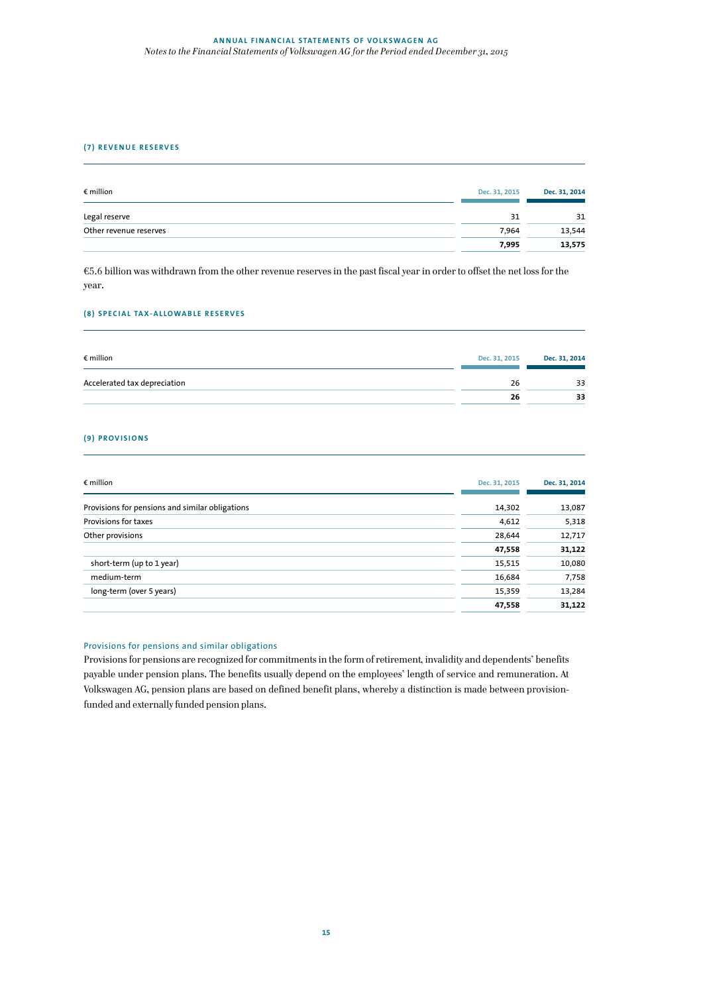## **ANNUAL FINANCIAL STATEMENTS OF VOLKSWAGEN AG** *Notes to the Financial Statements of Volkswagen AG for the Period ended December 31, 2015*

### **(7) REVENUE RESERVES**

| $\epsilon$ million     | Dec. 31, 2015 | Dec. 31, 2014 |
|------------------------|---------------|---------------|
| Legal reserve          | 31            | 31            |
| Other revenue reserves | 7.964         | 13.544        |
|                        | 7.995         | 13,575        |

€5.6 billion was withdrawn from the other revenue reserves in the past fiscal year in order to offset the net loss for the year.

#### **(8) SPECIAL TAX-ALLOWABLE RESERVES**

| $\epsilon$ million           | Dec. 31, 2015 | Dec. 31, 2014 |
|------------------------------|---------------|---------------|
| Accelerated tax depreciation | 26            | 33            |
|                              | 26            | 33            |

# **(9) PROVISIONS**

| $\epsilon$ million                              | Dec. 31, 2015 | Dec. 31, 2014 |
|-------------------------------------------------|---------------|---------------|
| Provisions for pensions and similar obligations | 14,302        | 13,087        |
| Provisions for taxes                            |               |               |
|                                                 | 4,612         | 5,318         |
| Other provisions                                | 28,644        | 12,717        |
|                                                 | 47,558        | 31,122        |
| short-term (up to 1 year)                       | 15,515        | 10,080        |
| medium-term                                     | 16,684        | 7,758         |
| long-term (over 5 years)                        | 15,359        | 13,284        |
|                                                 | 47,558        | 31,122        |

#### Provisions for pensions and similar obligations

Provisions for pensions are recognized for commitments in the form of retirement, invalidity and dependents' benefits payable under pension plans. The benefits usually depend on the employees' length of service and remuneration. At Volkswagen AG, pension plans are based on defined benefit plans, whereby a distinction is made between provisionfunded and externally funded pension plans.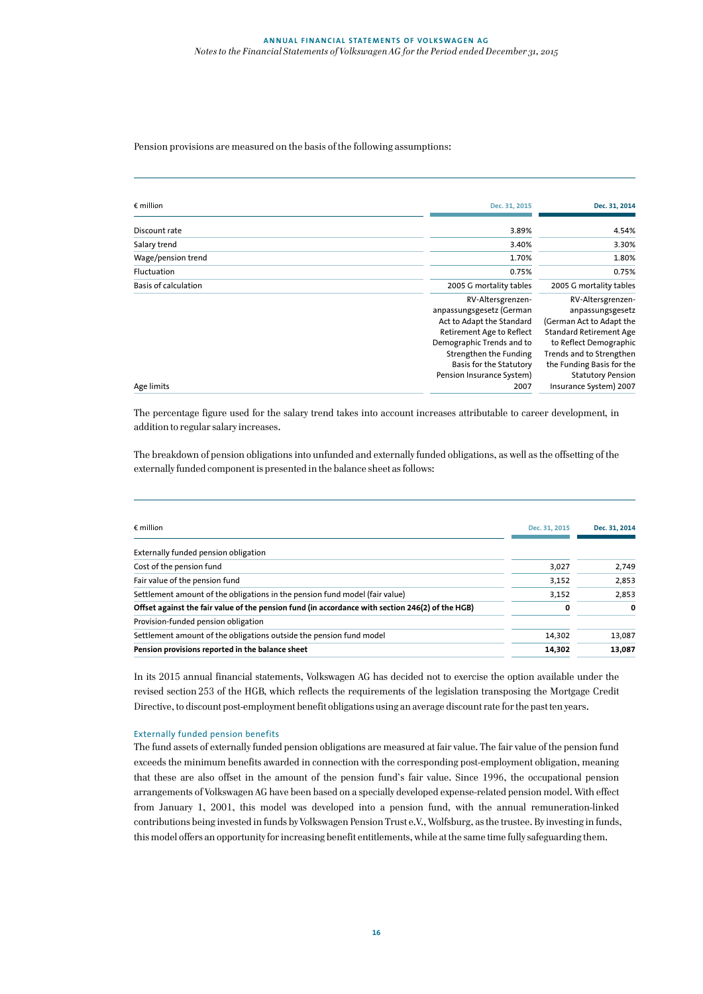# Pension provisions are measured on the basis of the following assumptions:

| $\epsilon$ million          | Dec. 31, 2015                                                                                                                                                                             | Dec. 31, 2014                                                                                                                                                                          |
|-----------------------------|-------------------------------------------------------------------------------------------------------------------------------------------------------------------------------------------|----------------------------------------------------------------------------------------------------------------------------------------------------------------------------------------|
| Discount rate               | 3.89%                                                                                                                                                                                     | 4.54%                                                                                                                                                                                  |
| Salary trend                | 3.40%                                                                                                                                                                                     | 3.30%                                                                                                                                                                                  |
| Wage/pension trend          | 1.70%                                                                                                                                                                                     | 1.80%                                                                                                                                                                                  |
| Fluctuation                 | 0.75%                                                                                                                                                                                     | 0.75%                                                                                                                                                                                  |
| <b>Basis of calculation</b> | 2005 G mortality tables                                                                                                                                                                   | 2005 G mortality tables                                                                                                                                                                |
|                             | RV-Altersgrenzen-<br>anpassungsgesetz (German<br>Act to Adapt the Standard<br>Retirement Age to Reflect<br>Demographic Trends and to<br>Strengthen the Funding<br>Basis for the Statutory | RV-Altersgrenzen-<br>anpassungsgesetz<br>(German Act to Adapt the<br><b>Standard Retirement Age</b><br>to Reflect Demographic<br>Trends and to Strengthen<br>the Funding Basis for the |
| Age limits                  | Pension Insurance System)<br>2007                                                                                                                                                         | <b>Statutory Pension</b><br>Insurance System) 2007                                                                                                                                     |

The percentage figure used for the salary trend takes into account increases attributable to career development, in addition to regular salary increases.

The breakdown of pension obligations into unfunded and externally funded obligations, as well as the offsetting of the externally funded component is presented in the balance sheet as follows:

| $\epsilon$ million<br>Dec. 31, 2015                                                                   | Dec. 31, 2014 |
|-------------------------------------------------------------------------------------------------------|---------------|
| Externally funded pension obligation                                                                  |               |
| Cost of the pension fund<br>3,027                                                                     | 2,749         |
| Fair value of the pension fund<br>3,152                                                               | 2,853         |
| Settlement amount of the obligations in the pension fund model (fair value)<br>3,152                  | 2,853         |
| Offset against the fair value of the pension fund (in accordance with section 246(2) of the HGB)<br>0 | $\mathbf{0}$  |
| Provision-funded pension obligation                                                                   |               |
| Settlement amount of the obligations outside the pension fund model<br>14,302                         | 13,087        |
| Pension provisions reported in the balance sheet<br>14,302                                            | 13,087        |

In its 2015 annual financial statements, Volkswagen AG has decided not to exercise the option available under the revised section 253 of the HGB, which reflects the requirements of the legislation transposing the Mortgage Credit Directive, to discount post-employment benefit obligations using an average discount rate for the past ten years.

#### Externally funded pension benefits

The fund assets of externally funded pension obligations are measured at fair value. The fair value of the pension fund exceeds the minimum benefits awarded in connection with the corresponding post-employment obligation, meaning that these are also offset in the amount of the pension fund's fair value. Since 1996, the occupational pension arrangements of Volkswagen AG have been based on a specially developed expense-related pension model. With effect from January 1, 2001, this model was developed into a pension fund, with the annual remuneration-linked contributions being invested in funds by Volkswagen Pension Trust e.V., Wolfsburg, as the trustee. By investing in funds, this model offers an opportunity for increasing benefit entitlements, while at the same time fully safeguarding them.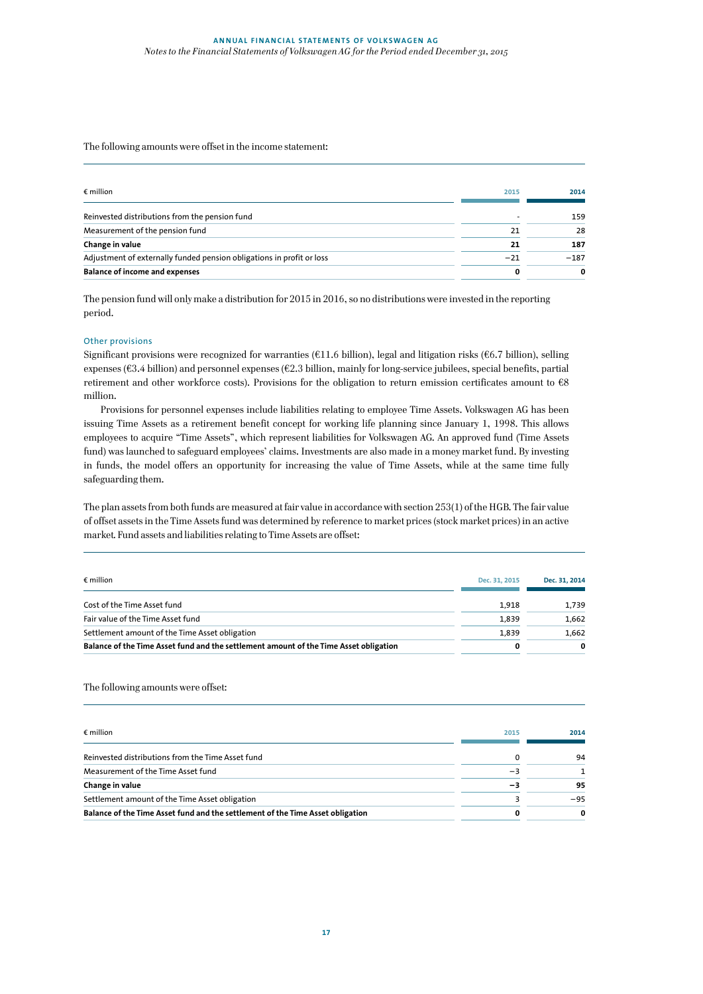# The following amounts were offset in the income statement:

| $\epsilon$ million                                                    | 2015  | 2014   |
|-----------------------------------------------------------------------|-------|--------|
| Reinvested distributions from the pension fund                        |       | 159    |
| Measurement of the pension fund                                       | 21    | 28     |
| Change in value                                                       | 21    | 187    |
| Adjustment of externally funded pension obligations in profit or loss | $-21$ | $-187$ |
| <b>Balance of income and expenses</b>                                 |       | 0      |

The pension fund will only make a distribution for 2015 in 2016, so no distributions were invested in the reporting period.

## Other provisions

Significant provisions were recognized for warranties (€11.6 billion), legal and litigation risks (€6.7 billion), selling expenses (€3.4 billion) and personnel expenses (€2.3 billion, mainly for long-service jubilees, special benefits, partial retirement and other workforce costs). Provisions for the obligation to return emission certificates amount to €8 million.

Provisions for personnel expenses include liabilities relating to employee Time Assets. Volkswagen AG has been issuing Time Assets as a retirement benefit concept for working life planning since January 1, 1998. This allows employees to acquire "Time Assets", which represent liabilities for Volkswagen AG. An approved fund (Time Assets fund) was launched to safeguard employees' claims. Investments are also made in a money market fund. By investing in funds, the model offers an opportunity for increasing the value of Time Assets, while at the same time fully safeguarding them.

The plan assets from both funds are measured at fair value in accordance with section 253(1) of the HGB. The fair value of offset assets in the Time Assets fund was determined by reference to market prices (stock market prices) in an active market. Fund assets and liabilities relating to Time Assets are offset:

| $\epsilon$ million                                                                    | Dec. 31, 2015 | Dec. 31, 2014 |
|---------------------------------------------------------------------------------------|---------------|---------------|
| Cost of the Time Asset fund                                                           | 1.918         | 1.739         |
| Fair value of the Time Asset fund                                                     | 1.839         | 1.662         |
| Settlement amount of the Time Asset obligation                                        | 1.839         | 1.662         |
| Balance of the Time Asset fund and the settlement amount of the Time Asset obligation | 0             | $\Omega$      |

## The following amounts were offset:

| $\epsilon$ million                                                             | 2015 | 2014  |
|--------------------------------------------------------------------------------|------|-------|
| Reinvested distributions from the Time Asset fund                              | 0    | 94    |
| Measurement of the Time Asset fund                                             | $-3$ |       |
| Change in value                                                                | -3   | 95    |
| Settlement amount of the Time Asset obligation                                 |      | $-95$ |
| Balance of the Time Asset fund and the settlement of the Time Asset obligation |      | O     |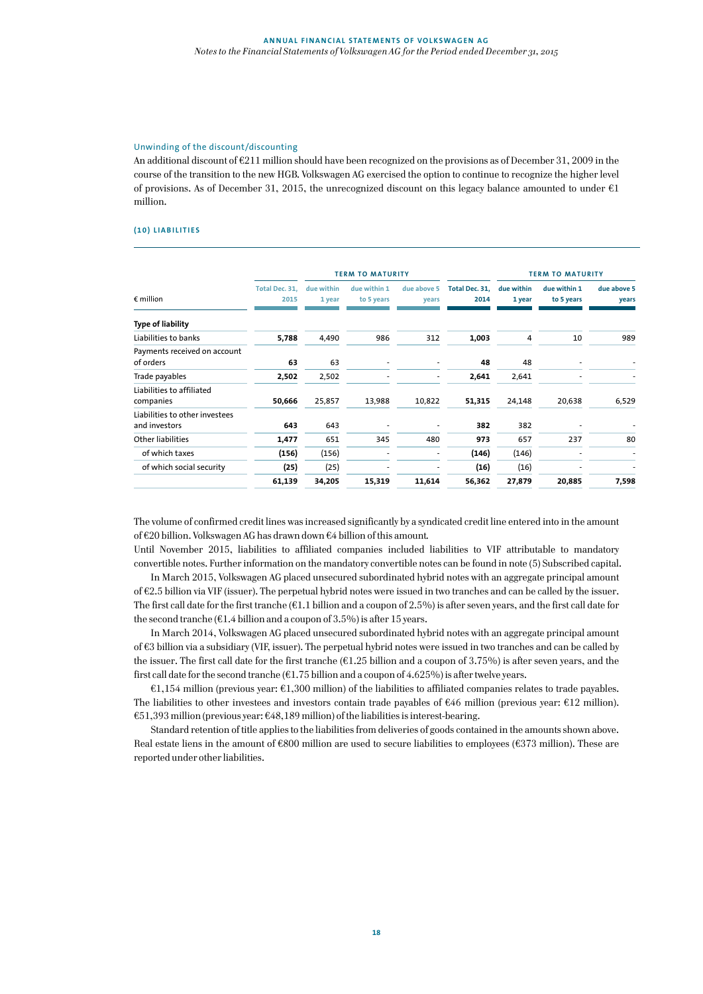# Unwinding of the discount/discounting

An additional discount of €211 million should have been recognized on the provisions as of December 31, 2009 in the course of the transition to the new HGB. Volkswagen AG exercised the option to continue to recognize the higher level of provisions. As of December 31, 2015, the unrecognized discount on this legacy balance amounted to under  $\epsilon$ 1 million.

#### **(10) LIABILITIES**

|                                                 |                        | <b>TERM TO MATURITY</b> |                            |                      |                        | <b>TERM TO MATURITY</b> |                            |                      |
|-------------------------------------------------|------------------------|-------------------------|----------------------------|----------------------|------------------------|-------------------------|----------------------------|----------------------|
| $\epsilon$ million                              | Total Dec. 31,<br>2015 | due within<br>1 year    | due within 1<br>to 5 years | due above 5<br>years | Total Dec. 31,<br>2014 | due within<br>1 year    | due within 1<br>to 5 years | due above 5<br>years |
| <b>Type of liability</b>                        |                        |                         |                            |                      |                        |                         |                            |                      |
| Liabilities to banks                            | 5,788                  | 4,490                   | 986                        | 312                  | 1,003                  | 4                       | 10                         | 989                  |
| Payments received on account<br>of orders       | 63                     | 63                      |                            |                      | 48                     | 48                      |                            |                      |
| Trade payables                                  | 2,502                  | 2,502                   |                            | ۰                    | 2,641                  | 2,641                   |                            |                      |
| Liabilities to affiliated<br>companies          | 50,666                 | 25,857                  | 13,988                     | 10,822               | 51,315                 | 24,148                  | 20,638                     | 6,529                |
| Liabilities to other investees<br>and investors | 643                    | 643                     |                            |                      | 382                    | 382                     |                            |                      |
| <b>Other liabilities</b>                        | 1,477                  | 651                     | 345                        | 480                  | 973                    | 657                     | 237                        | 80                   |
| of which taxes                                  | (156)                  | (156)                   |                            |                      | (146)                  | (146)                   |                            |                      |
| of which social security                        | (25)                   | (25)                    |                            |                      | (16)                   | (16)                    |                            |                      |
|                                                 | 61,139                 | 34,205                  | 15,319                     | 11,614               | 56,362                 | 27,879                  | 20,885                     | 7,598                |

The volume of confirmed credit lines was increased significantly by a syndicated credit line entered into in the amount of €20 billion. Volkswagen AG has drawn down €4 billion of this amount.

Until November 2015, liabilities to affiliated companies included liabilities to VIF attributable to mandatory convertible notes. Further information on the mandatory convertible notes can be found in note (5) Subscribed capital.

In March 2015, Volkswagen AG placed unsecured subordinated hybrid notes with an aggregate principal amount of €2.5 billion via VIF (issuer). The perpetual hybrid notes were issued in two tranches and can be called by the issuer. The first call date for the first tranche  $(61.1$  billion and a coupon of 2.5%) is after seven years, and the first call date for the second tranche ( $E1.4$  billion and a coupon of 3.5%) is after 15 years.

In March 2014, Volkswagen AG placed unsecured subordinated hybrid notes with an aggregate principal amount of €3 billion via a subsidiary (VIF, issuer). The perpetual hybrid notes were issued in two tranches and can be called by the issuer. The first call date for the first tranche ( $E1.25$  billion and a coupon of 3.75%) is after seven years, and the first call date for the second tranche ( $\epsilon$ 1.75 billion and a coupon of 4.625%) is after twelve years.

€1,154 million (previous year: €1,300 million) of the liabilities to affiliated companies relates to trade payables. The liabilities to other investees and investors contain trade payables of €46 million (previous year: €12 million). €51,393 million (previous year: €48,189 million) of the liabilities is interest-bearing.

Standard retention of title applies to the liabilities from deliveries of goods contained in the amounts shown above. Real estate liens in the amount of €800 million are used to secure liabilities to employees (€373 million). These are reported under other liabilities.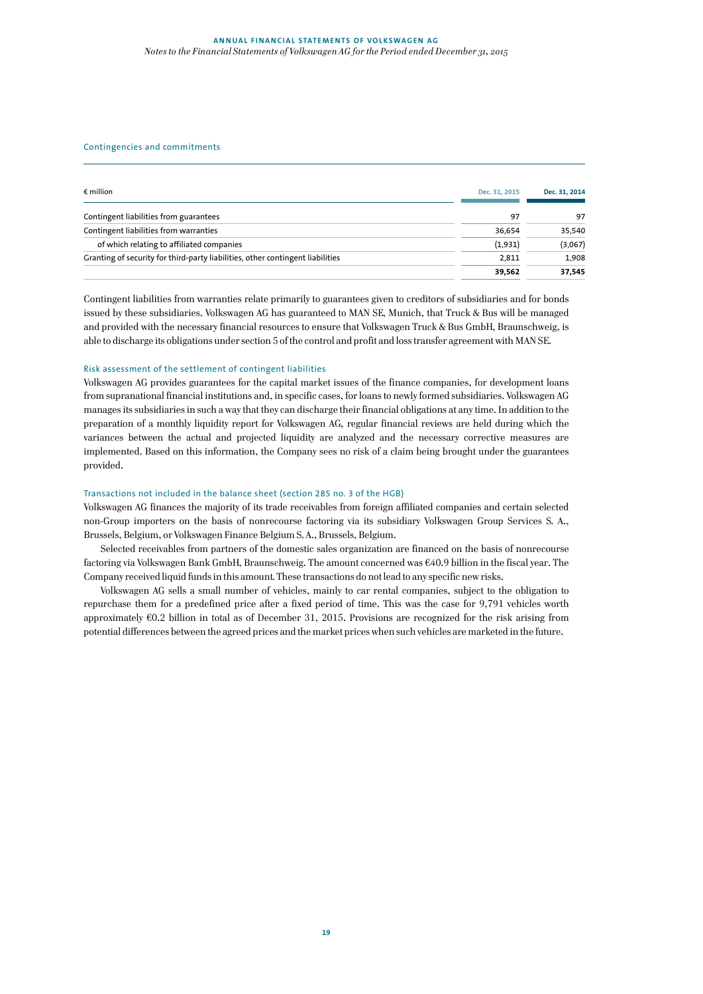### Contingencies and commitments

| $\epsilon$ million                                                             | Dec. 31, 2015 | Dec. 31, 2014 |
|--------------------------------------------------------------------------------|---------------|---------------|
| Contingent liabilities from guarantees                                         | 97            | 97            |
| Contingent liabilities from warranties                                         | 36.654        | 35,540        |
| of which relating to affiliated companies                                      | (1,931)       | (3,067)       |
| Granting of security for third-party liabilities, other contingent liabilities | 2.811         | 1,908         |
|                                                                                | 39.562        | 37.545        |

Contingent liabilities from warranties relate primarily to guarantees given to creditors of subsidiaries and for bonds issued by these subsidiaries. Volkswagen AG has guaranteed to MAN SE, Munich, that Truck & Bus will be managed and provided with the necessary financial resources to ensure that Volkswagen Truck & Bus GmbH, Braunschweig, is able to discharge its obligations under section 5 of the control and profit and loss transfer agreement with MAN SE.

# Risk assessment of the settlement of contingent liabilities

Volkswagen AG provides guarantees for the capital market issues of the finance companies, for development loans from supranational financial institutions and, in specific cases, for loans to newly formed subsidiaries. Volkswagen AG manages its subsidiaries in such a way that they can discharge their financial obligations at any time. In addition to the preparation of a monthly liquidity report for Volkswagen AG, regular financial reviews are held during which the variances between the actual and projected liquidity are analyzed and the necessary corrective measures are implemented. Based on this information, the Company sees no risk of a claim being brought under the guarantees provided.

#### Transactions not included in the balance sheet (section 285 no. 3 of the HGB)

Volkswagen AG finances the majority of its trade receivables from foreign affiliated companies and certain selected non-Group importers on the basis of nonrecourse factoring via its subsidiary Volkswagen Group Services S. A., Brussels, Belgium, or Volkswagen Finance Belgium S. A., Brussels, Belgium.

Selected receivables from partners of the domestic sales organization are financed on the basis of nonrecourse factoring via Volkswagen Bank GmbH, Braunschweig. The amount concerned was €40.9 billion in the fiscal year. The Company received liquid funds in this amount. These transactions do not lead to any specific new risks.

Volkswagen AG sells a small number of vehicles, mainly to car rental companies, subject to the obligation to repurchase them for a predefined price after a fixed period of time. This was the case for 9,791 vehicles worth approximately €0.2 billion in total as of December 31, 2015. Provisions are recognized for the risk arising from potential differences between the agreed prices and the market prices when such vehicles are marketed in the future.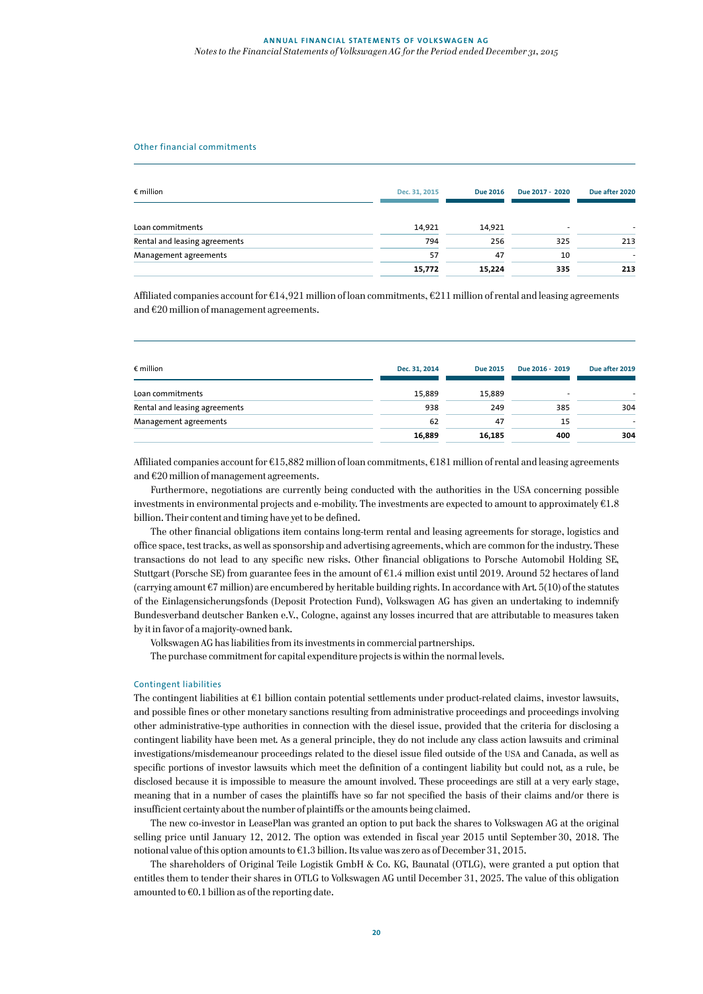#### Other financial commitments

| $\epsilon$ million            | Dec. 31, 2015 | <b>Due 2016</b> | Due 2017 - 2020          | Due after 2020 |  |
|-------------------------------|---------------|-----------------|--------------------------|----------------|--|
| Loan commitments              | 14.921        | 14.921          | $\overline{\phantom{a}}$ |                |  |
| Rental and leasing agreements | 794           | 256             | 325                      | 213            |  |
| Management agreements         | 57            | 47              | 10                       |                |  |
|                               | 15,772        | 15,224          | 335                      | 213            |  |

Affiliated companies account for €14,921 million of loan commitments, €211 million of rental and leasing agreements and €20 million of management agreements.

| Dec. 31, 2014 | <b>Due 2015</b> | Due 2016 - 2019 | Due after 2019 |
|---------------|-----------------|-----------------|----------------|
| 15,889        | 15,889          | -               |                |
| 938           | 249             | 385             | 304            |
| 62            | 47              | 15              | ۰              |
| 16,889        | 16,185          | 400             | 304            |
|               |                 |                 |                |

Affiliated companies account for €15,882 million of loan commitments, €181 million of rental and leasing agreements and €20 million of management agreements.

Furthermore, negotiations are currently being conducted with the authorities in the USA concerning possible investments in environmental projects and e-mobility. The investments are expected to amount to approximately  $61.8$ billion. Their content and timing have yet to be defined.

The other financial obligations item contains long-term rental and leasing agreements for storage, logistics and office space, test tracks, as well as sponsorship and advertising agreements, which are common for the industry. These transactions do not lead to any specific new risks. Other financial obligations to Porsche Automobil Holding SE, Stuttgart (Porsche SE) from guarantee fees in the amount of €1.4 million exist until 2019. Around 52 hectares of land (carrying amount €7 million) are encumbered by heritable building rights. In accordance with Art. 5(10) of the statutes of the Einlagensicherungsfonds (Deposit Protection Fund), Volkswagen AG has given an undertaking to indemnify Bundesverband deutscher Banken e.V., Cologne, against any losses incurred that are attributable to measures taken by it in favor of a majority-owned bank.

Volkswagen AG has liabilities from its investments in commercial partnerships.

The purchase commitment for capital expenditure projects is within the normal levels.

#### Contingent liabilities

The contingent liabilities at €1 billion contain potential settlements under product-related claims, investor lawsuits, and possible fines or other monetary sanctions resulting from administrative proceedings and proceedings involving other administrative-type authorities in connection with the diesel issue, provided that the criteria for disclosing a contingent liability have been met. As a general principle, they do not include any class action lawsuits and criminal investigations/misdemeanour proceedings related to the diesel issue filed outside of the USA and Canada, as well as specific portions of investor lawsuits which meet the definition of a contingent liability but could not, as a rule, be disclosed because it is impossible to measure the amount involved. These proceedings are still at a very early stage, meaning that in a number of cases the plaintiffs have so far not specified the basis of their claims and/or there is insufficient certainty about the number of plaintiffs or the amounts being claimed.

The new co-investor in LeasePlan was granted an option to put back the shares to Volkswagen AG at the original selling price until January 12, 2012. The option was extended in fiscal year 2015 until September 30, 2018. The notional value of this option amounts to €1.3 billion. Its value was zero as of December 31, 2015.

The shareholders of Original Teile Logistik GmbH & Co. KG, Baunatal (OTLG), were granted a put option that entitles them to tender their shares in OTLG to Volkswagen AG until December 31, 2025. The value of this obligation amounted to  $\epsilon$ 0.1 billion as of the reporting date.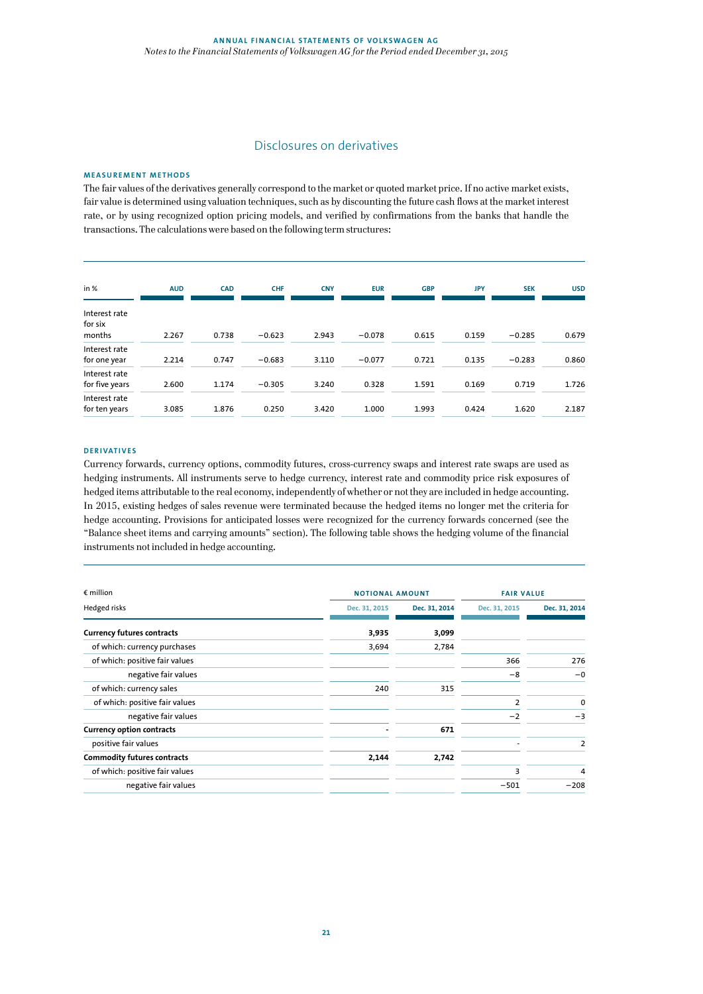# Disclosures on derivatives

#### **MEASUREMENT METHODS**

The fair values of the derivatives generally correspond to the market or quoted market price. If no active market exists, fair value is determined using valuation techniques, such as by discounting the future cash flows at the market interest rate, or by using recognized option pricing models, and verified by confirmations from the banks that handle the transactions. The calculations were based on the following term structures:

| in %                               | <b>AUD</b> | <b>CAD</b> | <b>CHF</b> | <b>CNY</b> | <b>EUR</b> | <b>GBP</b> | <b>JPY</b> | <b>SEK</b> | <b>USD</b> |
|------------------------------------|------------|------------|------------|------------|------------|------------|------------|------------|------------|
| Interest rate<br>for six<br>months | 2.267      | 0.738      | $-0.623$   | 2.943      | $-0.078$   | 0.615      | 0.159      | $-0.285$   | 0.679      |
| Interest rate<br>for one year      | 2.214      | 0.747      | $-0.683$   | 3.110      | $-0.077$   | 0.721      | 0.135      | $-0.283$   | 0.860      |
| Interest rate<br>for five years    | 2.600      | 1.174      | $-0.305$   | 3.240      | 0.328      | 1.591      | 0.169      | 0.719      | 1.726      |
| Interest rate<br>for ten years     | 3.085      | 1.876      | 0.250      | 3.420      | 1.000      | 1.993      | 0.424      | 1.620      | 2.187      |

#### **DERIVATIVES**

Currency forwards, currency options, commodity futures, cross-currency swaps and interest rate swaps are used as hedging instruments. All instruments serve to hedge currency, interest rate and commodity price risk exposures of hedged items attributable to the real economy, independently of whether or not they are included in hedge accounting. In 2015, existing hedges of sales revenue were terminated because the hedged items no longer met the criteria for hedge accounting. Provisions for anticipated losses were recognized for the currency forwards concerned (see the "Balance sheet items and carrying amounts" section). The following table shows the hedging volume of the financial instruments not included in hedge accounting.

| $\epsilon$ million                 |               | <b>NOTIONAL AMOUNT</b> |               | <b>FAIR VALUE</b> |  |
|------------------------------------|---------------|------------------------|---------------|-------------------|--|
| Hedged risks                       | Dec. 31, 2015 | Dec. 31, 2014          | Dec. 31, 2015 | Dec. 31, 2014     |  |
| <b>Currency futures contracts</b>  | 3,935         | 3,099                  |               |                   |  |
| of which: currency purchases       | 3,694         | 2,784                  |               |                   |  |
| of which: positive fair values     |               |                        | 366           | 276               |  |
| negative fair values               |               |                        | $-8$          | $-0$              |  |
| of which: currency sales           | 240           | 315                    |               |                   |  |
| of which: positive fair values     |               |                        | 2             | 0                 |  |
| negative fair values               |               |                        | $-2$          | $-3$              |  |
| <b>Currency option contracts</b>   |               | 671                    |               |                   |  |
| positive fair values               |               |                        |               | $\overline{2}$    |  |
| <b>Commodity futures contracts</b> | 2,144         | 2,742                  |               |                   |  |
| of which: positive fair values     |               |                        | 3             | 4                 |  |
| negative fair values               |               |                        | $-501$        | $-208$            |  |
|                                    |               |                        |               |                   |  |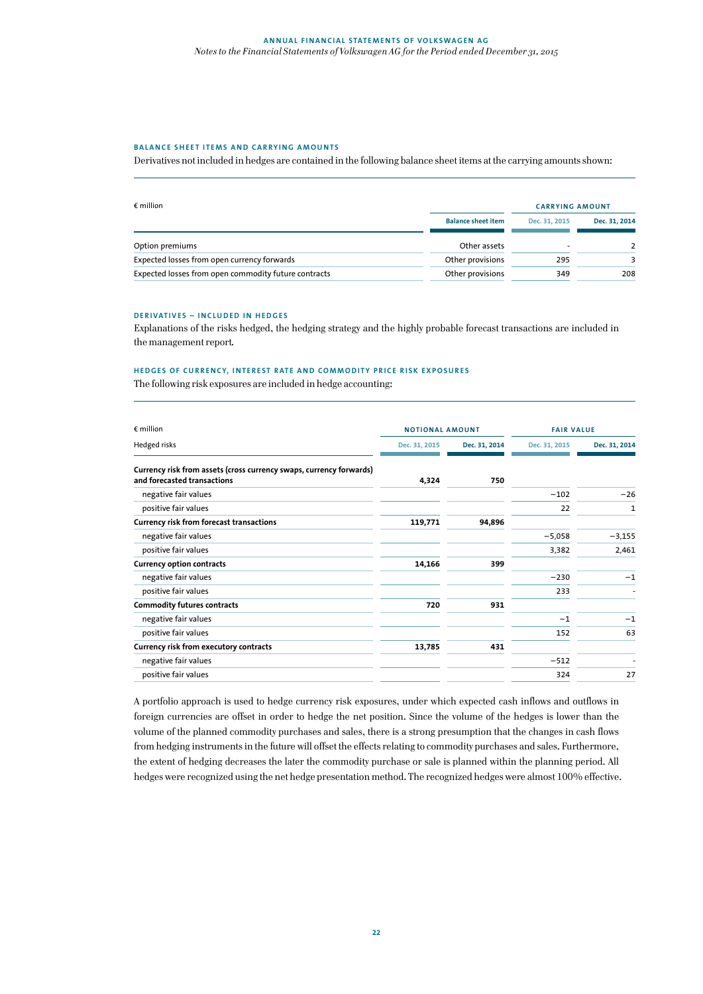#### **BALANCE SHEET ITEMS AND CARRYING AMOUNTS**

Derivatives not included in hedges are contained in the following balance sheet items at the carrying amounts shown:

| $\epsilon$ million                                   |                           | <b>CARRYING AMOUNT</b> |               |
|------------------------------------------------------|---------------------------|------------------------|---------------|
|                                                      | <b>Balance sheet item</b> | Dec. 31, 2015          | Dec. 31, 2014 |
| Option premiums                                      | Other assets              |                        |               |
| Expected losses from open currency forwards          | Other provisions          | 295                    |               |
| Expected losses from open commodity future contracts | Other provisions          | 349                    | 208           |

#### **DERIVATIVES – INCLUDED IN HEDGES**

Explanations of the risks hedged, the hedging strategy and the highly probable forecast transactions are included in the management report.

#### **HEDGES OF CURRENCY, INTEREST RATE AND COMMODITY PRICE RISK EXPOSURES**

The following risk exposures are included in hedge accounting:

| $\epsilon$ million                                                                                 | <b>NOTIONAL AMOUNT</b> |               | <b>FAIR VALUE</b> |               |
|----------------------------------------------------------------------------------------------------|------------------------|---------------|-------------------|---------------|
| Hedged risks                                                                                       | Dec. 31, 2015          | Dec. 31, 2014 | Dec. 31, 2015     | Dec. 31, 2014 |
| Currency risk from assets (cross currency swaps, currency forwards)<br>and forecasted transactions | 4,324                  | 750           |                   |               |
| negative fair values                                                                               |                        |               | $-102$            | $-26$         |
| positive fair values                                                                               |                        |               | 22                | 1             |
| <b>Currency risk from forecast transactions</b>                                                    | 119,771                | 94,896        |                   |               |
| negative fair values                                                                               |                        |               | $-5,058$          | $-3,155$      |
| positive fair values                                                                               |                        |               | 3,382             | 2,461         |
| <b>Currency option contracts</b>                                                                   | 14,166                 | 399           |                   |               |
| negative fair values                                                                               |                        |               | $-230$            | $-1$          |
| positive fair values                                                                               |                        |               | 233               |               |
| <b>Commodity futures contracts</b>                                                                 | 720                    | 931           |                   |               |
| negative fair values                                                                               |                        |               | $-1$              | $-1$          |
| positive fair values                                                                               |                        |               | 152               | 63            |
| <b>Currency risk from executory contracts</b>                                                      | 13,785                 | 431           |                   |               |
| negative fair values                                                                               |                        |               | $-512$            |               |
| positive fair values                                                                               |                        |               | 324               | 27            |

A portfolio approach is used to hedge currency risk exposures, under which expected cash inflows and outflows in foreign currencies are offset in order to hedge the net position. Since the volume of the hedges is lower than the volume of the planned commodity purchases and sales, there is a strong presumption that the changes in cash flows from hedging instruments in the future will offset the effects relating to commodity purchases and sales. Furthermore, the extent of hedging decreases the later the commodity purchase or sale is planned within the planning period. All hedges were recognized using the net hedge presentation method. The recognized hedges were almost 100% effective.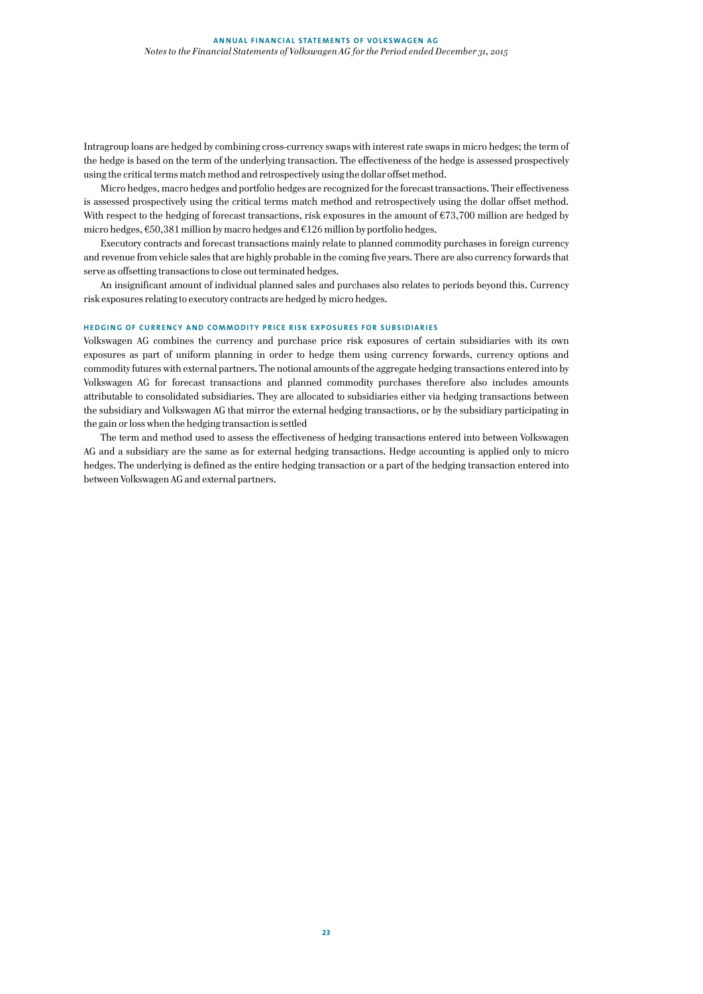Intragroup loans are hedged by combining cross-currency swaps with interest rate swaps in micro hedges; the term of the hedge is based on the term of the underlying transaction. The effectiveness of the hedge is assessed prospectively using the critical terms match method and retrospectively using the dollar offset method.

Micro hedges, macro hedges and portfolio hedges are recognized for the forecast transactions. Their effectiveness is assessed prospectively using the critical terms match method and retrospectively using the dollar offset method. With respect to the hedging of forecast transactions, risk exposures in the amount of  $\epsilon$ 73,700 million are hedged by micro hedges, €50,381 million by macro hedges and €126 million by portfolio hedges.

Executory contracts and forecast transactions mainly relate to planned commodity purchases in foreign currency and revenue from vehicle sales that are highly probable in the coming five years. There are also currency forwards that serve as offsetting transactions to close out terminated hedges.

An insignificant amount of individual planned sales and purchases also relates to periods beyond this. Currency risk exposures relating to executory contracts are hedged by micro hedges.

#### **HEDGING OF CURRENCY AND COMMODITY PRICE RISK EXPOSURES FOR SUBSIDIARIES**

Volkswagen AG combines the currency and purchase price risk exposures of certain subsidiaries with its own exposures as part of uniform planning in order to hedge them using currency forwards, currency options and commodity futures with external partners. The notional amounts of the aggregate hedging transactions entered into by Volkswagen AG for forecast transactions and planned commodity purchases therefore also includes amounts attributable to consolidated subsidiaries. They are allocated to subsidiaries either via hedging transactions between the subsidiary and Volkswagen AG that mirror the external hedging transactions, or by the subsidiary participating in the gain or loss when the hedging transaction is settled

The term and method used to assess the effectiveness of hedging transactions entered into between Volkswagen AG and a subsidiary are the same as for external hedging transactions. Hedge accounting is applied only to micro hedges. The underlying is defined as the entire hedging transaction or a part of the hedging transaction entered into between Volkswagen AG and external partners.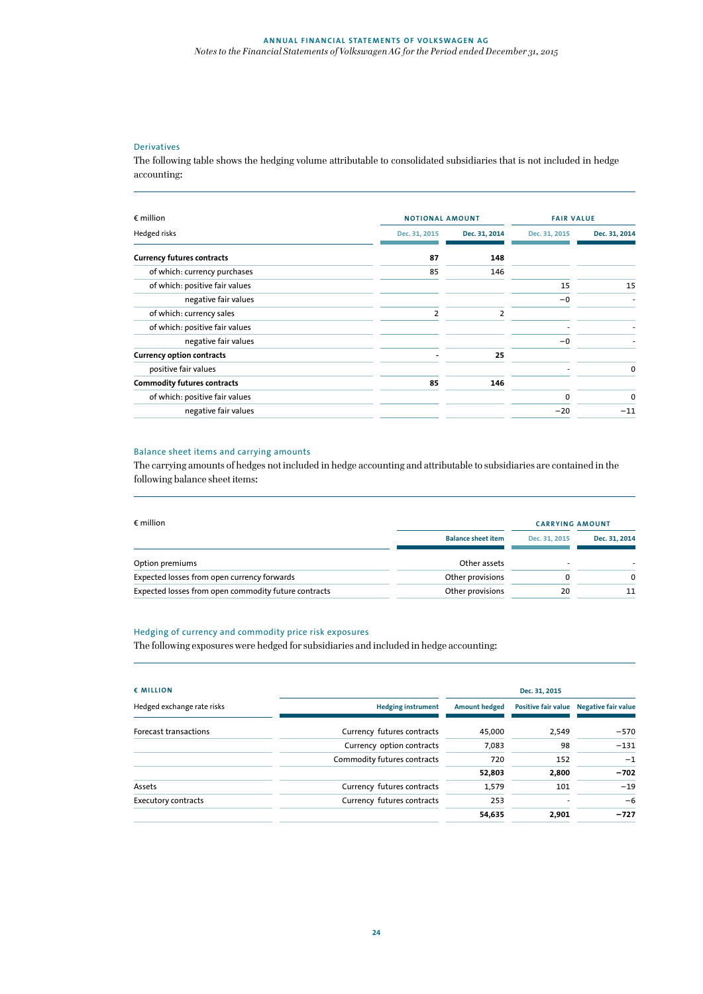# Derivatives

The following table shows the hedging volume attributable to consolidated subsidiaries that is not included in hedge accounting:

| $\epsilon$ million                 |               | <b>NOTIONAL AMOUNT</b> |               | <b>FAIR VALUE</b> |  |
|------------------------------------|---------------|------------------------|---------------|-------------------|--|
| Hedged risks                       | Dec. 31, 2015 | Dec. 31, 2014          | Dec. 31, 2015 | Dec. 31, 2014     |  |
| <b>Currency futures contracts</b>  | 87            | 148                    |               |                   |  |
| of which: currency purchases       | 85            | 146                    |               |                   |  |
| of which: positive fair values     |               |                        | 15            | 15                |  |
| negative fair values               |               |                        | $-0$          |                   |  |
| of which: currency sales           | 2             | $\overline{2}$         |               |                   |  |
| of which: positive fair values     |               |                        |               |                   |  |
| negative fair values               |               |                        | $-0$          |                   |  |
| <b>Currency option contracts</b>   |               | 25                     |               |                   |  |
| positive fair values               |               |                        |               | 0                 |  |
| <b>Commodity futures contracts</b> | 85            | 146                    |               |                   |  |
| of which: positive fair values     |               |                        | $\Omega$      | 0                 |  |
| negative fair values               |               |                        | $-20$         | $-11$             |  |
|                                    |               |                        |               |                   |  |

# Balance sheet items and carrying amounts

The carrying amounts of hedges not included in hedge accounting and attributable to subsidiaries are contained in the following balance sheet items:

| $\epsilon$ million                                   |                           | <b>CARRYING AMOUNT</b> |               |
|------------------------------------------------------|---------------------------|------------------------|---------------|
|                                                      | <b>Balance sheet item</b> | Dec. 31, 2015          | Dec. 31, 2014 |
| Option premiums                                      | Other assets              |                        |               |
| Expected losses from open currency forwards          | Other provisions          |                        | $\Omega$      |
| Expected losses from open commodity future contracts | Other provisions          | 20                     | 11            |

# Hedging of currency and commodity price risk exposures

The following exposures were hedged for subsidiaries and included in hedge accounting:

| € MILLION                  |                             |                      | Dec. 31, 2015              |                            |
|----------------------------|-----------------------------|----------------------|----------------------------|----------------------------|
| Hedged exchange rate risks | <b>Hedging instrument</b>   | <b>Amount hedged</b> | <b>Positive fair value</b> | <b>Negative fair value</b> |
| Forecast transactions      | Currency futures contracts  | 45,000               | 2,549                      | $-570$                     |
|                            | Currency option contracts   | 7.083                | 98                         | $-131$                     |
|                            | Commodity futures contracts | 720                  | 152                        | $-1$                       |
|                            |                             | 52,803               | 2,800                      | $-702$                     |
| Assets                     | Currency futures contracts  | 1,579                | 101                        | $-19$                      |
| <b>Executory contracts</b> | Currency futures contracts  | 253                  |                            | $-6$                       |
|                            |                             | 54,635               | 2,901                      | $-727$                     |
|                            |                             |                      |                            |                            |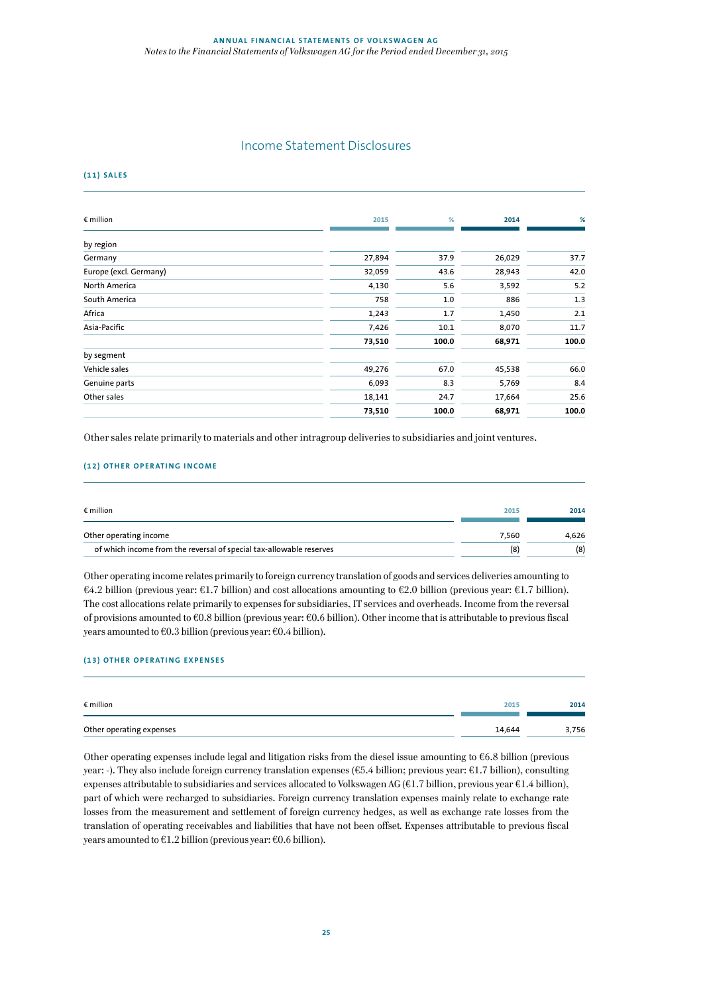# Income Statement Disclosures

**(11) SALES** 

| $\epsilon$ million     | 2015   | %     | 2014   | %     |
|------------------------|--------|-------|--------|-------|
| by region              |        |       |        |       |
| Germany                | 27,894 | 37.9  | 26,029 | 37.7  |
| Europe (excl. Germany) | 32,059 | 43.6  | 28,943 | 42.0  |
| North America          | 4,130  | 5.6   | 3,592  | 5.2   |
| South America          | 758    | 1.0   | 886    | 1.3   |
| Africa                 | 1,243  | 1.7   | 1,450  | 2.1   |
| Asia-Pacific           | 7,426  | 10.1  | 8,070  | 11.7  |
|                        | 73,510 | 100.0 | 68,971 | 100.0 |
| by segment             |        |       |        |       |
| Vehicle sales          | 49,276 | 67.0  | 45,538 | 66.0  |
| Genuine parts          | 6,093  | 8.3   | 5,769  | 8.4   |
| Other sales            | 18,141 | 24.7  | 17,664 | 25.6  |
|                        | 73,510 | 100.0 | 68,971 | 100.0 |
|                        |        |       |        |       |

Other sales relate primarily to materials and other intragroup deliveries to subsidiaries and joint ventures.

### **(12) OTHER OPERATING INCOME**

| $\epsilon$ million                                                  | 2015  | 2014  |
|---------------------------------------------------------------------|-------|-------|
| Other operating income                                              | 7.560 | 4.626 |
| of which income from the reversal of special tax-allowable reserves | (8)   | (8)   |

Other operating income relates primarily to foreign currency translation of goods and services deliveries amounting to €4.2 billion (previous year: €1.7 billion) and cost allocations amounting to €2.0 billion (previous year: €1.7 billion). The cost allocations relate primarily to expenses for subsidiaries, IT services and overheads. Income from the reversal of provisions amounted to €0.8 billion (previous year: €0.6 billion). Other income that is attributable to previous fiscal years amounted to  $\epsilon$ 0.3 billion (previous year:  $\epsilon$ 0.4 billion).

### **(13) OTHER OPERATING EXPENSES**

| $\epsilon$ million       | 2015   | 2014  |
|--------------------------|--------|-------|
|                          |        |       |
| Other operating expenses | 14,644 | 3,756 |

Other operating expenses include legal and litigation risks from the diesel issue amounting to €6.8 billion (previous year: -). They also include foreign currency translation expenses (€5.4 billion; previous year: €1.7 billion), consulting expenses attributable to subsidiaries and services allocated to Volkswagen AG (€1.7 billion, previous year €1.4 billion), part of which were recharged to subsidiaries. Foreign currency translation expenses mainly relate to exchange rate losses from the measurement and settlement of foreign currency hedges, as well as exchange rate losses from the translation of operating receivables and liabilities that have not been offset. Expenses attributable to previous fiscal years amounted to  $\epsilon$ 1.2 billion (previous year:  $\epsilon$ 0.6 billion).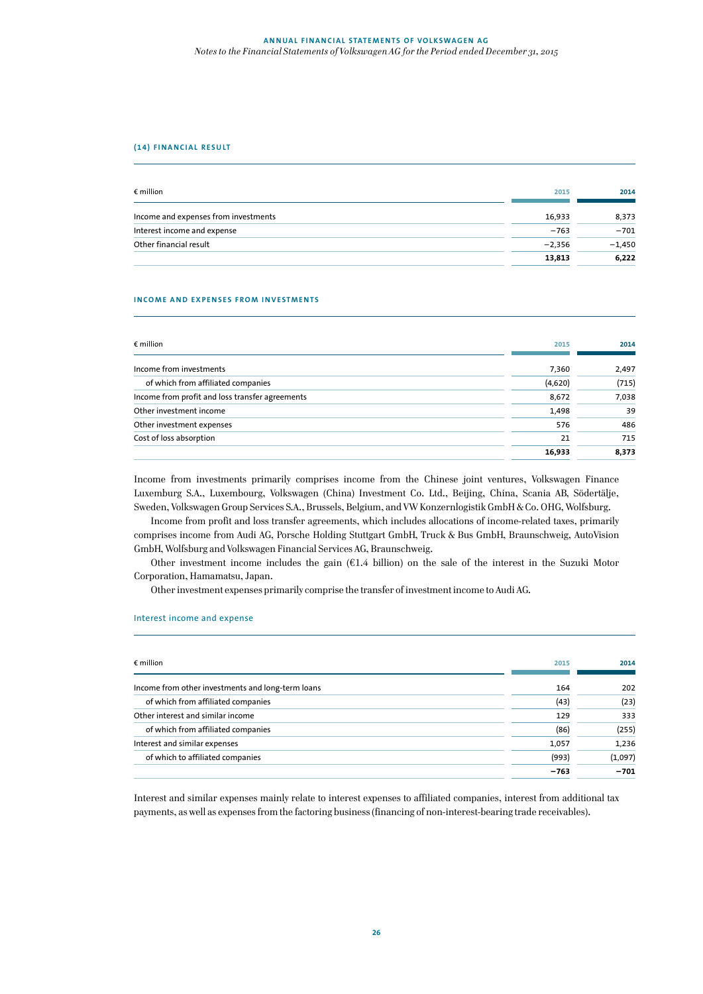### **(14) FI NANCIAL RESU LT**

| $\epsilon$ million                   | 2015     | 2014     |
|--------------------------------------|----------|----------|
| Income and expenses from investments | 16.933   | 8,373    |
| Interest income and expense          | $-763$   | $-701$   |
| Other financial result               | $-2,356$ | $-1,450$ |
|                                      | 13,813   | 6,222    |

#### **INCOME AND EXPENSES FROM INVESTMENTS**

| $\epsilon$ million                              | 2015    | 2014  |
|-------------------------------------------------|---------|-------|
| Income from investments                         | 7,360   | 2,497 |
| of which from affiliated companies              | (4,620) | (715) |
| Income from profit and loss transfer agreements | 8,672   | 7,038 |
| Other investment income                         | 1,498   | 39    |
| Other investment expenses                       | 576     | 486   |
| Cost of loss absorption                         | 21      | 715   |
|                                                 | 16,933  | 8,373 |

Income from investments primarily comprises income from the Chinese joint ventures, Volkswagen Finance Luxemburg S.A., Luxembourg, Volkswagen (China) Investment Co. Ltd., Beijing, China, Scania AB, Södertälje, Sweden, Volkswagen Group Services S.A., Brussels, Belgium, and VW Konzernlogistik GmbH & Co. OHG, Wolfsburg.

Income from profit and loss transfer agreements, which includes allocations of income-related taxes, primarily comprises income from Audi AG, Porsche Holding Stuttgart GmbH, Truck & Bus GmbH, Braunschweig, AutoVision GmbH, Wolfsburg and Volkswagen Financial Services AG, Braunschweig.

Other investment income includes the gain  $(E1.4 \text{ billion})$  on the sale of the interest in the Suzuki Motor Corporation, Hamamatsu, Japan.

Other investment expenses primarily comprise the transfer of investment income to Audi AG.

#### Interest income and expense

| $\epsilon$ million                                | 2015   | 2014    |
|---------------------------------------------------|--------|---------|
| Income from other investments and long-term loans | 164    | 202     |
| of which from affiliated companies                | (43)   | (23)    |
| Other interest and similar income                 | 129    | 333     |
| of which from affiliated companies                | (86)   | (255)   |
| Interest and similar expenses                     | 1,057  | 1,236   |
| of which to affiliated companies                  | (993)  | (1,097) |
|                                                   | $-763$ | $-701$  |

Interest and similar expenses mainly relate to interest expenses to affiliated companies, interest from additional tax payments, as well as expenses from the factoring business (financing of non-interest-bearing trade receivables).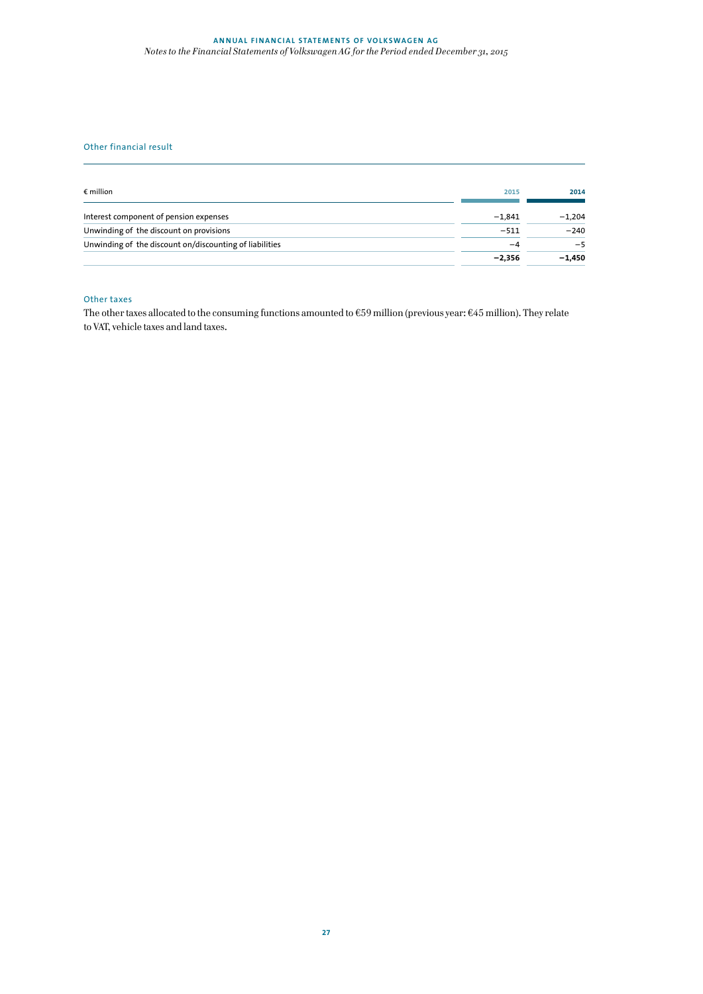## **ANNUAL FINANCIAL STATEMENTS OF VOLKSWAGEN AG** *Notes to the Financial Statements of Volkswagen AG for the Period ended December 31, 2015*

# Other financial result

| $\epsilon$ million                                      | 2015     | 2014     |
|---------------------------------------------------------|----------|----------|
| Interest component of pension expenses                  | $-1.841$ | $-1.204$ |
| Unwinding of the discount on provisions                 | $-511$   | $-240$   |
| Unwinding of the discount on/discounting of liabilities | -4       | $-5$     |
|                                                         | $-2.356$ | $-1.450$ |

# Other taxes

The other taxes allocated to the consuming functions amounted to  $\epsilon$ 59 million (previous year:  $\epsilon$ 45 million). They relate to VAT, vehicle taxes and land taxes.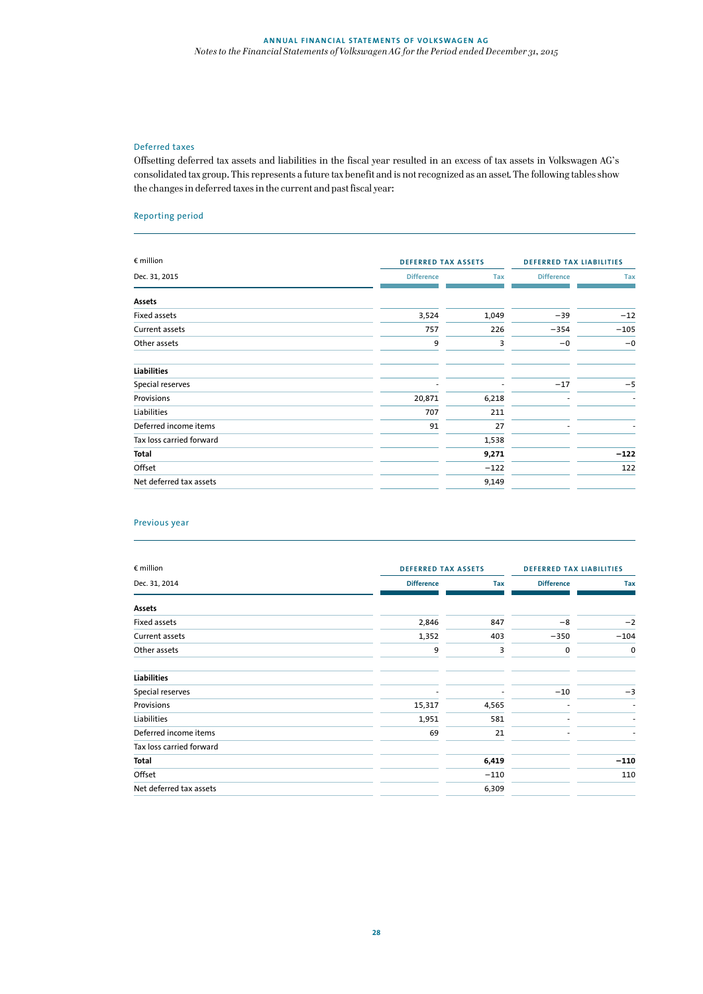# Deferred taxes

Offsetting deferred tax assets and liabilities in the fiscal year resulted in an excess of tax assets in Volkswagen AG's consolidated tax group. This represents a future tax benefit and is not recognized as an asset. The following tables show the changes in deferred taxes in the current and past fiscal year:

# Reporting period

| $\epsilon$ million       | <b>DEFERRED TAX ASSETS</b> |            | <b>DEFERRED TAX LIABILITIES</b> |        |
|--------------------------|----------------------------|------------|---------------------------------|--------|
| Dec. 31, 2015            | <b>Difference</b>          | <b>Tax</b> | <b>Difference</b>               | Tax    |
| Assets                   |                            |            |                                 |        |
| Fixed assets             | 3,524                      | 1,049      | $-39$                           | $-12$  |
| Current assets           | 757                        | 226        | $-354$                          | $-105$ |
| Other assets             | 9                          | 3          | $-0$                            | $-0$   |
| <b>Liabilities</b>       |                            |            |                                 |        |
| Special reserves         |                            |            | $-17$                           | $-5$   |
| Provisions               | 20,871                     | 6,218      |                                 |        |
| Liabilities              | 707                        | 211        |                                 |        |
| Deferred income items    | 91                         | 27         |                                 |        |
| Tax loss carried forward |                            | 1,538      |                                 |        |
| Total                    |                            | 9,271      |                                 | $-122$ |
| Offset                   |                            | $-122$     |                                 | 122    |
| Net deferred tax assets  |                            | 9,149      |                                 |        |

# Previous year

| $\epsilon$ million       |                   | <b>DEFERRED TAX ASSETS</b> |                   | <b>DEFERRED TAX LIABILITIES</b> |  |
|--------------------------|-------------------|----------------------------|-------------------|---------------------------------|--|
| Dec. 31, 2014            | <b>Difference</b> | Tax                        | <b>Difference</b> | Tax                             |  |
| Assets                   |                   |                            |                   |                                 |  |
| Fixed assets             | 2,846             | 847                        | $-8$              | $-2$                            |  |
| Current assets           | 1,352             | 403                        | $-350$            | $-104$                          |  |
| Other assets             | 9                 | 3                          | 0                 | 0                               |  |
| <b>Liabilities</b>       |                   |                            |                   |                                 |  |
| Special reserves         |                   |                            | $-10$             | $-3$                            |  |
| Provisions               | 15,317            | 4,565                      |                   |                                 |  |
| Liabilities              | 1,951             | 581                        |                   |                                 |  |
| Deferred income items    | 69                | 21                         |                   |                                 |  |
| Tax loss carried forward |                   |                            |                   |                                 |  |
| Total                    |                   | 6,419                      |                   | $-110$                          |  |
| Offset                   |                   | $-110$                     |                   | 110                             |  |
| Net deferred tax assets  |                   | 6,309                      |                   |                                 |  |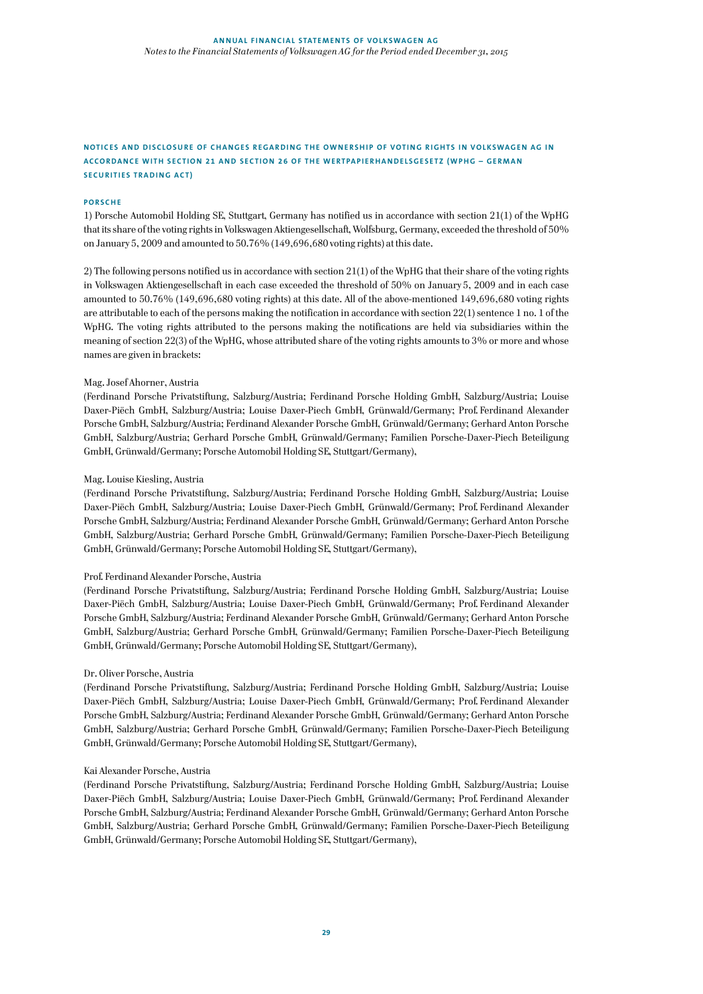# **NOTICES AND DISCLOSURE OF CHANGES REGARDING THE OWNERSHIP OF VOTING RIGHTS IN VOLKSWAGEN AG IN ACCORDANCE WITH SECTION 21 AND SECTION 26 OF THE WERTPAPIERHANDELSGESETZ (WPHG – GERMAN SECURITIES TRADING ACT)**

# **PORSCHE**

1) Porsche Automobil Holding SE, Stuttgart, Germany has notified us in accordance with section 21(1) of the WpHG that its share of the voting rights in Volkswagen Aktiengesellschaft, Wolfsburg, Germany, exceeded the threshold of 50% on January 5, 2009 and amounted to 50.76% (149,696,680 voting rights) at this date.

2) The following persons notified us in accordance with section 21(1) of the WpHG that their share of the voting rights in Volkswagen Aktiengesellschaft in each case exceeded the threshold of 50% on January 5, 2009 and in each case amounted to 50.76% (149,696,680 voting rights) at this date. All of the above-mentioned 149,696,680 voting rights are attributable to each of the persons making the notification in accordance with section 22(1) sentence 1 no. 1 of the WpHG. The voting rights attributed to the persons making the notifications are held via subsidiaries within the meaning of section 22(3) of the WpHG, whose attributed share of the voting rights amounts to 3% or more and whose names are given in brackets:

# Mag. Josef Ahorner, Austria

(Ferdinand Porsche Privatstiftung, Salzburg/Austria; Ferdinand Porsche Holding GmbH, Salzburg/Austria; Louise Daxer-Piëch GmbH, Salzburg/Austria; Louise Daxer-Piech GmbH, Grünwald/Germany; Prof. Ferdinand Alexander Porsche GmbH, Salzburg/Austria; Ferdinand Alexander Porsche GmbH, Grünwald/Germany; Gerhard Anton Porsche GmbH, Salzburg/Austria; Gerhard Porsche GmbH, Grünwald/Germany; Familien Porsche-Daxer-Piech Beteiligung GmbH, Grünwald/Germany; Porsche Automobil Holding SE, Stuttgart/Germany),

# Mag. Louise Kiesling, Austria

(Ferdinand Porsche Privatstiftung, Salzburg/Austria; Ferdinand Porsche Holding GmbH, Salzburg/Austria; Louise Daxer-Piëch GmbH, Salzburg/Austria; Louise Daxer-Piech GmbH, Grünwald/Germany; Prof. Ferdinand Alexander Porsche GmbH, Salzburg/Austria; Ferdinand Alexander Porsche GmbH, Grünwald/Germany; Gerhard Anton Porsche GmbH, Salzburg/Austria; Gerhard Porsche GmbH, Grünwald/Germany; Familien Porsche-Daxer-Piech Beteiligung GmbH, Grünwald/Germany; Porsche Automobil Holding SE, Stuttgart/Germany),

#### Prof. Ferdinand Alexander Porsche, Austria

(Ferdinand Porsche Privatstiftung, Salzburg/Austria; Ferdinand Porsche Holding GmbH, Salzburg/Austria; Louise Daxer-Piëch GmbH, Salzburg/Austria; Louise Daxer-Piech GmbH, Grünwald/Germany; Prof. Ferdinand Alexander Porsche GmbH, Salzburg/Austria; Ferdinand Alexander Porsche GmbH, Grünwald/Germany; Gerhard Anton Porsche GmbH, Salzburg/Austria; Gerhard Porsche GmbH, Grünwald/Germany; Familien Porsche-Daxer-Piech Beteiligung GmbH, Grünwald/Germany; Porsche Automobil Holding SE, Stuttgart/Germany),

#### Dr. Oliver Porsche, Austria

(Ferdinand Porsche Privatstiftung, Salzburg/Austria; Ferdinand Porsche Holding GmbH, Salzburg/Austria; Louise Daxer-Piëch GmbH, Salzburg/Austria; Louise Daxer-Piech GmbH, Grünwald/Germany; Prof. Ferdinand Alexander Porsche GmbH, Salzburg/Austria; Ferdinand Alexander Porsche GmbH, Grünwald/Germany; Gerhard Anton Porsche GmbH, Salzburg/Austria; Gerhard Porsche GmbH, Grünwald/Germany; Familien Porsche-Daxer-Piech Beteiligung GmbH, Grünwald/Germany; Porsche Automobil Holding SE, Stuttgart/Germany),

# Kai Alexander Porsche, Austria

(Ferdinand Porsche Privatstiftung, Salzburg/Austria; Ferdinand Porsche Holding GmbH, Salzburg/Austria; Louise Daxer-Piëch GmbH, Salzburg/Austria; Louise Daxer-Piech GmbH, Grünwald/Germany; Prof. Ferdinand Alexander Porsche GmbH, Salzburg/Austria; Ferdinand Alexander Porsche GmbH, Grünwald/Germany; Gerhard Anton Porsche GmbH, Salzburg/Austria; Gerhard Porsche GmbH, Grünwald/Germany; Familien Porsche-Daxer-Piech Beteiligung GmbH, Grünwald/Germany; Porsche Automobil Holding SE, Stuttgart/Germany),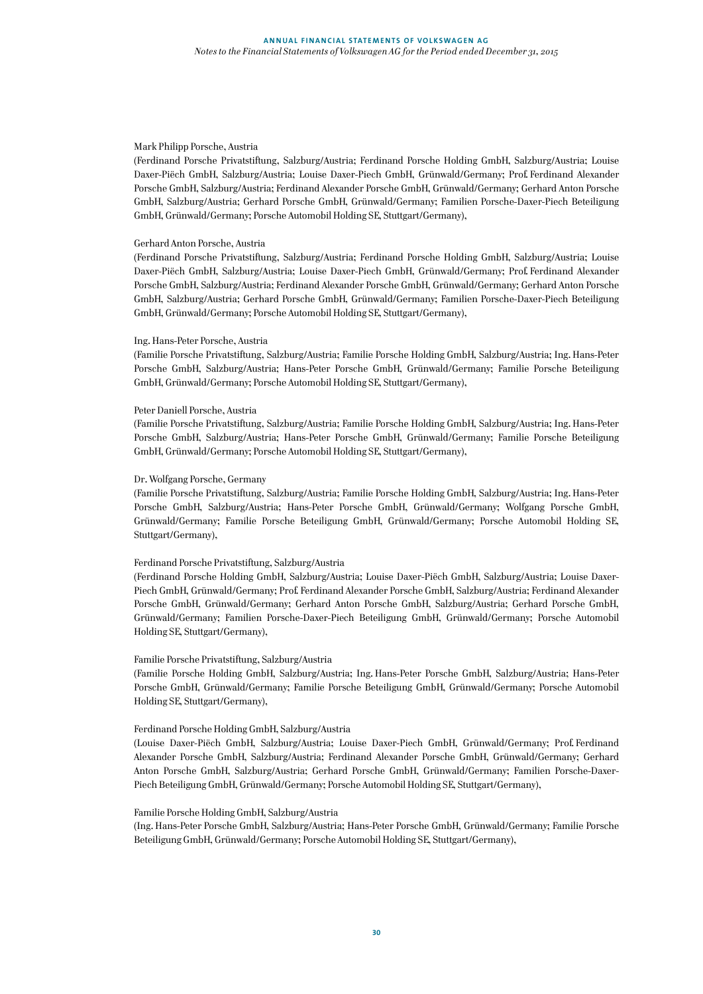# Mark Philipp Porsche, Austria

(Ferdinand Porsche Privatstiftung, Salzburg/Austria; Ferdinand Porsche Holding GmbH, Salzburg/Austria; Louise Daxer-Piëch GmbH, Salzburg/Austria; Louise Daxer-Piech GmbH, Grünwald/Germany; Prof. Ferdinand Alexander Porsche GmbH, Salzburg/Austria; Ferdinand Alexander Porsche GmbH, Grünwald/Germany; Gerhard Anton Porsche GmbH, Salzburg/Austria; Gerhard Porsche GmbH, Grünwald/Germany; Familien Porsche-Daxer-Piech Beteiligung GmbH, Grünwald/Germany; Porsche Automobil Holding SE, Stuttgart/Germany),

## Gerhard Anton Porsche, Austria

(Ferdinand Porsche Privatstiftung, Salzburg/Austria; Ferdinand Porsche Holding GmbH, Salzburg/Austria; Louise Daxer-Piëch GmbH, Salzburg/Austria; Louise Daxer-Piech GmbH, Grünwald/Germany; Prof. Ferdinand Alexander Porsche GmbH, Salzburg/Austria; Ferdinand Alexander Porsche GmbH, Grünwald/Germany; Gerhard Anton Porsche GmbH, Salzburg/Austria; Gerhard Porsche GmbH, Grünwald/Germany; Familien Porsche-Daxer-Piech Beteiligung GmbH, Grünwald/Germany; Porsche Automobil Holding SE, Stuttgart/Germany),

#### Ing. Hans-Peter Porsche, Austria

(Familie Porsche Privatstiftung, Salzburg/Austria; Familie Porsche Holding GmbH, Salzburg/Austria; Ing. Hans-Peter Porsche GmbH, Salzburg/Austria; Hans-Peter Porsche GmbH, Grünwald/Germany; Familie Porsche Beteiligung GmbH, Grünwald/Germany; Porsche Automobil Holding SE, Stuttgart/Germany),

# Peter Daniell Porsche, Austria

(Familie Porsche Privatstiftung, Salzburg/Austria; Familie Porsche Holding GmbH, Salzburg/Austria; Ing. Hans-Peter Porsche GmbH, Salzburg/Austria; Hans-Peter Porsche GmbH, Grünwald/Germany; Familie Porsche Beteiligung GmbH, Grünwald/Germany; Porsche Automobil Holding SE, Stuttgart/Germany),

# Dr. Wolfgang Porsche, Germany

(Familie Porsche Privatstiftung, Salzburg/Austria; Familie Porsche Holding GmbH, Salzburg/Austria; Ing. Hans-Peter Porsche GmbH, Salzburg/Austria; Hans-Peter Porsche GmbH, Grünwald/Germany; Wolfgang Porsche GmbH, Grünwald/Germany; Familie Porsche Beteiligung GmbH, Grünwald/Germany; Porsche Automobil Holding SE, Stuttgart/Germany),

# Ferdinand Porsche Privatstiftung, Salzburg/Austria

(Ferdinand Porsche Holding GmbH, Salzburg/Austria; Louise Daxer-Piëch GmbH, Salzburg/Austria; Louise Daxer-Piech GmbH, Grünwald/Germany; Prof. Ferdinand Alexander Porsche GmbH, Salzburg/Austria; Ferdinand Alexander Porsche GmbH, Grünwald/Germany; Gerhard Anton Porsche GmbH, Salzburg/Austria; Gerhard Porsche GmbH, Grünwald/Germany; Familien Porsche-Daxer-Piech Beteiligung GmbH, Grünwald/Germany; Porsche Automobil Holding SE, Stuttgart/Germany),

#### Familie Porsche Privatstiftung, Salzburg/Austria

(Familie Porsche Holding GmbH, Salzburg/Austria; Ing. Hans-Peter Porsche GmbH, Salzburg/Austria; Hans-Peter Porsche GmbH, Grünwald/Germany; Familie Porsche Beteiligung GmbH, Grünwald/Germany; Porsche Automobil Holding SE, Stuttgart/Germany),

#### Ferdinand Porsche Holding GmbH, Salzburg/Austria

(Louise Daxer-Piëch GmbH, Salzburg/Austria; Louise Daxer-Piech GmbH, Grünwald/Germany; Prof. Ferdinand Alexander Porsche GmbH, Salzburg/Austria; Ferdinand Alexander Porsche GmbH, Grünwald/Germany; Gerhard Anton Porsche GmbH, Salzburg/Austria; Gerhard Porsche GmbH, Grünwald/Germany; Familien Porsche-Daxer-Piech Beteiligung GmbH, Grünwald/Germany; Porsche Automobil Holding SE, Stuttgart/Germany),

#### Familie Porsche Holding GmbH, Salzburg/Austria

(Ing. Hans-Peter Porsche GmbH, Salzburg/Austria; Hans-Peter Porsche GmbH, Grünwald/Germany; Familie Porsche Beteiligung GmbH, Grünwald/Germany; Porsche Automobil Holding SE, Stuttgart/Germany),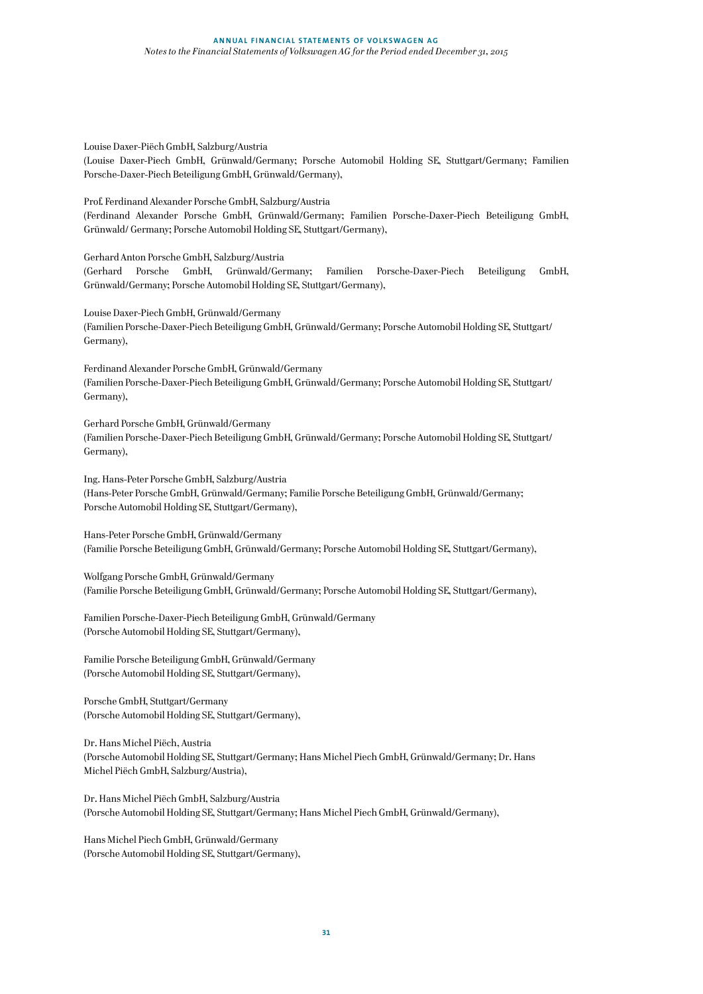Louise Daxer-Piëch GmbH, Salzburg/Austria

(Louise Daxer-Piech GmbH, Grünwald/Germany; Porsche Automobil Holding SE, Stuttgart/Germany; Familien Porsche-Daxer-Piech Beteiligung GmbH, Grünwald/Germany),

Prof. Ferdinand Alexander Porsche GmbH, Salzburg/Austria (Ferdinand Alexander Porsche GmbH, Grünwald/Germany; Familien Porsche-Daxer-Piech Beteiligung GmbH, Grünwald/ Germany; Porsche Automobil Holding SE, Stuttgart/Germany),

Gerhard Anton Porsche GmbH, Salzburg/Austria (Gerhard Porsche GmbH, Grünwald/Germany; Familien Porsche-Daxer-Piech Beteiligung GmbH, Grünwald/Germany; Porsche Automobil Holding SE, Stuttgart/Germany),

Louise Daxer-Piech GmbH, Grünwald/Germany (Familien Porsche-Daxer-Piech Beteiligung GmbH, Grünwald/Germany; Porsche Automobil Holding SE, Stuttgart/ Germany),

Ferdinand Alexander Porsche GmbH, Grünwald/Germany (Familien Porsche-Daxer-Piech Beteiligung GmbH, Grünwald/Germany; Porsche Automobil Holding SE, Stuttgart/ Germany),

Gerhard Porsche GmbH, Grünwald/Germany (Familien Porsche-Daxer-Piech Beteiligung GmbH, Grünwald/Germany; Porsche Automobil Holding SE, Stuttgart/ Germany),

Ing. Hans-Peter Porsche GmbH, Salzburg/Austria (Hans-Peter Porsche GmbH, Grünwald/Germany; Familie Porsche Beteiligung GmbH, Grünwald/Germany; Porsche Automobil Holding SE, Stuttgart/Germany),

Hans-Peter Porsche GmbH, Grünwald/Germany (Familie Porsche Beteiligung GmbH, Grünwald/Germany; Porsche Automobil Holding SE, Stuttgart/Germany),

Wolfgang Porsche GmbH, Grünwald/Germany (Familie Porsche Beteiligung GmbH, Grünwald/Germany; Porsche Automobil Holding SE, Stuttgart/Germany),

Familien Porsche-Daxer-Piech Beteiligung GmbH, Grünwald/Germany (Porsche Automobil Holding SE, Stuttgart/Germany),

Familie Porsche Beteiligung GmbH, Grünwald/Germany (Porsche Automobil Holding SE, Stuttgart/Germany),

Porsche GmbH, Stuttgart/Germany (Porsche Automobil Holding SE, Stuttgart/Germany),

Dr. Hans Michel Piëch, Austria (Porsche Automobil Holding SE, Stuttgart/Germany; Hans Michel Piech GmbH, Grünwald/Germany; Dr. Hans Michel Piëch GmbH, Salzburg/Austria),

Dr. Hans Michel Piëch GmbH, Salzburg/Austria (Porsche Automobil Holding SE, Stuttgart/Germany; Hans Michel Piech GmbH, Grünwald/Germany),

Hans Michel Piech GmbH, Grünwald/Germany (Porsche Automobil Holding SE, Stuttgart/Germany),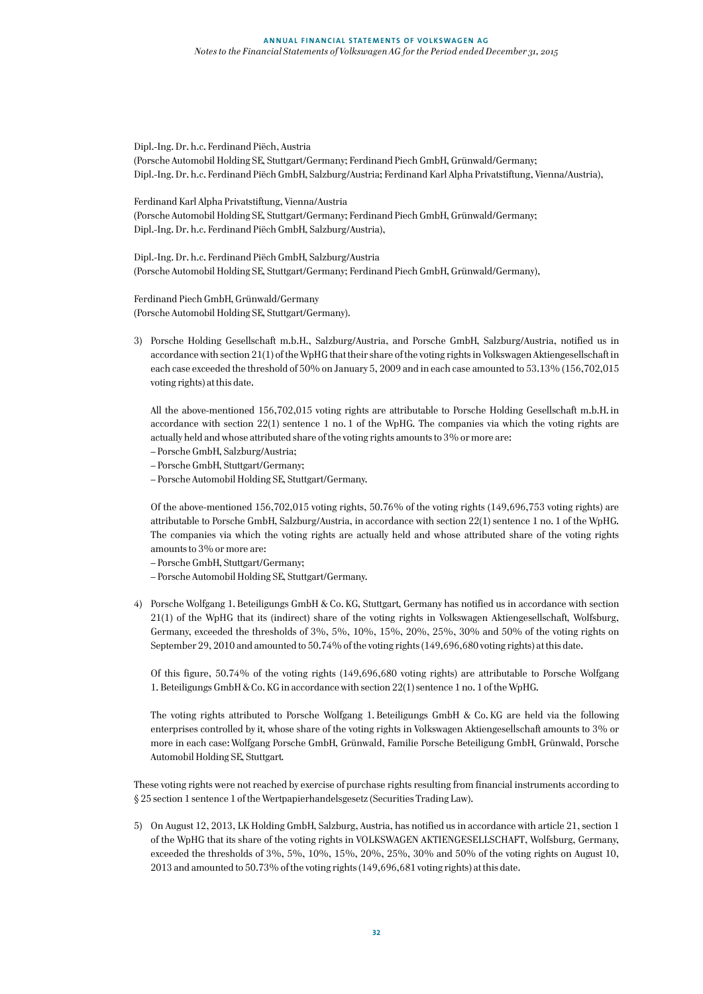Dipl.-Ing. Dr. h.c. Ferdinand Piëch, Austria (Porsche Automobil Holding SE, Stuttgart/Germany; Ferdinand Piech GmbH, Grünwald/Germany; Dipl.-Ing. Dr. h.c. Ferdinand Piëch GmbH, Salzburg/Austria; Ferdinand Karl Alpha Privatstiftung, Vienna/Austria),

Ferdinand Karl Alpha Privatstiftung, Vienna/Austria (Porsche Automobil Holding SE, Stuttgart/Germany; Ferdinand Piech GmbH, Grünwald/Germany; Dipl.-Ing. Dr. h.c. Ferdinand Piëch GmbH, Salzburg/Austria),

Dipl.-Ing. Dr. h.c. Ferdinand Piëch GmbH, Salzburg/Austria (Porsche Automobil Holding SE, Stuttgart/Germany; Ferdinand Piech GmbH, Grünwald/Germany),

Ferdinand Piech GmbH, Grünwald/Germany (Porsche Automobil Holding SE, Stuttgart/Germany).

3) Porsche Holding Gesellschaft m.b.H., Salzburg/Austria, and Porsche GmbH, Salzburg/Austria, notified us in accordance with section 21(1) of the WpHG that their share of the voting rights in Volkswagen Aktiengesellschaft in each case exceeded the threshold of 50% on January 5, 2009 and in each case amounted to 53.13% (156,702,015 voting rights) at this date.

All the above-mentioned 156,702,015 voting rights are attributable to Porsche Holding Gesellschaft m.b.H. in accordance with section 22(1) sentence 1 no. 1 of the WpHG. The companies via which the voting rights are actually held and whose attributed share of the voting rights amounts to 3% or more are:

- Porsche GmbH, Salzburg/Austria;
- Porsche GmbH, Stuttgart/Germany;
- Porsche Automobil Holding SE, Stuttgart/Germany.

Of the above-mentioned 156,702,015 voting rights, 50.76% of the voting rights (149,696,753 voting rights) are attributable to Porsche GmbH, Salzburg/Austria, in accordance with section 22(1) sentence 1 no. 1 of the WpHG. The companies via which the voting rights are actually held and whose attributed share of the voting rights amounts to 3% or more are:

- Porsche GmbH, Stuttgart/Germany;
- Porsche Automobil Holding SE, Stuttgart/Germany.
- 4) Porsche Wolfgang 1. Beteiligungs GmbH & Co. KG, Stuttgart, Germany has notified us in accordance with section 21(1) of the WpHG that its (indirect) share of the voting rights in Volkswagen Aktiengesellschaft, Wolfsburg, Germany, exceeded the thresholds of 3%, 5%, 10%, 15%, 20%, 25%, 30% and 50% of the voting rights on September 29, 2010 and amounted to 50.74% of the voting rights (149,696,680 voting rights) at this date.

Of this figure, 50.74% of the voting rights (149,696,680 voting rights) are attributable to Porsche Wolfgang 1. Beteiligungs GmbH & Co. KG in accordance with section 22(1) sentence 1 no. 1 of the WpHG.

The voting rights attributed to Porsche Wolfgang 1. Beteiligungs GmbH & Co. KG are held via the following enterprises controlled by it, whose share of the voting rights in Volkswagen Aktiengesellschaft amounts to 3% or more in each case: Wolfgang Porsche GmbH, Grünwald, Familie Porsche Beteiligung GmbH, Grünwald, Porsche Automobil Holding SE, Stuttgart.

These voting rights were not reached by exercise of purchase rights resulting from financial instruments according to § 25 section 1 sentence 1 of the Wertpapierhandelsgesetz (Securities Trading Law).

5) On August 12, 2013, LK Holding GmbH, Salzburg, Austria, has notified us in accordance with article 21, section 1 of the WpHG that its share of the voting rights in VOLKSWAGEN AKTIENGESELLSCHAFT, Wolfsburg, Germany, exceeded the thresholds of 3%, 5%, 10%, 15%, 20%, 25%, 30% and 50% of the voting rights on August 10, 2013 and amounted to 50.73% of the voting rights (149,696,681 voting rights) at this date.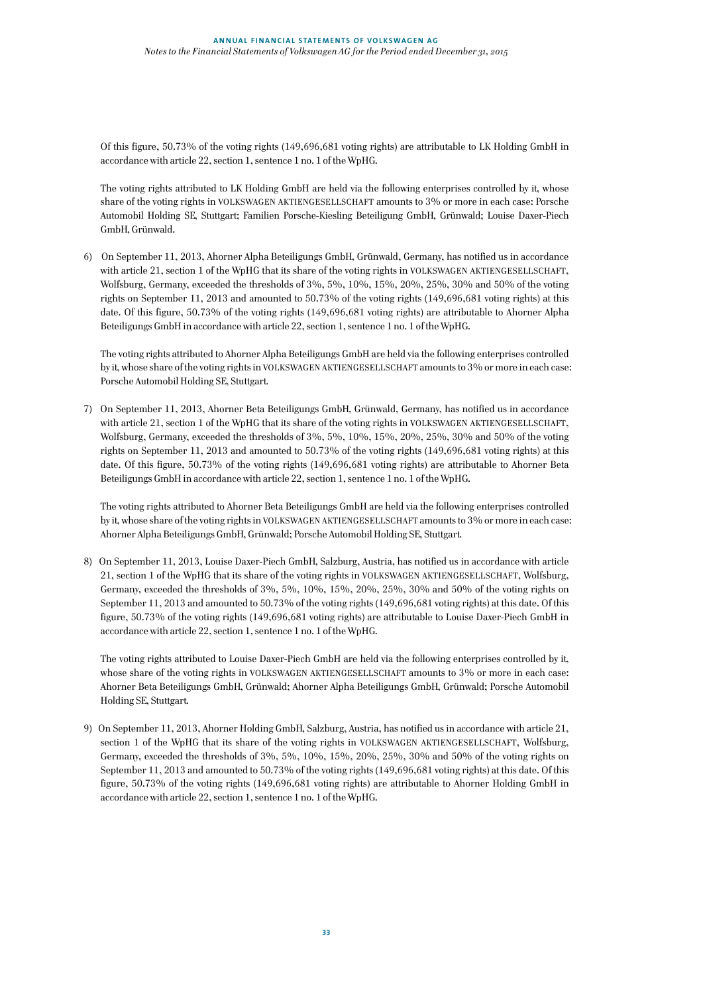Of this figure, 50.73% of the voting rights (149,696,681 voting rights) are attributable to LK Holding GmbH in accordance with article 22, section 1, sentence 1 no. 1 of the WpHG.

The voting rights attributed to LK Holding GmbH are held via the following enterprises controlled by it, whose share of the voting rights in VOLKSWAGEN AKTIENGESELLSCHAFT amounts to 3% or more in each case: Porsche Automobil Holding SE, Stuttgart; Familien Porsche-Kiesling Beteiligung GmbH, Grünwald; Louise Daxer-Piech GmbH, Grünwald.

6) On September 11, 2013, Ahorner Alpha Beteiligungs GmbH, Grünwald, Germany, has notified us in accordance with article 21, section 1 of the WpHG that its share of the voting rights in VOLKSWAGEN AKTIENGESELLSCHAFT, Wolfsburg, Germany, exceeded the thresholds of 3%, 5%, 10%, 15%, 20%, 25%, 30% and 50% of the voting rights on September 11, 2013 and amounted to 50.73% of the voting rights (149,696,681 voting rights) at this date. Of this figure, 50.73% of the voting rights (149,696,681 voting rights) are attributable to Ahorner Alpha Beteiligungs GmbH in accordance with article 22, section 1, sentence 1 no. 1 of the WpHG.

The voting rights attributed to Ahorner Alpha Beteiligungs GmbH are held via the following enterprises controlled by it, whose share of the voting rights in VOLKSWAGEN AKTIENGESELLSCHAFT amounts to 3% or more in each case: Porsche Automobil Holding SE, Stuttgart.

7) On September 11, 2013, Ahorner Beta Beteiligungs GmbH, Grünwald, Germany, has notified us in accordance with article 21, section 1 of the WpHG that its share of the voting rights in VOLKSWAGEN AKTIENGESELLSCHAFT, Wolfsburg, Germany, exceeded the thresholds of 3%, 5%, 10%, 15%, 20%, 25%, 30% and 50% of the voting rights on September 11, 2013 and amounted to 50.73% of the voting rights (149,696,681 voting rights) at this date. Of this figure, 50.73% of the voting rights (149,696,681 voting rights) are attributable to Ahorner Beta Beteiligungs GmbH in accordance with article 22, section 1, sentence 1 no. 1 of the WpHG.

The voting rights attributed to Ahorner Beta Beteiligungs GmbH are held via the following enterprises controlled by it, whose share of the voting rights in VOLKSWAGEN AKTIENGESELLSCHAFT amounts to 3% or more in each case: Ahorner Alpha Beteiligungs GmbH, Grünwald; Porsche Automobil Holding SE, Stuttgart.

8) On September 11, 2013, Louise Daxer-Piech GmbH, Salzburg, Austria, has notified us in accordance with article 21, section 1 of the WpHG that its share of the voting rights in VOLKSWAGEN AKTIENGESELLSCHAFT, Wolfsburg, Germany, exceeded the thresholds of 3%, 5%, 10%, 15%, 20%, 25%, 30% and 50% of the voting rights on September 11, 2013 and amounted to 50.73% of the voting rights (149,696,681 voting rights) at this date. Of this figure, 50.73% of the voting rights (149,696,681 voting rights) are attributable to Louise Daxer-Piech GmbH in accordance with article 22, section 1, sentence 1 no. 1 of the WpHG.

The voting rights attributed to Louise Daxer-Piech GmbH are held via the following enterprises controlled by it, whose share of the voting rights in VOLKSWAGEN AKTIENGESELLSCHAFT amounts to 3% or more in each case: Ahorner Beta Beteiligungs GmbH, Grünwald; Ahorner Alpha Beteiligungs GmbH, Grünwald; Porsche Automobil Holding SE, Stuttgart.

9) On September 11, 2013, Ahorner Holding GmbH, Salzburg, Austria, has notified us in accordance with article 21, section 1 of the WpHG that its share of the voting rights in VOLKSWAGEN AKTIENGESELLSCHAFT, Wolfsburg, Germany, exceeded the thresholds of 3%, 5%, 10%, 15%, 20%, 25%, 30% and 50% of the voting rights on September 11, 2013 and amounted to 50.73% of the voting rights (149,696,681 voting rights) at this date. Of this figure, 50.73% of the voting rights (149,696,681 voting rights) are attributable to Ahorner Holding GmbH in accordance with article 22, section 1, sentence 1 no. 1 of the WpHG.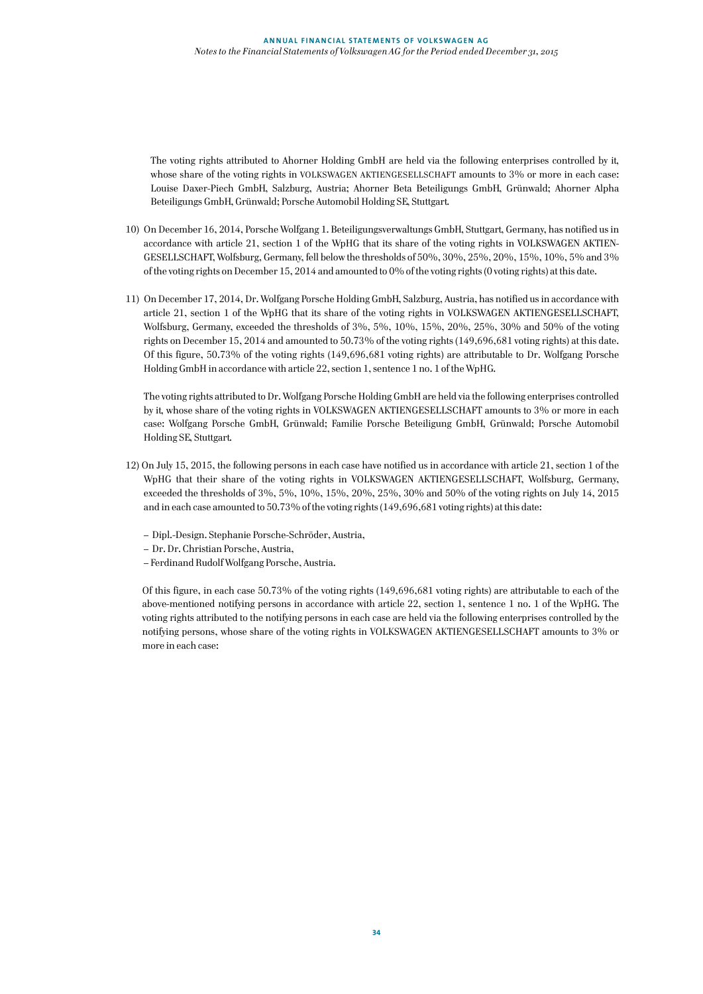The voting rights attributed to Ahorner Holding GmbH are held via the following enterprises controlled by it, whose share of the voting rights in VOLKSWAGEN AKTIENGESELLSCHAFT amounts to 3% or more in each case: Louise Daxer-Piech GmbH, Salzburg, Austria; Ahorner Beta Beteiligungs GmbH, Grünwald; Ahorner Alpha Beteiligungs GmbH, Grünwald; Porsche Automobil Holding SE, Stuttgart.

- 10) On December 16, 2014, Porsche Wolfgang 1. Beteiligungsverwaltungs GmbH, Stuttgart, Germany, has notified us in accordance with article 21, section 1 of the WpHG that its share of the voting rights in VOLKSWAGEN AKTIEN-GESELLSCHAFT, Wolfsburg, Germany, fell below the thresholds of 50%, 30%, 25%, 20%, 15%, 10%, 5% and 3% of the voting rights on December 15, 2014 and amounted to 0% of the voting rights (0 voting rights) at this date.
- 11) On December 17, 2014, Dr. Wolfgang Porsche Holding GmbH, Salzburg, Austria, has notified us in accordance with article 21, section 1 of the WpHG that its share of the voting rights in VOLKSWAGEN AKTIENGESELLSCHAFT, Wolfsburg, Germany, exceeded the thresholds of 3%, 5%, 10%, 15%, 20%, 25%, 30% and 50% of the voting rights on December 15, 2014 and amounted to 50.73% of the voting rights (149,696,681 voting rights) at this date. Of this figure, 50.73% of the voting rights (149,696,681 voting rights) are attributable to Dr. Wolfgang Porsche Holding GmbH in accordance with article 22, section 1, sentence 1 no. 1 of the WpHG.

The voting rights attributed to Dr. Wolfgang Porsche Holding GmbH are held via the following enterprises controlled by it, whose share of the voting rights in VOLKSWAGEN AKTIENGESELLSCHAFT amounts to 3% or more in each case: Wolfgang Porsche GmbH, Grünwald; Familie Porsche Beteiligung GmbH, Grünwald; Porsche Automobil Holding SE, Stuttgart.

- 12) On July 15, 2015, the following persons in each case have notified us in accordance with article 21, section 1 of the WpHG that their share of the voting rights in VOLKSWAGEN AKTIENGESELLSCHAFT, Wolfsburg, Germany, exceeded the thresholds of 3%, 5%, 10%, 15%, 20%, 25%, 30% and 50% of the voting rights on July 14, 2015 and in each case amounted to 50.73% of the voting rights (149,696,681 voting rights) at this date:
	- Dipl.-Design. Stephanie Porsche-Schröder, Austria,
	- Dr. Dr. Christian Porsche, Austria,
	- Ferdinand Rudolf Wolfgang Porsche, Austria.

Of this figure, in each case 50.73% of the voting rights (149,696,681 voting rights) are attributable to each of the above-mentioned notifying persons in accordance with article 22, section 1, sentence 1 no. 1 of the WpHG. The voting rights attributed to the notifying persons in each case are held via the following enterprises controlled by the notifying persons, whose share of the voting rights in VOLKSWAGEN AKTIENGESELLSCHAFT amounts to 3% or more in each case: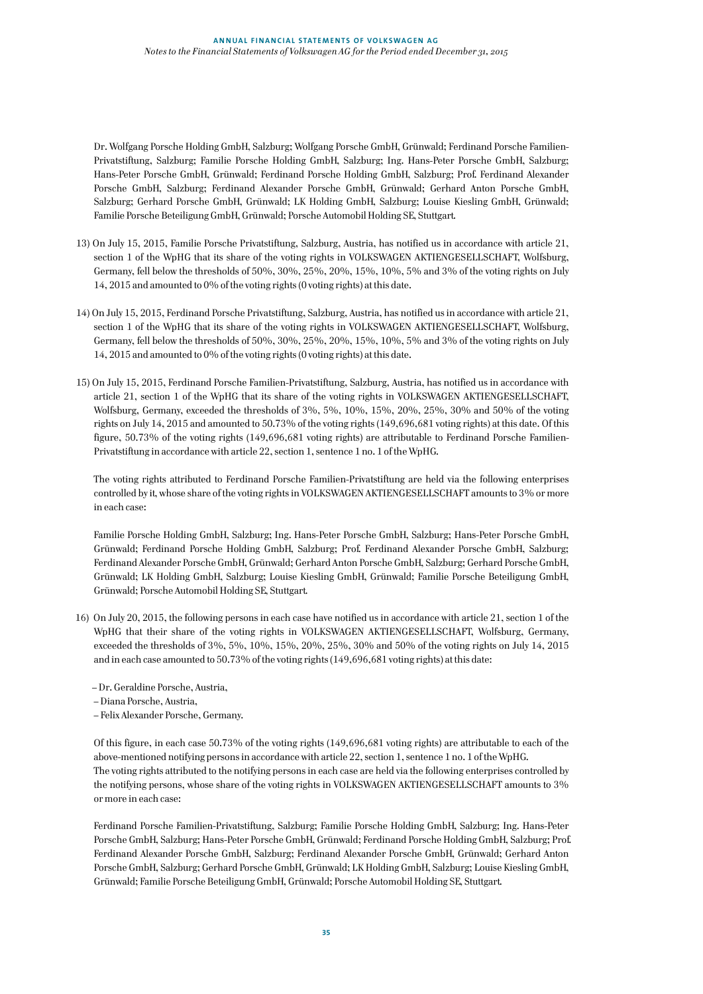Dr. Wolfgang Porsche Holding GmbH, Salzburg; Wolfgang Porsche GmbH, Grünwald; Ferdinand Porsche Familien-Privatstiftung, Salzburg; Familie Porsche Holding GmbH, Salzburg; Ing. Hans-Peter Porsche GmbH, Salzburg; Hans-Peter Porsche GmbH, Grünwald; Ferdinand Porsche Holding GmbH, Salzburg; Prof. Ferdinand Alexander Porsche GmbH, Salzburg; Ferdinand Alexander Porsche GmbH, Grünwald; Gerhard Anton Porsche GmbH, Salzburg; Gerhard Porsche GmbH, Grünwald; LK Holding GmbH, Salzburg; Louise Kiesling GmbH, Grünwald; Familie Porsche Beteiligung GmbH, Grünwald; Porsche Automobil Holding SE, Stuttgart.

- 13) On July 15, 2015, Familie Porsche Privatstiftung, Salzburg, Austria, has notified us in accordance with article 21, section 1 of the WpHG that its share of the voting rights in VOLKSWAGEN AKTIENGESELLSCHAFT, Wolfsburg, Germany, fell below the thresholds of 50%, 30%, 25%, 20%, 15%, 10%, 5% and 3% of the voting rights on July 14, 2015 and amounted to 0% of the voting rights (0 voting rights) at this date.
- 14) On July 15, 2015, Ferdinand Porsche Privatstiftung, Salzburg, Austria, has notified us in accordance with article 21, section 1 of the WpHG that its share of the voting rights in VOLKSWAGEN AKTIENGESELLSCHAFT, Wolfsburg, Germany, fell below the thresholds of 50%, 30%, 25%, 20%, 15%, 10%, 5% and 3% of the voting rights on July 14, 2015 and amounted to 0% of the voting rights (0 voting rights) at this date.
- 15) On July 15, 2015, Ferdinand Porsche Familien-Privatstiftung, Salzburg, Austria, has notified us in accordance with article 21, section 1 of the WpHG that its share of the voting rights in VOLKSWAGEN AKTIENGESELLSCHAFT, Wolfsburg, Germany, exceeded the thresholds of 3%, 5%, 10%, 15%, 20%, 25%, 30% and 50% of the voting rights on July 14, 2015 and amounted to 50.73% of the voting rights (149,696,681 voting rights) at this date. Of this figure, 50.73% of the voting rights (149,696,681 voting rights) are attributable to Ferdinand Porsche Familien-Privatstiftung in accordance with article 22, section 1, sentence 1 no. 1 of the WpHG.

The voting rights attributed to Ferdinand Porsche Familien-Privatstiftung are held via the following enterprises controlled by it, whose share of the voting rights in VOLKSWAGEN AKTIENGESELLSCHAFT amounts to 3% or more in each case:

Familie Porsche Holding GmbH, Salzburg; Ing. Hans-Peter Porsche GmbH, Salzburg; Hans-Peter Porsche GmbH, Grünwald; Ferdinand Porsche Holding GmbH, Salzburg; Prof. Ferdinand Alexander Porsche GmbH, Salzburg; Ferdinand Alexander Porsche GmbH, Grünwald; Gerhard Anton Porsche GmbH, Salzburg; Gerhard Porsche GmbH, Grünwald; LK Holding GmbH, Salzburg; Louise Kiesling GmbH, Grünwald; Familie Porsche Beteiligung GmbH, Grünwald; Porsche Automobil Holding SE, Stuttgart.

- 16) On July 20, 2015, the following persons in each case have notified us in accordance with article 21, section 1 of the WpHG that their share of the voting rights in VOLKSWAGEN AKTIENGESELLSCHAFT, Wolfsburg, Germany, exceeded the thresholds of 3%, 5%, 10%, 15%, 20%, 25%, 30% and 50% of the voting rights on July 14, 2015 and in each case amounted to 50.73% of the voting rights (149,696,681 voting rights) at this date:
	- Dr. Geraldine Porsche, Austria,
	- Diana Porsche, Austria,
	- Felix Alexander Porsche, Germany.

Of this figure, in each case 50.73% of the voting rights (149,696,681 voting rights) are attributable to each of the above-mentioned notifying persons in accordance with article 22, section 1, sentence 1 no. 1 of the WpHG. The voting rights attributed to the notifying persons in each case are held via the following enterprises controlled by the notifying persons, whose share of the voting rights in VOLKSWAGEN AKTIENGESELLSCHAFT amounts to 3% or more in each case:

Ferdinand Porsche Familien-Privatstiftung, Salzburg; Familie Porsche Holding GmbH, Salzburg; Ing. Hans-Peter Porsche GmbH, Salzburg; Hans-Peter Porsche GmbH, Grünwald; Ferdinand Porsche Holding GmbH, Salzburg; Prof. Ferdinand Alexander Porsche GmbH, Salzburg; Ferdinand Alexander Porsche GmbH, Grünwald; Gerhard Anton Porsche GmbH, Salzburg; Gerhard Porsche GmbH, Grünwald; LK Holding GmbH, Salzburg; Louise Kiesling GmbH, Grünwald; Familie Porsche Beteiligung GmbH, Grünwald; Porsche Automobil Holding SE, Stuttgart.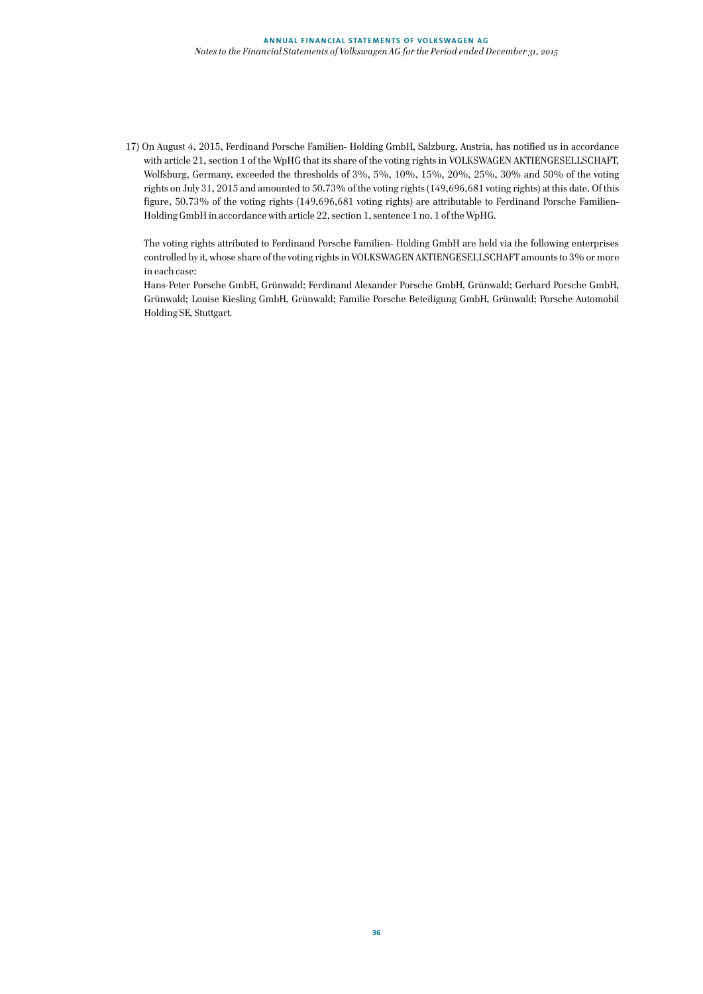17) On August 4, 2015, Ferdinand Porsche Familien- Holding GmbH, Salzburg, Austria, has notified us in accordance with article 21, section 1 of the WpHG that its share of the voting rights in VOLKSWAGEN AKTIENGESELLSCHAFT, Wolfsburg, Germany, exceeded the thresholds of 3%, 5%, 10%, 15%, 20%, 25%, 30% and 50% of the voting rights on July 31, 2015 and amounted to 50.73% of the voting rights (149,696,681 voting rights) at this date. Of this figure, 50.73% of the voting rights (149,696,681 voting rights) are attributable to Ferdinand Porsche Familien-Holding GmbH in accordance with article 22, section 1, sentence 1 no. 1 of the WpHG.

The voting rights attributed to Ferdinand Porsche Familien- Holding GmbH are held via the following enterprises controlled by it, whose share of the voting rights in VOLKSWAGEN AKTIENGESELLSCHAFT amounts to 3% or more in each case:

Hans-Peter Porsche GmbH, Grünwald; Ferdinand Alexander Porsche GmbH, Grünwald; Gerhard Porsche GmbH, Grünwald; Louise Kiesling GmbH, Grünwald; Familie Porsche Beteiligung GmbH, Grünwald; Porsche Automobil Holding SE, Stuttgart.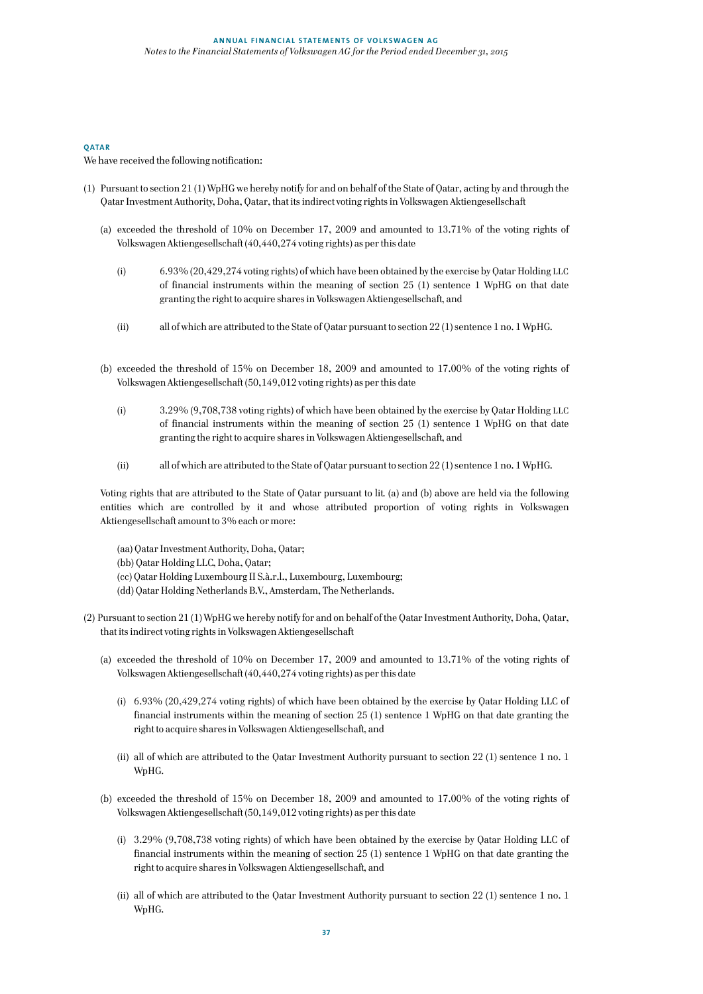# **QATAR**

# We have received the following notification:

- (1) Pursuant to section 21 (1) WpHG we hereby notify for and on behalf of the State of Qatar, acting by and through the Qatar Investment Authority, Doha, Qatar, that its indirect voting rights in Volkswagen Aktiengesellschaft
	- (a) exceeded the threshold of 10% on December 17, 2009 and amounted to 13.71% of the voting rights of Volkswagen Aktiengesellschaft (40,440,274 voting rights) as per this date
		- (i) 6.93% (20,429,274 voting rights) of which have been obtained by the exercise by Qatar Holding LLC of financial instruments within the meaning of section 25 (1) sentence 1 WpHG on that date granting the right to acquire shares in Volkswagen Aktiengesellschaft, and
		- (ii) all of which are attributed to the State of Qatar pursuant to section 22 (1) sentence 1 no. 1 WpHG.
	- (b) exceeded the threshold of 15% on December 18, 2009 and amounted to 17.00% of the voting rights of Volkswagen Aktiengesellschaft (50,149,012 voting rights) as per this date
		- (i) 3.29% (9,708,738 voting rights) of which have been obtained by the exercise by Qatar Holding LLC of financial instruments within the meaning of section 25 (1) sentence 1 WpHG on that date granting the right to acquire shares in Volkswagen Aktiengesellschaft, and
		- (ii) all of which are attributed to the State of Qatar pursuant to section 22 (1) sentence 1 no. 1 WpHG.

Voting rights that are attributed to the State of Qatar pursuant to lit. (a) and (b) above are held via the following entities which are controlled by it and whose attributed proportion of voting rights in Volkswagen Aktiengesellschaft amount to 3% each or more:

- (aa) Qatar Investment Authority, Doha, Qatar;
- (bb) Qatar Holding LLC, Doha, Qatar;
- (cc) Qatar Holding Luxembourg II S.à.r.l., Luxembourg, Luxembourg;
- (dd) Qatar Holding Netherlands B.V., Amsterdam, The Netherlands.
- (2) Pursuant to section 21 (1) WpHG we hereby notify for and on behalf of the Qatar Investment Authority, Doha, Qatar, that its indirect voting rights in Volkswagen Aktiengesellschaft
	- (a) exceeded the threshold of 10% on December 17, 2009 and amounted to 13.71% of the voting rights of Volkswagen Aktiengesellschaft (40,440,274 voting rights) as per this date
		- (i) 6.93% (20,429,274 voting rights) of which have been obtained by the exercise by Qatar Holding LLC of financial instruments within the meaning of section 25 (1) sentence 1 WpHG on that date granting the right to acquire shares in Volkswagen Aktiengesellschaft, and
		- (ii) all of which are attributed to the Qatar Investment Authority pursuant to section 22 (1) sentence 1 no. 1 WpHG.
	- (b) exceeded the threshold of 15% on December 18, 2009 and amounted to 17.00% of the voting rights of Volkswagen Aktiengesellschaft (50,149,012 voting rights) as per this date
		- (i) 3.29% (9,708,738 voting rights) of which have been obtained by the exercise by Qatar Holding LLC of financial instruments within the meaning of section 25 (1) sentence 1 WpHG on that date granting the right to acquire shares in Volkswagen Aktiengesellschaft, and
		- (ii) all of which are attributed to the Qatar Investment Authority pursuant to section 22 (1) sentence 1 no. 1 WpHG.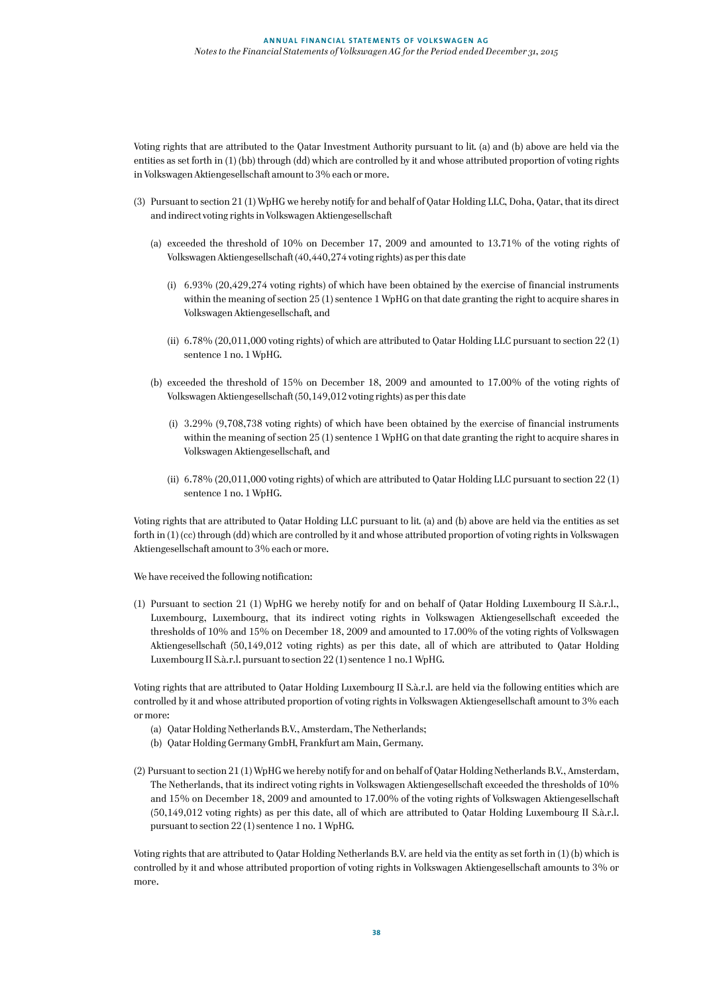Voting rights that are attributed to the Qatar Investment Authority pursuant to lit. (a) and (b) above are held via the entities as set forth in (1) (bb) through (dd) which are controlled by it and whose attributed proportion of voting rights in Volkswagen Aktiengesellschaft amount to 3% each or more.

- (3) Pursuant to section 21 (1) WpHG we hereby notify for and behalf of Qatar Holding LLC, Doha, Qatar, that its direct and indirect voting rights in Volkswagen Aktiengesellschaft
	- (a) exceeded the threshold of 10% on December 17, 2009 and amounted to 13.71% of the voting rights of Volkswagen Aktiengesellschaft (40,440,274 voting rights) as per this date
		- (i) 6.93% (20,429,274 voting rights) of which have been obtained by the exercise of financial instruments within the meaning of section 25 (1) sentence 1 WpHG on that date granting the right to acquire shares in Volkswagen Aktiengesellschaft, and
		- (ii) 6.78% (20,011,000 voting rights) of which are attributed to Qatar Holding LLC pursuant to section 22 (1) sentence 1 no. 1 WpHG.
	- (b) exceeded the threshold of 15% on December 18, 2009 and amounted to 17.00% of the voting rights of Volkswagen Aktiengesellschaft (50,149,012 voting rights) as per this date
		- (i) 3.29% (9,708,738 voting rights) of which have been obtained by the exercise of financial instruments within the meaning of section 25 (1) sentence 1 WpHG on that date granting the right to acquire shares in Volkswagen Aktiengesellschaft, and
		- (ii) 6.78% (20,011,000 voting rights) of which are attributed to Qatar Holding LLC pursuant to section 22 (1) sentence 1 no. 1 WpHG.

Voting rights that are attributed to Qatar Holding LLC pursuant to lit. (a) and (b) above are held via the entities as set forth in (1) (cc) through (dd) which are controlled by it and whose attributed proportion of voting rights in Volkswagen Aktiengesellschaft amount to 3% each or more.

We have received the following notification:

(1) Pursuant to section 21 (1) WpHG we hereby notify for and on behalf of Qatar Holding Luxembourg II S.à.r.l., Luxembourg, Luxembourg, that its indirect voting rights in Volkswagen Aktiengesellschaft exceeded the thresholds of 10% and 15% on December 18, 2009 and amounted to 17.00% of the voting rights of Volkswagen Aktiengesellschaft (50,149,012 voting rights) as per this date, all of which are attributed to Qatar Holding Luxembourg II S.à.r.l. pursuant to section 22 (1) sentence 1 no.1 WpHG.

Voting rights that are attributed to Qatar Holding Luxembourg II S.à.r.l. are held via the following entities which are controlled by it and whose attributed proportion of voting rights in Volkswagen Aktiengesellschaft amount to 3% each or more:

- (a) Qatar Holding Netherlands B.V., Amsterdam, The Netherlands;
- (b) Qatar Holding Germany GmbH, Frankfurt am Main, Germany.
- (2) Pursuant to section 21 (1) WpHG we hereby notify for and on behalf of Qatar Holding Netherlands B.V., Amsterdam, The Netherlands, that its indirect voting rights in Volkswagen Aktiengesellschaft exceeded the thresholds of 10% and 15% on December 18, 2009 and amounted to 17.00% of the voting rights of Volkswagen Aktiengesellschaft (50,149,012 voting rights) as per this date, all of which are attributed to Qatar Holding Luxembourg II S.à.r.l. pursuant to section 22 (1) sentence 1 no. 1 WpHG.

Voting rights that are attributed to Qatar Holding Netherlands B.V. are held via the entity as set forth in (1) (b) which is controlled by it and whose attributed proportion of voting rights in Volkswagen Aktiengesellschaft amounts to 3% or more.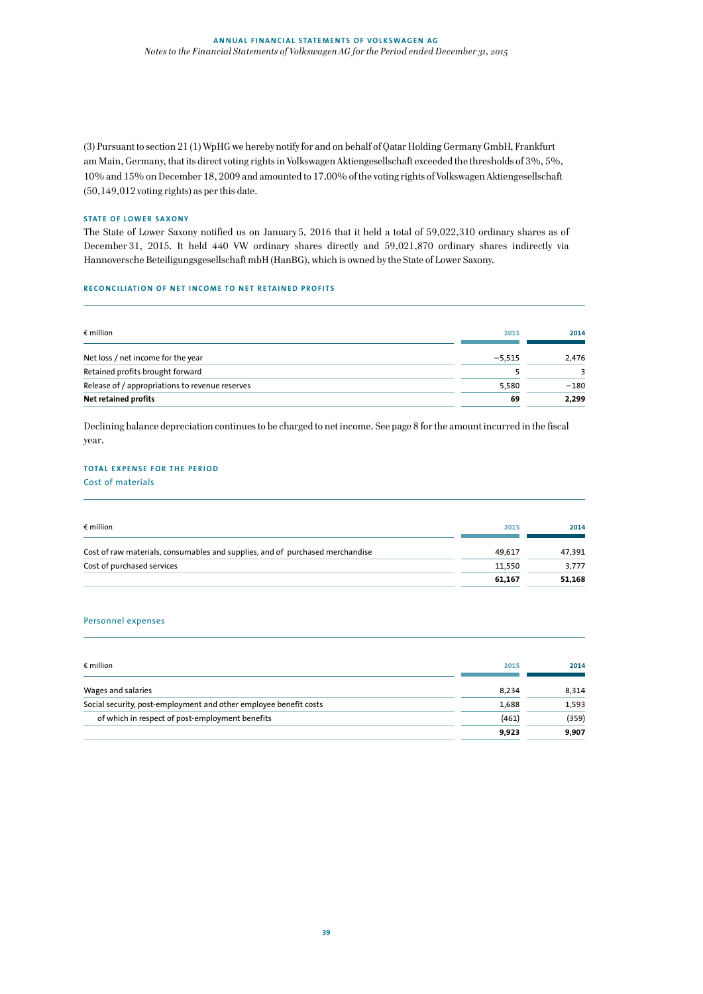(3) Pursuant to section 21 (1) WpHG we hereby notify for and on behalf of Qatar Holding Germany GmbH, Frankfurt am Main, Germany, that its direct voting rights in Volkswagen Aktiengesellschaft exceeded the thresholds of 3%, 5%, 10% and 15% on December 18, 2009 and amounted to 17.00% of the voting rights of Volkswagen Aktiengesellschaft (50,149,012 voting rights) as per this date.

#### **STATE OF LOWER SAXONY**

The State of Lower Saxony notified us on January 5, 2016 that it held a total of 59,022,310 ordinary shares as of December 31, 2015. It held 440 VW ordinary shares directly and 59,021,870 ordinary shares indirectly via Hannoversche Beteiligungsgesellschaft mbH (HanBG), which is owned by the State of Lower Saxony.

### **RECONCILIATION OF NET INCOME TO NET RETAINED PROFITS**

| $\epsilon$ million                              | 2015     | 2014   |
|-------------------------------------------------|----------|--------|
| Net loss / net income for the year              | $-5.515$ | 2.476  |
| Retained profits brought forward                |          |        |
| Release of / appropriations to revenue reserves | 5,580    | $-180$ |
| Net retained profits                            | 69       | 2,299  |

Declining balance depreciation continues to be charged to net income. See page 8 for the amount incurred in the fiscal year.

#### **TOTAL EXPENSE FOR THE PERIOD**

Cost of materials

| $\epsilon$ million                                                            | 2015   | 2014   |
|-------------------------------------------------------------------------------|--------|--------|
| Cost of raw materials, consumables and supplies, and of purchased merchandise | 49.617 | 47.391 |
| Cost of purchased services                                                    | 11.550 | 3.777  |
|                                                                               | 61.167 | 51,168 |

#### Personnel expenses

| $\epsilon$ million                                                | 2015  | 2014  |
|-------------------------------------------------------------------|-------|-------|
| Wages and salaries                                                | 8,234 | 8.314 |
| Social security, post-employment and other employee benefit costs | 1.688 | 1,593 |
| of which in respect of post-employment benefits                   | (461) | (359) |
|                                                                   | 9.923 | 9,907 |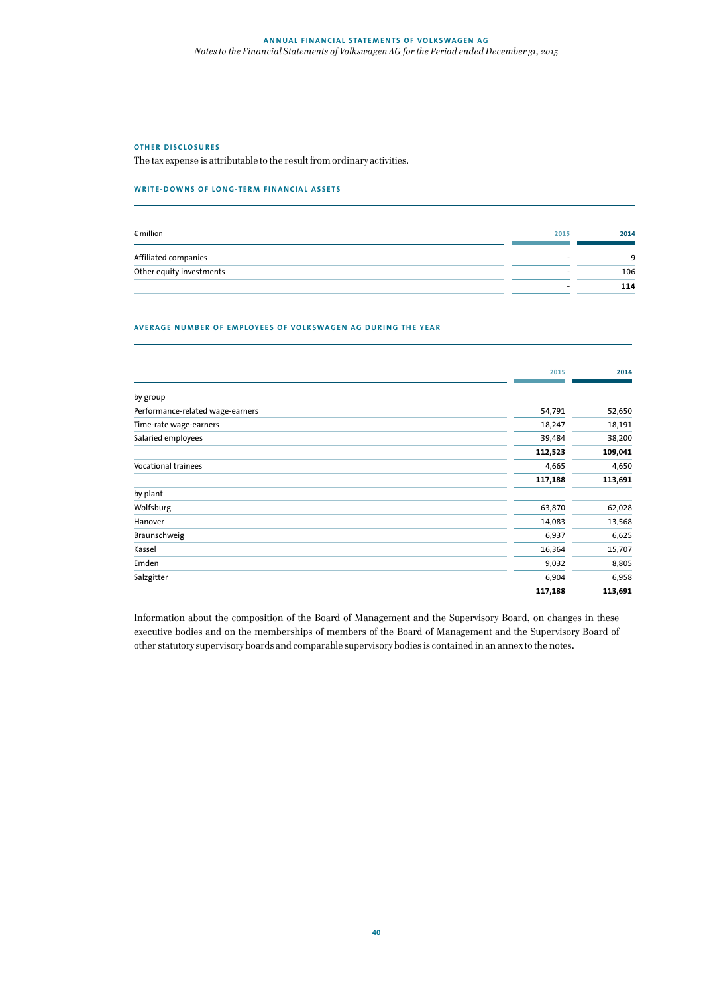#### **OTHER DISCLOSURES**

The tax expense is attributable to the result from ordinary activities.

#### **WRITE-DOWNS OF LONG-TERM FINANCIAL ASSETS**

| $\epsilon$ million       | 2015 | 2014 |
|--------------------------|------|------|
| Affiliated companies     |      |      |
| Other equity investments |      | 106  |
|                          |      | 114  |

#### **AVERAGE NUMBER OF EMPLOYEES OF VOLKSWAGEN AG DURING THE YEAR**

|                                  | 2015    | 2014    |
|----------------------------------|---------|---------|
|                                  |         |         |
| by group                         |         |         |
| Performance-related wage-earners | 54,791  | 52,650  |
| Time-rate wage-earners           | 18,247  | 18,191  |
| Salaried employees               | 39,484  | 38,200  |
|                                  | 112,523 | 109,041 |
| <b>Vocational trainees</b>       | 4,665   | 4,650   |
|                                  | 117,188 | 113,691 |
| by plant                         |         |         |
| Wolfsburg                        | 63,870  | 62,028  |
| Hanover                          | 14,083  | 13,568  |
| Braunschweig                     | 6,937   | 6,625   |
| Kassel                           | 16,364  | 15,707  |
| Emden                            | 9,032   | 8,805   |
| Salzgitter                       | 6,904   | 6,958   |
|                                  | 117,188 | 113,691 |

Information about the composition of the Board of Management and the Supervisory Board, on changes in these executive bodies and on the memberships of members of the Board of Management and the Supervisory Board of other statutory supervisory boards and comparable supervisory bodies is contained in an annex to the notes.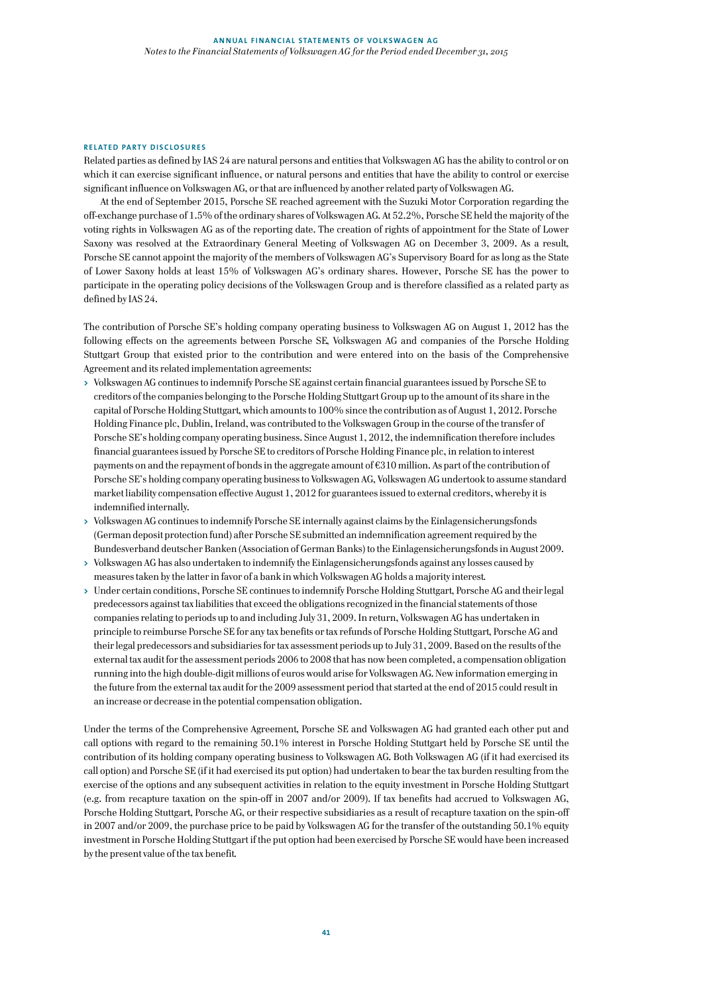#### **RELATED PARTY DISCLOSURES**

Related parties as defined by IAS 24 are natural persons and entities that Volkswagen AG has the ability to control or on which it can exercise significant influence, or natural persons and entities that have the ability to control or exercise significant influence on Volkswagen AG, or that are influenced by another related party of Volkswagen AG.

At the end of September 2015, Porsche SE reached agreement with the Suzuki Motor Corporation regarding the off-exchange purchase of 1.5% of the ordinary shares of Volkswagen AG. At 52.2%, Porsche SE held the majority of the voting rights in Volkswagen AG as of the reporting date. The creation of rights of appointment for the State of Lower Saxony was resolved at the Extraordinary General Meeting of Volkswagen AG on December 3, 2009. As a result, Porsche SE cannot appoint the majority of the members of Volkswagen AG's Supervisory Board for as long as the State of Lower Saxony holds at least 15% of Volkswagen AG's ordinary shares. However, Porsche SE has the power to participate in the operating policy decisions of the Volkswagen Group and is therefore classified as a related party as defined by IAS 24.

The contribution of Porsche SE's holding company operating business to Volkswagen AG on August 1, 2012 has the following effects on the agreements between Porsche SE, Volkswagen AG and companies of the Porsche Holding Stuttgart Group that existed prior to the contribution and were entered into on the basis of the Comprehensive Agreement and its related implementation agreements:

- **>** Volkswagen AG continues to indemnify Porsche SE against certain financial guarantees issued by Porsche SE to creditors of the companies belonging to the Porsche Holding Stuttgart Group up to the amount of its share in the capital of Porsche Holding Stuttgart, which amounts to 100% since the contribution as of August 1, 2012. Porsche Holding Finance plc, Dublin, Ireland, was contributed to the Volkswagen Group in the course of the transfer of Porsche SE's holding company operating business. Since August 1, 2012, the indemnification therefore includes financial guarantees issued by Porsche SE to creditors of Porsche Holding Finance plc, in relation to interest payments on and the repayment of bonds in the aggregate amount of €310 million. As part of the contribution of Porsche SE's holding company operating business to Volkswagen AG, Volkswagen AG undertook to assume standard market liability compensation effective August 1, 2012 for guarantees issued to external creditors, whereby it is indemnified internally.
- **>** Volkswagen AG continues to indemnify Porsche SE internally against claims by the Einlagensicherungsfonds (German deposit protection fund) after Porsche SE submitted an indemnification agreement required by the Bundesverband deutscher Banken (Association of German Banks) to the Einlagensicherungsfonds in August 2009.
- **>** Volkswagen AG has also undertaken to indemnify the Einlagensicherungsfonds against any losses caused by measures taken by the latter in favor of a bank in which Volkswagen AG holds a majority interest.
- **>** Under certain conditions, Porsche SE continues to indemnify Porsche Holding Stuttgart, Porsche AG and their legal predecessors against tax liabilities that exceed the obligations recognized in the financial statements of those companies relating to periods up to and including July 31, 2009. In return, Volkswagen AG has undertaken in principle to reimburse Porsche SE for any tax benefits or tax refunds of Porsche Holding Stuttgart, Porsche AG and their legal predecessors and subsidiaries for tax assessment periods up to July 31, 2009. Based on the results of the external tax audit for the assessment periods 2006 to 2008 that has now been completed, a compensation obligation running into the high double-digit millions of euros would arise for Volkswagen AG. New information emerging in the future from the external tax audit for the 2009 assessment period that started at the end of 2015 could result in an increase or decrease in the potential compensation obligation.

Under the terms of the Comprehensive Agreement, Porsche SE and Volkswagen AG had granted each other put and call options with regard to the remaining 50.1% interest in Porsche Holding Stuttgart held by Porsche SE until the contribution of its holding company operating business to Volkswagen AG. Both Volkswagen AG (if it had exercised its call option) and Porsche SE (if it had exercised its put option) had undertaken to bear the tax burden resulting from the exercise of the options and any subsequent activities in relation to the equity investment in Porsche Holding Stuttgart (e.g. from recapture taxation on the spin-off in 2007 and/or 2009). If tax benefits had accrued to Volkswagen AG, Porsche Holding Stuttgart, Porsche AG, or their respective subsidiaries as a result of recapture taxation on the spin-off in 2007 and/or 2009, the purchase price to be paid by Volkswagen AG for the transfer of the outstanding 50.1% equity investment in Porsche Holding Stuttgart if the put option had been exercised by Porsche SE would have been increased by the present value of the tax benefit.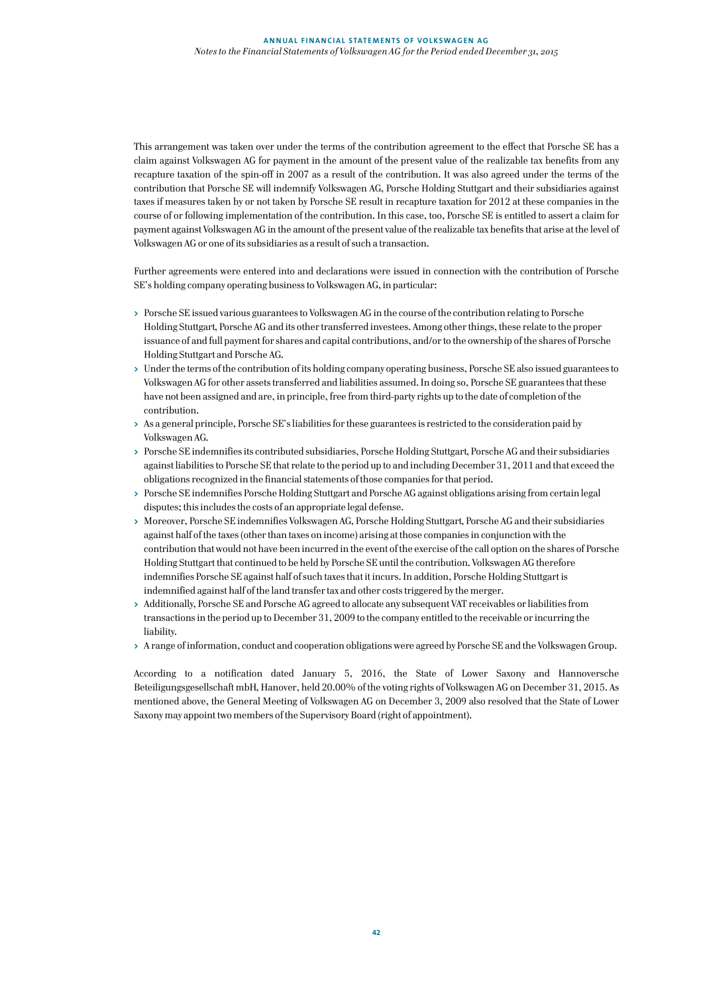This arrangement was taken over under the terms of the contribution agreement to the effect that Porsche SE has a claim against Volkswagen AG for payment in the amount of the present value of the realizable tax benefits from any recapture taxation of the spin-off in 2007 as a result of the contribution. It was also agreed under the terms of the contribution that Porsche SE will indemnify Volkswagen AG, Porsche Holding Stuttgart and their subsidiaries against taxes if measures taken by or not taken by Porsche SE result in recapture taxation for 2012 at these companies in the course of or following implementation of the contribution. In this case, too, Porsche SE is entitled to assert a claim for payment against Volkswagen AG in the amount of the present value of the realizable tax benefits that arise at the level of Volkswagen AG or one of its subsidiaries as a result of such a transaction.

Further agreements were entered into and declarations were issued in connection with the contribution of Porsche SE's holding company operating business to Volkswagen AG, in particular:

- **>** Porsche SE issued various guarantees to Volkswagen AG in the course of the contribution relating to Porsche Holding Stuttgart, Porsche AG and its other transferred investees. Among other things, these relate to the proper issuance of and full payment for shares and capital contributions, and/or to the ownership of the shares of Porsche Holding Stuttgart and Porsche AG.
- **>** Under the terms of the contribution of its holding company operating business, Porsche SE also issued guarantees to Volkswagen AG for other assets transferred and liabilities assumed. In doing so, Porsche SE guarantees that these have not been assigned and are, in principle, free from third-party rights up to the date of completion of the contribution.
- **>** As a general principle, Porsche SE's liabilities for these guarantees is restricted to the consideration paid by Volkswagen AG.
- **>** Porsche SE indemnifies its contributed subsidiaries, Porsche Holding Stuttgart, Porsche AG and their subsidiaries against liabilities to Porsche SE that relate to the period up to and including December 31, 2011 and that exceed the obligations recognized in the financial statements of those companies for that period.
- **>** Porsche SE indemnifies Porsche Holding Stuttgart and Porsche AG against obligations arising from certain legal disputes; this includes the costs of an appropriate legal defense.
- **>** Moreover, Porsche SE indemnifies Volkswagen AG, Porsche Holding Stuttgart, Porsche AG and their subsidiaries against half of the taxes (other than taxes on income) arising at those companies in conjunction with the contribution that would not have been incurred in the event of the exercise of the call option on the shares of Porsche Holding Stuttgart that continued to be held by Porsche SE until the contribution. Volkswagen AG therefore indemnifies Porsche SE against half of such taxes that it incurs. In addition, Porsche Holding Stuttgart is indemnified against half of the land transfer tax and other costs triggered by the merger.
- **>** Additionally, Porsche SE and Porsche AG agreed to allocate any subsequent VAT receivables or liabilities from transactions in the period up to December 31, 2009 to the company entitled to the receivable or incurring the liability.
- **>** A range of information, conduct and cooperation obligations were agreed by Porsche SE and the Volkswagen Group.

According to a notification dated January 5, 2016, the State of Lower Saxony and Hannoversche Beteiligungsgesellschaft mbH, Hanover, held 20.00% of the voting rights of Volkswagen AG on December 31, 2015. As mentioned above, the General Meeting of Volkswagen AG on December 3, 2009 also resolved that the State of Lower Saxony may appoint two members of the Supervisory Board (right of appointment).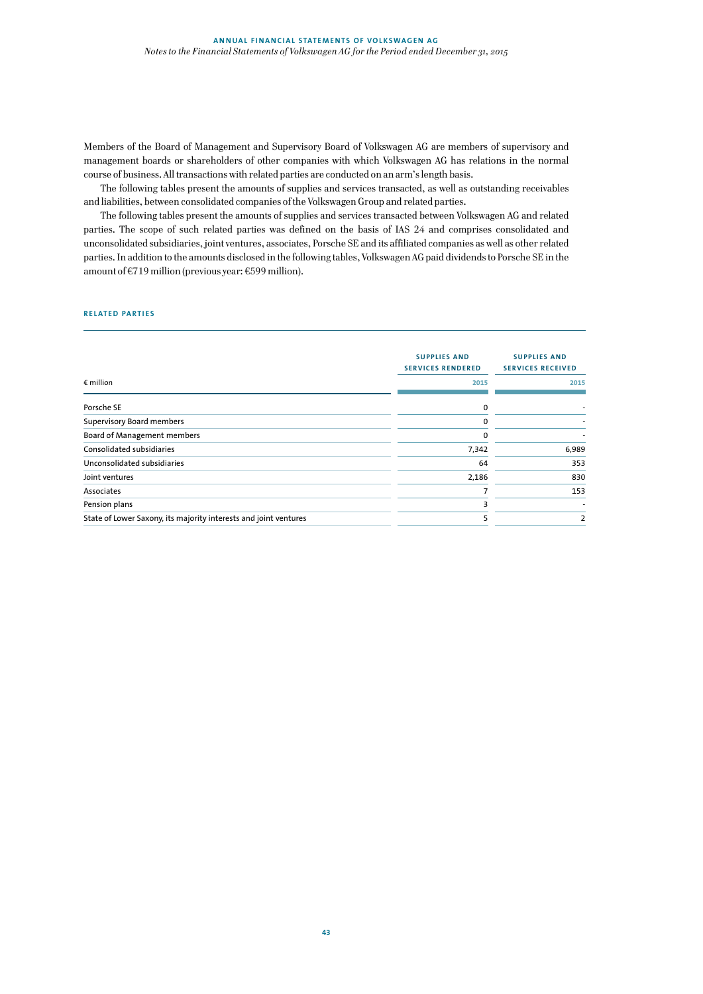Members of the Board of Management and Supervisory Board of Volkswagen AG are members of supervisory and management boards or shareholders of other companies with which Volkswagen AG has relations in the normal course of business. All transactions with related parties are conducted on an arm's length basis.

The following tables present the amounts of supplies and services transacted, as well as outstanding receivables and liabilities, between consolidated companies of the Volkswagen Group and related parties.

The following tables present the amounts of supplies and services transacted between Volkswagen AG and related parties. The scope of such related parties was defined on the basis of IAS 24 and comprises consolidated and unconsolidated subsidiaries, joint ventures, associates, Porsche SE and its affiliated companies as well as other related parties. In addition to the amounts disclosed in the following tables, Volkswagen AG paid dividends to Porsche SE in the amount of €719 million (previous year: €599 million).

#### **RELATED PARTIES**

|                                                                  | <b>SUPPLIES AND</b><br><b>SERVICES RENDERED</b> | <b>SUPPLIES AND</b><br><b>SERVICES RECEIVED</b> |
|------------------------------------------------------------------|-------------------------------------------------|-------------------------------------------------|
| $\epsilon$ million                                               | 2015                                            | 2015                                            |
| Porsche SE                                                       | 0                                               |                                                 |
| <b>Supervisory Board members</b>                                 | 0                                               |                                                 |
| Board of Management members                                      | $\Omega$                                        |                                                 |
| Consolidated subsidiaries                                        | 7,342                                           | 6,989                                           |
| Unconsolidated subsidiaries                                      | 64                                              | 353                                             |
| Joint ventures                                                   | 2,186                                           | 830                                             |
| Associates                                                       | 7                                               | 153                                             |
| Pension plans                                                    | 3                                               |                                                 |
| State of Lower Saxony, its majority interests and joint ventures | 5                                               | 2                                               |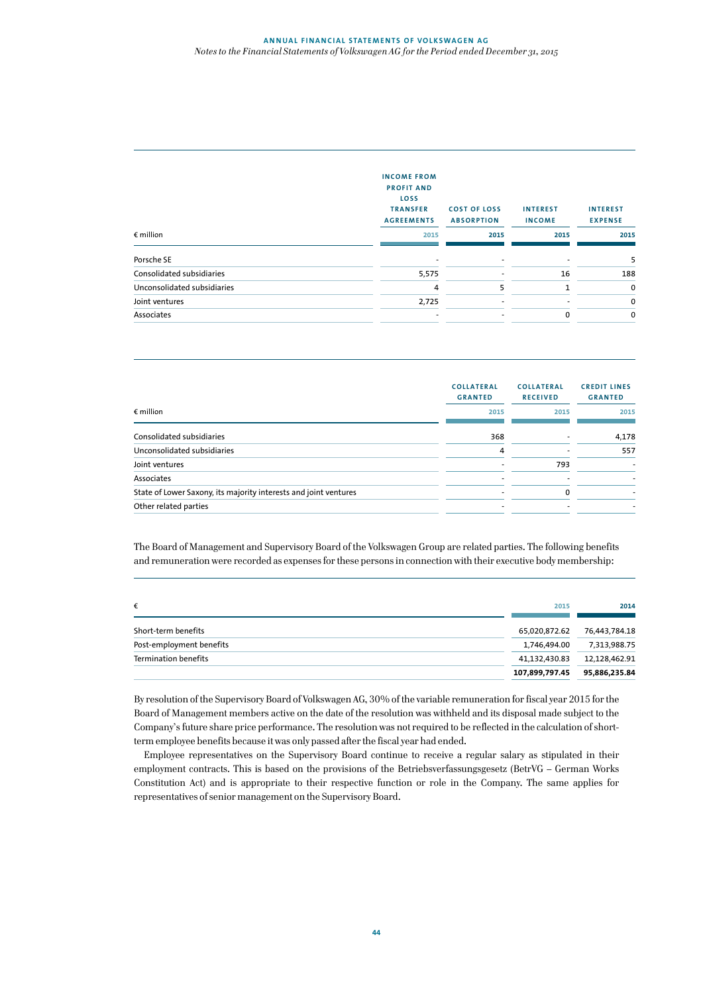## **ANNUAL FINANCIAL STATEMENTS OF VOLKSWAGEN AG** *Notes to the Financial Statements of Volkswagen AG for the Period ended December 31, 2015*

|                             | <b>INCOME FROM</b><br><b>PROFIT AND</b><br>LOSS<br><b>TRANSFER</b><br><b>AGREEMENTS</b> | <b>COST OF LOSS</b><br><b>ABSORPTION</b> | <b>INTEREST</b><br><b>INCOME</b> | <b>INTEREST</b><br><b>EXPENSE</b> |
|-----------------------------|-----------------------------------------------------------------------------------------|------------------------------------------|----------------------------------|-----------------------------------|
| $\epsilon$ million          | 2015                                                                                    | 2015                                     | 2015                             | 2015                              |
| Porsche SE                  |                                                                                         |                                          |                                  | 5                                 |
| Consolidated subsidiaries   | 5,575                                                                                   |                                          | 16                               | 188                               |
| Unconsolidated subsidiaries | 4                                                                                       | 5                                        | 1                                | 0                                 |
| Joint ventures              | 2,725                                                                                   |                                          |                                  | 0                                 |
| Associates                  |                                                                                         | ٠                                        | 0                                | 0                                 |

|                                                                  | <b>COLLATERAL</b><br><b>GRANTED</b> | <b>COLLATERAL</b><br><b>RECEIVED</b> | <b>CREDIT LINES</b><br><b>GRANTED</b> |
|------------------------------------------------------------------|-------------------------------------|--------------------------------------|---------------------------------------|
| $\epsilon$ million                                               | 2015                                | 2015                                 | 2015                                  |
| Consolidated subsidiaries                                        | 368                                 |                                      | 4,178                                 |
| Unconsolidated subsidiaries                                      | 4                                   |                                      | 557                                   |
| Joint ventures                                                   |                                     | 793                                  |                                       |
| Associates                                                       |                                     |                                      |                                       |
| State of Lower Saxony, its majority interests and joint ventures |                                     | 0                                    |                                       |
| Other related parties                                            | ٠                                   |                                      |                                       |
|                                                                  |                                     |                                      |                                       |

The Board of Management and Supervisory Board of the Volkswagen Group are related parties. The following benefits and remuneration were recorded as expenses for these persons in connection with their executive body membership:

| €                        | 2015           | 2014          |
|--------------------------|----------------|---------------|
| Short-term benefits      | 65.020.872.62  | 76.443.784.18 |
| Post-employment benefits | 1.746.494.00   | 7,313,988.75  |
| Termination benefits     | 41,132,430.83  | 12,128,462.91 |
|                          | 107,899,797.45 | 95,886,235.84 |

By resolution of the Supervisory Board of Volkswagen AG, 30% of the variable remuneration for fiscal year 2015 for the Board of Management members active on the date of the resolution was withheld and its disposal made subject to the Company's future share price performance. The resolution was not required to be reflected in the calculation of shortterm employee benefits because it was only passed after the fiscal year had ended.

 Employee representatives on the Supervisory Board continue to receive a regular salary as stipulated in their employment contracts. This is based on the provisions of the Betriebsverfassungsgesetz (BetrVG – German Works Constitution Act) and is appropriate to their respective function or role in the Company. The same applies for representatives of senior management on the Supervisory Board.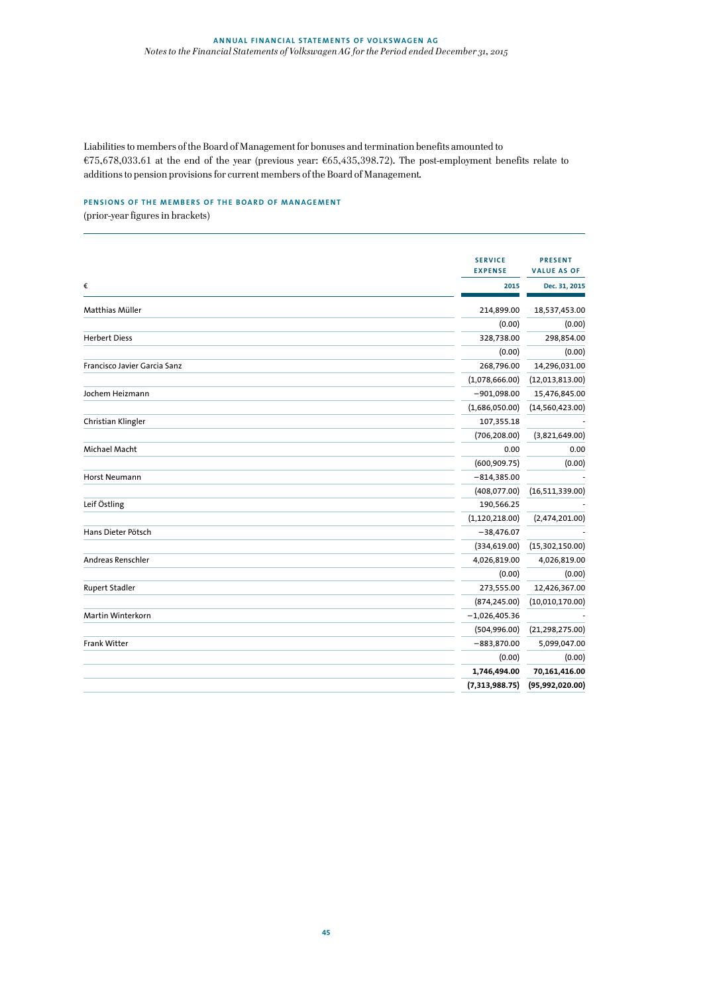Liabilities to members of the Board of Management for bonuses and termination benefits amounted to €75,678,033.61 at the end of the year (previous year: €65,435,398.72). The post-employment benefits relate to additions to pension provisions for current members of the Board of Management.

# **PENSIONS OF THE MEMBERS OF THE BOARD OF MANAGEMENT**

(prior-year figures in brackets)

|                              | <b>SERVICE</b>   | <b>PRESENT</b>     |
|------------------------------|------------------|--------------------|
|                              | <b>EXPENSE</b>   | <b>VALUE AS OF</b> |
| €                            | 2015             | Dec. 31, 2015      |
| Matthias Müller              | 214,899.00       | 18,537,453.00      |
|                              | (0.00)           | (0.00)             |
| <b>Herbert Diess</b>         | 328,738.00       | 298,854.00         |
|                              | (0.00)           | (0.00)             |
| Francisco Javier Garcia Sanz | 268,796.00       | 14,296,031.00      |
|                              | (1,078,666.00)   | (12,013,813.00)    |
| Jochem Heizmann              | $-901,098.00$    | 15,476,845.00      |
|                              | (1,686,050.00)   | (14,560,423.00)    |
| Christian Klingler           | 107,355.18       |                    |
|                              | (706, 208.00)    | (3,821,649.00)     |
| Michael Macht                | 0.00             | 0.00               |
|                              | (600, 909.75)    | (0.00)             |
| Horst Neumann                | $-814,385.00$    |                    |
|                              | (408, 077.00)    | (16,511,339.00)    |
| Leif Östling                 | 190,566.25       |                    |
|                              | (1, 120, 218.00) | (2,474,201.00)     |
| Hans Dieter Pötsch           | $-38,476.07$     |                    |
|                              | (334, 619.00)    | (15,302,150.00)    |
| Andreas Renschler            | 4,026,819.00     | 4,026,819.00       |
|                              | (0.00)           | (0.00)             |
| <b>Rupert Stadler</b>        | 273,555.00       | 12,426,367.00      |
|                              | (874, 245.00)    | (10,010,170.00)    |
| <b>Martin Winterkorn</b>     | $-1,026,405.36$  |                    |
|                              | (504, 996.00)    | (21, 298, 275.00)  |
| <b>Frank Witter</b>          | $-883,870.00$    | 5,099,047.00       |
|                              | (0.00)           | (0.00)             |
|                              | 1,746,494.00     | 70,161,416.00      |
|                              | (7,313,988.75)   | (95, 992, 020.00)  |
|                              |                  |                    |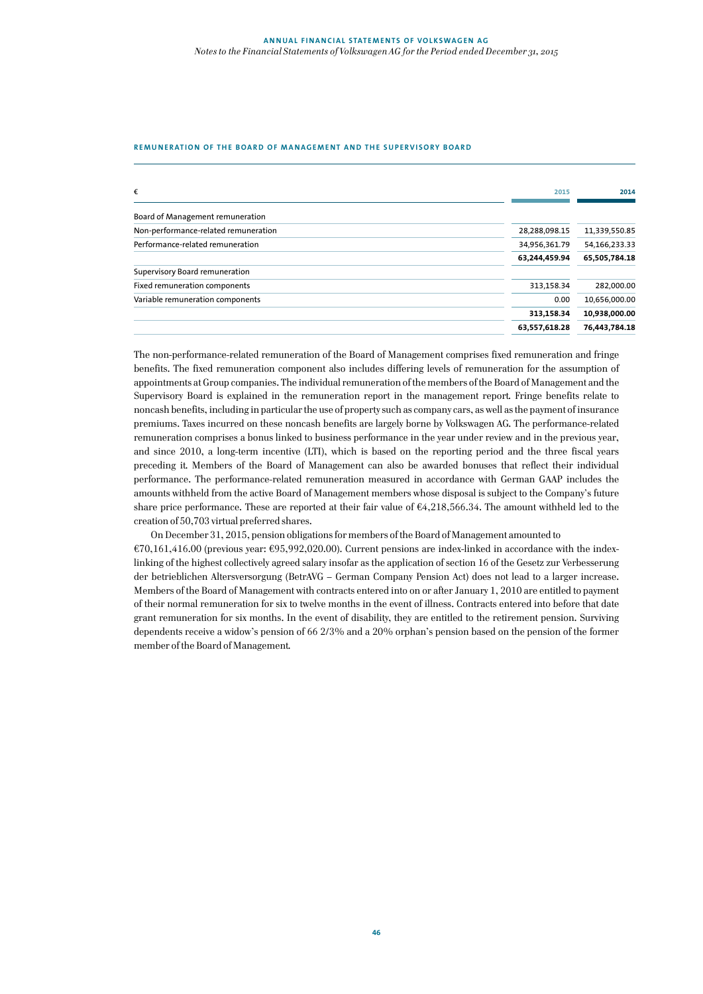## **REMUNERATION OF THE BOARD OF MANAGEMENT AND THE SUPERVISORY BOARD**

| €                                    | 2015          | 2014          |
|--------------------------------------|---------------|---------------|
| Board of Management remuneration     |               |               |
| Non-performance-related remuneration | 28,288,098.15 | 11,339,550.85 |
| Performance-related remuneration     | 34,956,361.79 | 54,166,233.33 |
|                                      | 63,244,459.94 | 65,505,784.18 |
| Supervisory Board remuneration       |               |               |
| Fixed remuneration components        | 313,158.34    | 282,000.00    |
| Variable remuneration components     | 0.00          | 10,656,000.00 |
|                                      | 313,158.34    | 10,938,000.00 |
|                                      | 63,557,618.28 | 76,443,784.18 |

The non-performance-related remuneration of the Board of Management comprises fixed remuneration and fringe benefits. The fixed remuneration component also includes differing levels of remuneration for the assumption of appointments at Group companies. The individual remuneration of the members of the Board of Management and the Supervisory Board is explained in the remuneration report in the management report. Fringe benefits relate to noncash benefits, including in particular the use of property such as company cars, as well as the payment of insurance premiums. Taxes incurred on these noncash benefits are largely borne by Volkswagen AG. The performance-related remuneration comprises a bonus linked to business performance in the year under review and in the previous year, and since 2010, a long-term incentive (LTI), which is based on the reporting period and the three fiscal years preceding it. Members of the Board of Management can also be awarded bonuses that reflect their individual performance. The performance-related remuneration measured in accordance with German GAAP includes the amounts withheld from the active Board of Management members whose disposal is subject to the Company's future share price performance. These are reported at their fair value of  $64,218,566.34$ . The amount withheld led to the creation of 50,703 virtual preferred shares.

On December 31, 2015, pension obligations for members of the Board of Management amounted to €70,161,416.00 (previous year: €95,992,020.00). Current pensions are index-linked in accordance with the indexlinking of the highest collectively agreed salary insofar as the application of section 16 of the Gesetz zur Verbesserung der betrieblichen Altersversorgung (BetrAVG – German Company Pension Act) does not lead to a larger increase. Members of the Board of Management with contracts entered into on or after January 1, 2010 are entitled to payment of their normal remuneration for six to twelve months in the event of illness. Contracts entered into before that date grant remuneration for six months. In the event of disability, they are entitled to the retirement pension. Surviving dependents receive a widow's pension of 66 2/3% and a 20% orphan's pension based on the pension of the former member of the Board of Management.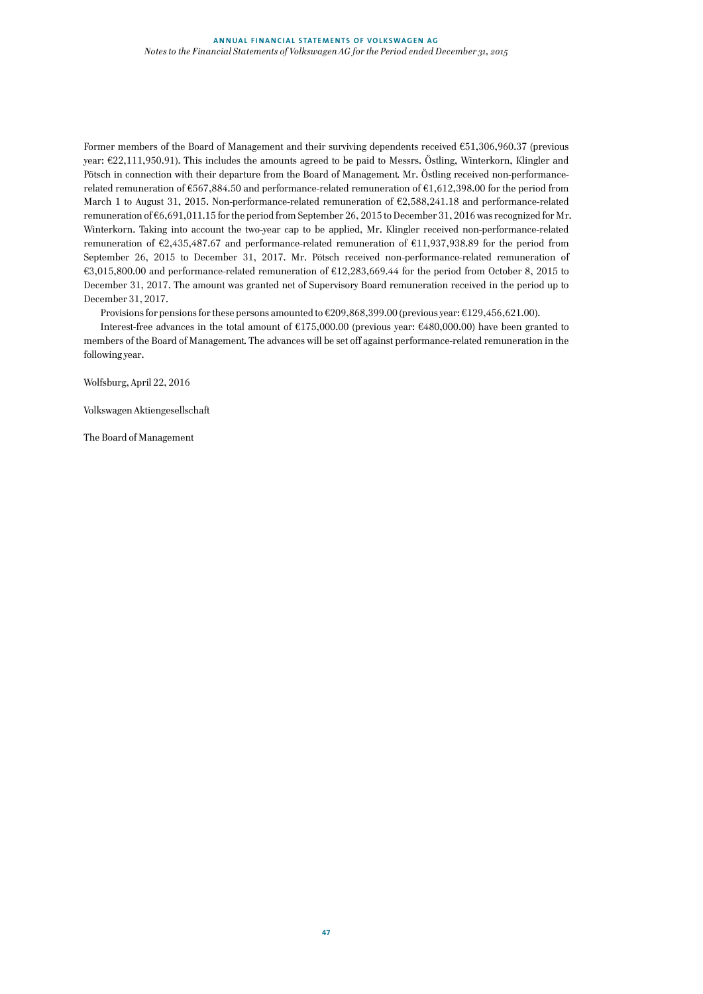Former members of the Board of Management and their surviving dependents received €51,306,960.37 (previous year: €22,111,950.91). This includes the amounts agreed to be paid to Messrs. Östling, Winterkorn, Klingler and Pötsch in connection with their departure from the Board of Management. Mr. Östling received non-performancerelated remuneration of €567,884.50 and performance-related remuneration of €1,612,398.00 for the period from March 1 to August 31, 2015. Non-performance-related remuneration of €2,588,241.18 and performance-related remuneration of €6,691,011.15 for the period from September 26, 2015 to December 31, 2016 was recognized for Mr. Winterkorn. Taking into account the two-year cap to be applied, Mr. Klingler received non-performance-related remuneration of €2,435,487.67 and performance-related remuneration of €11,937,938.89 for the period from September 26, 2015 to December 31, 2017. Mr. Pötsch received non-performance-related remuneration of €3,015,800.00 and performance-related remuneration of €12,283,669.44 for the period from October 8, 2015 to December 31, 2017. The amount was granted net of Supervisory Board remuneration received in the period up to December 31, 2017.

Provisions for pensions for these persons amounted to €209,868,399.00 (previous year: €129,456,621.00).

Interest-free advances in the total amount of €175,000.00 (previous year: €480,000.00) have been granted to members of the Board of Management. The advances will be set off against performance-related remuneration in the following year.

Wolfsburg, April 22, 2016

Volkswagen Aktiengesellschaft

The Board of Management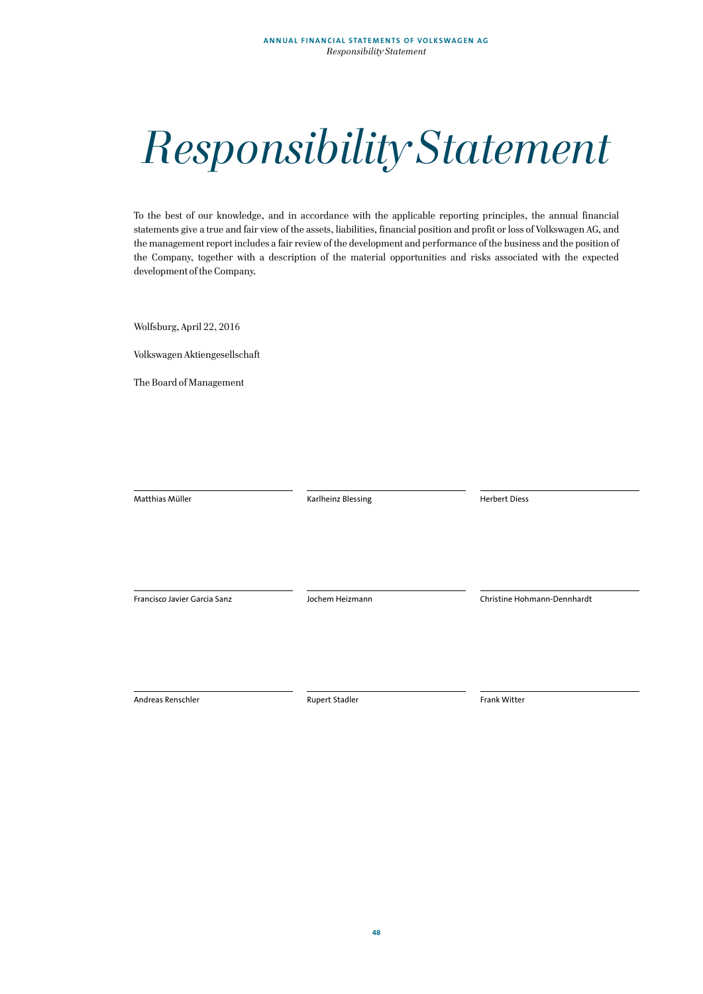# *Responsibility Statement*

To the best of our knowledge, and in accordance with the applicable reporting principles, the annual financial statements give a true and fair view of the assets, liabilities, financial position and profit or loss of Volkswagen AG, and the management report includes a fair review of the development and performance of the business and the position of the Company, together with a description of the material opportunities and risks associated with the expected development of the Company.

Wolfsburg, April 22, 2016

Volkswagen Aktiengesellschaft

The Board of Management

| Matthias Müller              | Karlheinz Blessing    | <b>Herbert Diess</b>        |
|------------------------------|-----------------------|-----------------------------|
|                              |                       |                             |
|                              |                       |                             |
|                              |                       |                             |
|                              |                       |                             |
|                              |                       |                             |
|                              |                       |                             |
|                              |                       |                             |
|                              |                       |                             |
| Francisco Javier Garcia Sanz | Jochem Heizmann       | Christine Hohmann-Dennhardt |
|                              |                       |                             |
|                              |                       |                             |
|                              |                       |                             |
|                              |                       |                             |
|                              |                       |                             |
|                              |                       |                             |
|                              |                       |                             |
| Andreas Renschler            | <b>Rupert Stadler</b> | Frank Witter                |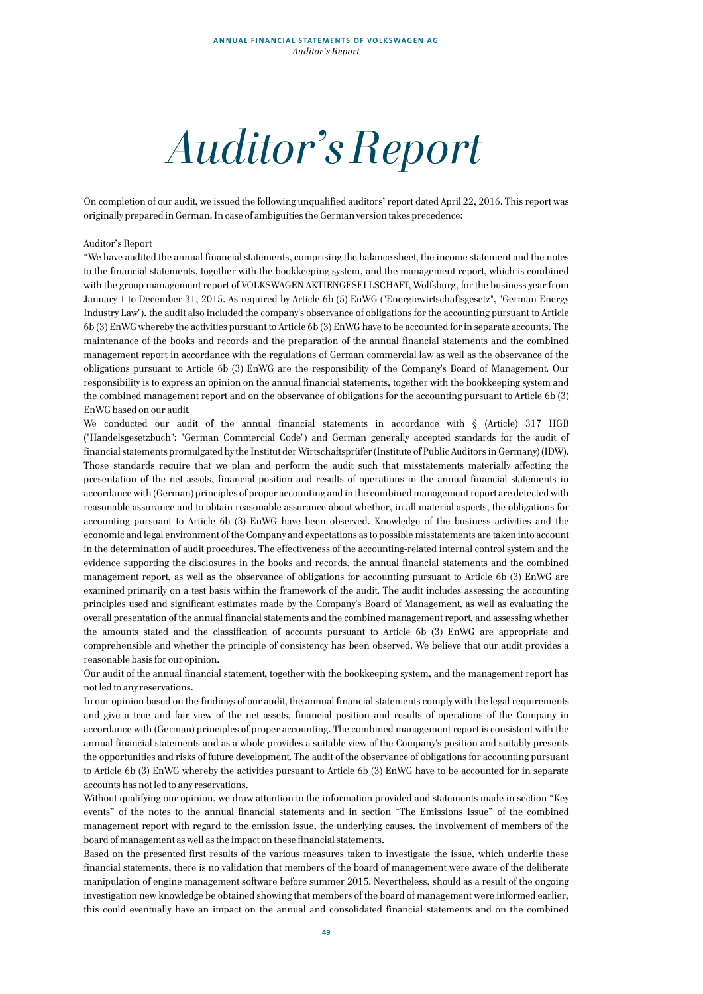*Auditor's Report*

On completion of our audit, we issued the following unqualified auditors' report dated April 22, 2016. This report was originally prepared in German. In case of ambiguities the German version takes precedence:

#### Auditor's Report

"We have audited the annual financial statements, comprising the balance sheet, the income statement and the notes to the financial statements, together with the bookkeeping system, and the management report, which is combined with the group management report of VOLKSWAGEN AKTIENGESELLSCHAFT, Wolfsburg, for the business year from January 1 to December 31, 2015. As required by Article 6b (5) EnWG ("Energiewirtschaftsgesetz", "German Energy Industry Law"), the audit also included the company's observance of obligations for the accounting pursuant to Article 6b (3) EnWG whereby the activities pursuant to Article 6b (3) EnWG have to be accounted for in separate accounts. The maintenance of the books and records and the preparation of the annual financial statements and the combined management report in accordance with the regulations of German commercial law as well as the observance of the obligations pursuant to Article 6b (3) EnWG are the responsibility of the Company's Board of Management. Our responsibility is to express an opinion on the annual financial statements, together with the bookkeeping system and the combined management report and on the observance of obligations for the accounting pursuant to Article 6b (3) EnWG based on our audit.

We conducted our audit of the annual financial statements in accordance with § (Article) 317 HGB ("Handelsgesetzbuch": "German Commercial Code") and German generally accepted standards for the audit of financial statements promulgated by the Institut der Wirtschaftsprüfer (Institute of Public Auditors in Germany) (IDW). Those standards require that we plan and perform the audit such that misstatements materially affecting the presentation of the net assets, financial position and results of operations in the annual financial statements in accordance with (German) principles of proper accounting and in the combined management report are detected with reasonable assurance and to obtain reasonable assurance about whether, in all material aspects, the obligations for accounting pursuant to Article 6b (3) EnWG have been observed. Knowledge of the business activities and the economic and legal environment of the Company and expectations as to possible misstatements are taken into account in the determination of audit procedures. The effectiveness of the accounting-related internal control system and the evidence supporting the disclosures in the books and records, the annual financial statements and the combined management report, as well as the observance of obligations for accounting pursuant to Article 6b (3) EnWG are examined primarily on a test basis within the framework of the audit. The audit includes assessing the accounting principles used and significant estimates made by the Company's Board of Management, as well as evaluating the overall presentation of the annual financial statements and the combined management report, and assessing whether the amounts stated and the classification of accounts pursuant to Article 6b (3) EnWG are appropriate and comprehensible and whether the principle of consistency has been observed. We believe that our audit provides a reasonable basis for our opinion.

Our audit of the annual financial statement, together with the bookkeeping system, and the management report has not led to any reservations.

In our opinion based on the findings of our audit, the annual financial statements comply with the legal requirements and give a true and fair view of the net assets, financial position and results of operations of the Company in accordance with (German) principles of proper accounting. The combined management report is consistent with the annual financial statements and as a whole provides a suitable view of the Company's position and suitably presents the opportunities and risks of future development. The audit of the observance of obligations for accounting pursuant to Article 6b (3) EnWG whereby the activities pursuant to Article 6b (3) EnWG have to be accounted for in separate accounts has not led to any reservations.

Without qualifying our opinion, we draw attention to the information provided and statements made in section "Key events" of the notes to the annual financial statements and in section "The Emissions Issue" of the combined management report with regard to the emission issue, the underlying causes, the involvement of members of the board of management as well as the impact on these financial statements.

Based on the presented first results of the various measures taken to investigate the issue, which underlie these financial statements, there is no validation that members of the board of management were aware of the deliberate manipulation of engine management software before summer 2015. Nevertheless, should as a result of the ongoing investigation new knowledge be obtained showing that members of the board of management were informed earlier, this could eventually have an impact on the annual and consolidated financial statements and on the combined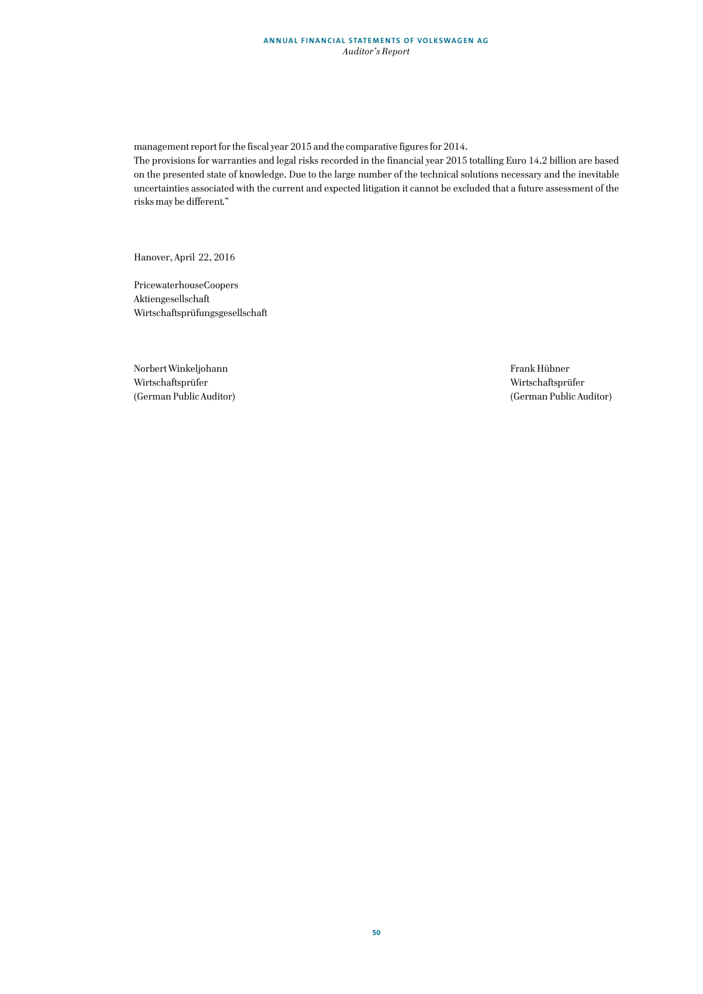## **ANNUAL FINANCIAL STATEMENTS OF VOLKSWAGEN AG** *Auditor's Report*

management report for the fiscal year 2015 and the comparative figures for 2014.

The provisions for warranties and legal risks recorded in the financial year 2015 totalling Euro 14.2 billion are based on the presented state of knowledge. Due to the large number of the technical solutions necessary and the inevitable uncertainties associated with the current and expected litigation it cannot be excluded that a future assessment of the risks may be different."

Hanover, April 22, 2016

PricewaterhouseCoopers Aktiengesellschaft Wirtschaftsprüfungsgesellschaft

Norbert Winkeljohann Frank Hübner Wirtschaftsprüfer Wirtschaftsprüfer (German Public Auditor) (German Public Auditor)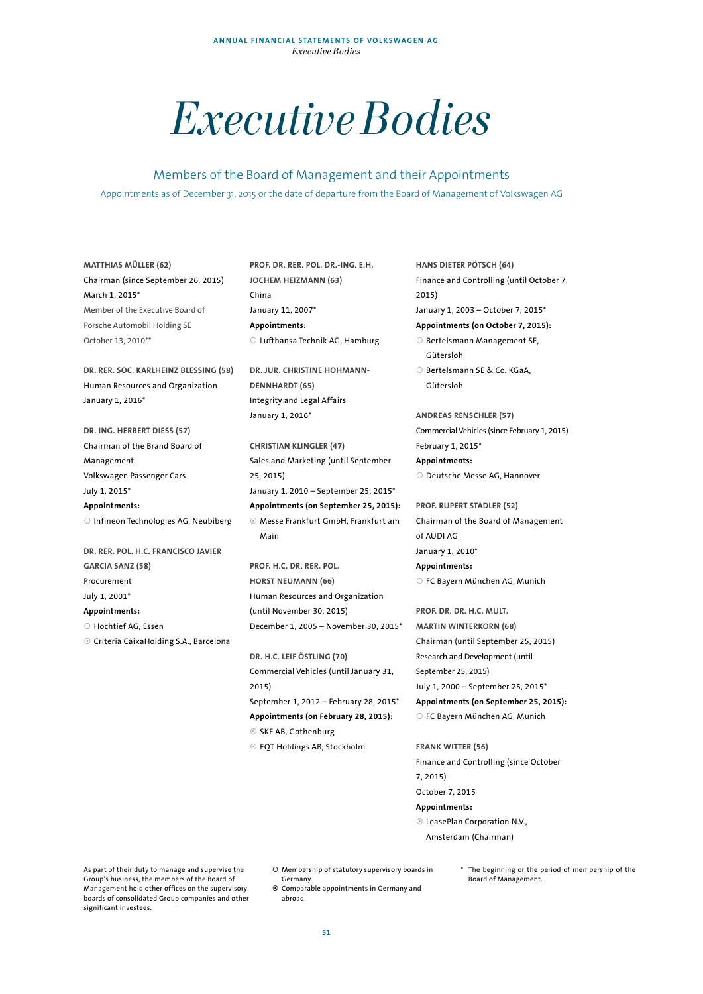# *Executive Bodies*

Members of the Board of Management and their Appointments Appointments as of December 31, 2015 or the date of departure from the Board of Management of Volkswagen AG

**MATTHIAS MÜLLER (62)**  Chairman (since September 26, 2015) March 1, 2015\* Member of the Executive Board of Porsche Automobil Holding SE October 13, 2010\***\***

**DR. RER. SOC. KARLHEINZ BLESSING (58)**  Human Resources and Organization January 1, 2016\*

**DR. ING. HERBERT DIESS (57)**  Chairman of the Brand Board of Management Volkswagen Passenger Cars July 1, 2015\* **Appointments:**  O Infineon Technologies AG, Neubiberg

**DR. RER. POL. H.C. FRANCISCO JAVIER GARCIA SANZ (58)**  Procurement July 1, 2001\* **Appointments:**  O Hochtief AG, Essen

Criteria CaixaHolding S.A., Barcelona

**PROF. DR. RER. POL. DR.-ING. E.H. JOCHEM HEIZMANN (63)**  China January 11, 2007\* **Appointments:**  Lufthansa Technik AG, Hamburg

**DR. JUR. CHRISTINE HOHMANN-DENNHARDT (65)**  Integrity and Legal Affairs January 1, 2016\*

**CHRISTIAN KLINGLER (47)**  Sales and Marketing (until September 25, 2015) January 1, 2010 – September 25, 2015\* **Appointments (on September 25, 2015):**  Messe Frankfurt GmbH, Frankfurt am Main

**PROF. H.C. DR. RER. POL. HORST NEUMANN (66)**  Human Resources and Organization (until November 30, 2015) December 1, 2005 – November 30, 2015\*

**DR. H.C. LEIF ÖSTLING (70)**  Commercial Vehicles (until January 31, 2015) September 1, 2012 – February 28, 2015\* **Appointments (on February 28, 2015):**  <sup>⊙</sup> SKF AB, Gothenburg EQT Holdings AB, Stockholm

**HANS DIETER PÖTSCH (64)**  Finance and Controlling (until October 7, 2015) January 1, 2003 – October 7, 2015\* **Appointments (on October 7, 2015):** 

O Bertelsmann Management SE, Gütersloh

O Bertelsmann SE & Co. KGaA, Gütersloh

**ANDREAS RENSCHLER (57)**  Commercial Vehicles (since February 1, 2015) February 1, 2015\* **Appointments:**  O Deutsche Messe AG, Hannover

**PROF. RUPERT STADLER (52)**  Chairman of the Board of Management of AUDI AG January 1, 2010\* **Appointments:**  FC Bayern München AG, Munich

**PROF. DR. DR. H.C. MULT. MARTIN WINTERKORN (68)**  Chairman (until September 25, 2015) Research and Development (until September 25, 2015) July 1, 2000 – September 25, 2015\* **Appointments (on September 25, 2015):**  FC Bayern München AG, Munich

**FRANK WITTER (56)**  Finance and Controlling (since October 7, 2015) October 7, 2015 **Appointments:** 

 LeasePlan Corporation N.V., Amsterdam (Chairman)

As part of their duty to manage and supervise the Group's business, the members of the Board of Management hold other offices on the supervisory boards of consolidated Group companies and other significant investees.

O Membership of statutory supervisory boards in Germany.

 Comparable appointments in Germany and abroad.

\* The beginning or the period of membership of the Board of Management.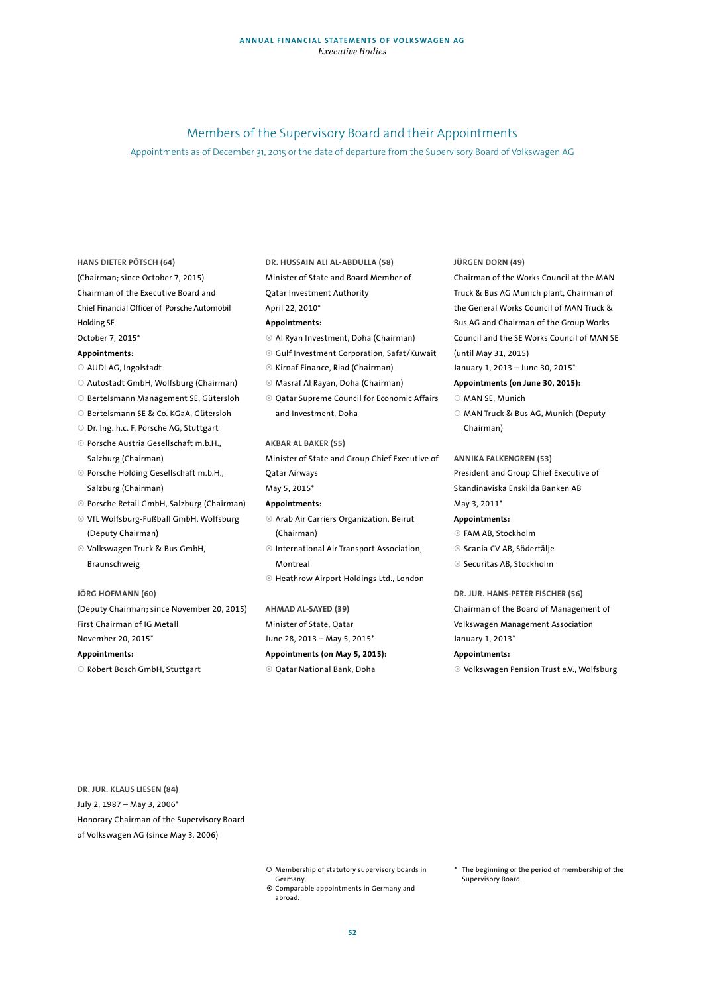# Members of the Supervisory Board and their Appointments

Appointments as of December 31, 2015 or the date of departure from the Supervisory Board of Volkswagen AG

#### **HANS DIETER PÖTSCH (64)**

(Chairman; since October 7, 2015) Chairman of the Executive Board and

- Chief Financial Officer of Porsche Automobil Holding SE
- October 7, 2015\*

#### **Appointments:**

- AUDI AG, Ingolstadt
- Autostadt GmbH, Wolfsburg (Chairman)
- O Bertelsmann Management SE, Gütersloh
- O Bertelsmann SE & Co. KGaA, Gütersloh
- O Dr. Ing. h.c. F. Porsche AG, Stuttgart
- Porsche Austria Gesellschaft m.b.H., Salzburg (Chairman)
- Porsche Holding Gesellschaft m.b.H., Salzburg (Chairman)
- Porsche Retail GmbH, Salzburg (Chairman)
- VfL Wolfsburg-Fußball GmbH, Wolfsburg (Deputy Chairman)
- Volkswagen Truck & Bus GmbH, Braunschweig

# **JÖRG HOFMANN (60)**

(Deputy Chairman; since November 20, 2015) First Chairman of IG Metall November 20, 2015\* **Appointments:** 

# O Robert Bosch GmbH, Stuttgart

# **DR. HUSSAIN ALI AL-ABDULLA (58)**

- Minister of State and Board Member of
- Qatar Investment Authority
- April 22, 2010\*

#### **Appointments:**

- Al Ryan Investment, Doha (Chairman)
- Gulf Investment Corporation, Safat/Kuwait
- Kirnaf Finance, Riad (Chairman)
- Masraf Al Rayan, Doha (Chairman)
- Qatar Supreme Council for Economic Affairs and Investment, Doha

#### **AKBAR AL BAKER (55)**

Minister of State and Group Chief Executive of Qatar Airways May 5, 2015\*

#### **Appointments:**

- Arab Air Carriers Organization, Beirut (Chairman)
- International Air Transport Association, Montreal
- Heathrow Airport Holdings Ltd., London

#### **AHMAD AL-SAYED (39)**

- Minister of State, Qatar
- June 28, 2013 May 5, 2015\*
- **Appointments (on May 5, 2015):**
- Qatar National Bank, Doha

#### **JÜRGEN DORN (49)**

Chairman of the Works Council at the MAN Truck & Bus AG Munich plant, Chairman of the General Works Council of MAN Truck & Bus AG and Chairman of the Group Works Council and the SE Works Council of MAN SE (until May 31, 2015)

# January 1, 2013 – June 30, 2015\*

# **Appointments (on June 30, 2015):**

- O MAN SE, Munich
- O MAN Truck & Bus AG, Munich (Deputy Chairman)

## **ANNIKA FALKENGREN (53)**

President and Group Chief Executive of Skandinaviska Enskilda Banken AB

# May 3, 2011\*

#### **Appointments:**

- FAM AB, Stockholm
- <sup>⊙</sup> Scania CV AB, Södertälje
- ◎ Securitas AB, Stockholm

# **DR. JUR. HANS-PETER FISCHER (56)**  Chairman of the Board of Management of Volkswagen Management Association

January 1, 2013\*

#### **Appointments:**

Volkswagen Pension Trust e.V., Wolfsburg

**DR. JUR. KLAUS LIESEN (84)**  July 2, 1987 – May 3, 2006\* Honorary Chairman of the Supervisory Board of Volkswagen AG (since May 3, 2006)

- O Membership of statutory supervisory boards in Germany.
- Comparable appointments in Germany and abroad.
- \* The beginning or the period of membership of the Supervisory Board.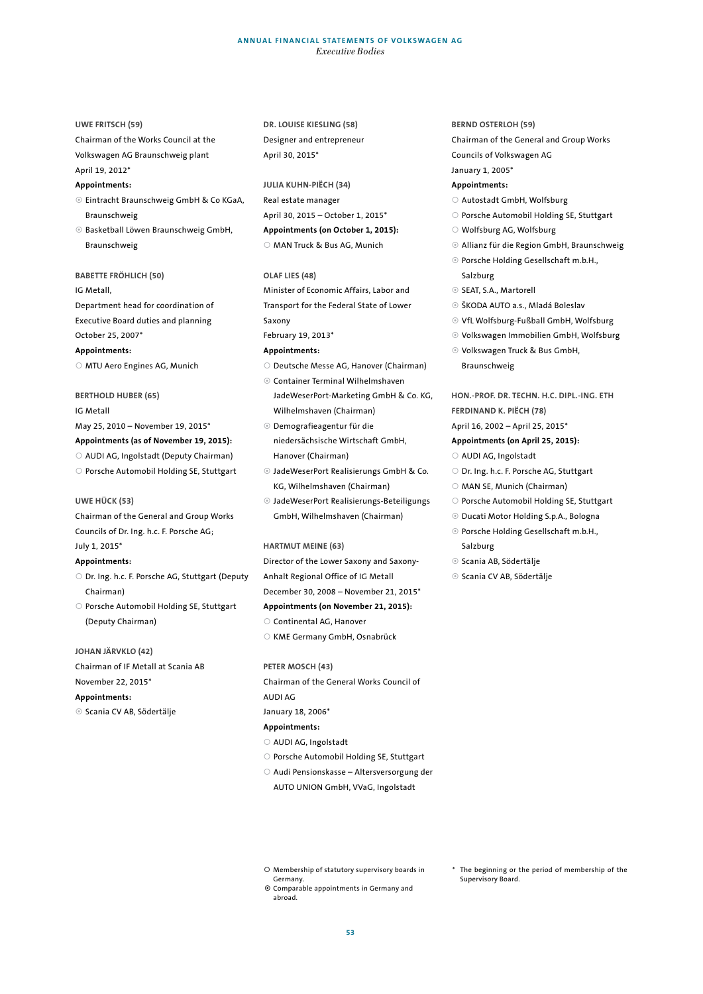#### **ANNUAL FINANCIAL STATEMENTS OF VOLKSWAGEN AG** *Executive Bodies*

#### **UWE FRITSCH (59)**

Chairman of the Works Council at the Volkswagen AG Braunschweig plant

# April 19, 2012\*

# **Appointments:**

- Eintracht Braunschweig GmbH & Co KGaA, Braunschweig
- Basketball Löwen Braunschweig GmbH, Braunschweig

#### **BABETTE FRÖHLICH (50)**

IG Metall,

Department head for coordination of Executive Board duties and planning October 25, 2007\*

#### **Appointments:**

O MTU Aero Engines AG, Munich

# **BERTHOLD HUBER (65)**

#### IG Metall

May 25, 2010 – November 19, 2015\* **Appointments (as of November 19, 2015):** 

- AUDI AG, Ingolstadt (Deputy Chairman)
- O Porsche Automobil Holding SE, Stuttgart

## **UWE HÜCK (53)**

Chairman of the General and Group Works Councils of Dr. Ing. h.c. F. Porsche AG;

# July 1, 2015\*

# **Appointments:**

- O Dr. Ing. h.c. F. Porsche AG, Stuttgart (Deputy Chairman)
- O Porsche Automobil Holding SE, Stuttgart (Deputy Chairman)

## **JOHAN JÄRVKLO (42)**

Chairman of IF Metall at Scania AB November 22, 2015\*

# **Appointments:**

Scania CV AB, Södertälje

# **DR. LOUISE KIESLING (58)**  Designer and entrepreneur April 30, 2015\*

# **JULIA KUHN-PIËCH (34)**  Real estate manager

April 30, 2015 – October 1, 2015\* **Appointments (on October 1, 2015):** 

# MAN Truck & Bus AG, Munich

#### **OLAF LIES (48)**

Minister of Economic Affairs, Labor and Transport for the Federal State of Lower Saxony

February 19, 2013\*

#### **Appointments:**

- O Deutsche Messe AG, Hanover (Chairman)
- Container Terminal Wilhelmshaven JadeWeserPort-Marketing GmbH & Co. KG, Wilhelmshaven (Chairman)
- Demografieagentur für die niedersächsische Wirtschaft GmbH, Hanover (Chairman)
- JadeWeserPort Realisierungs GmbH & Co. KG, Wilhelmshaven (Chairman)
- JadeWeserPort Realisierungs-Beteiligungs GmbH, Wilhelmshaven (Chairman)

#### **HARTMUT MEINE (63)**

Director of the Lower Saxony and Saxony-Anhalt Regional Office of IG Metall December 30, 2008 – November 21, 2015\* **Appointments (on November 21, 2015):**  O Continental AG, Hanover

KME Germany GmbH, Osnabrück

#### **PETER MOSCH (43)**

Chairman of the General Works Council of AUDI AG

January 18, 2006\*

#### **Appointments:**

- AUDI AG, Ingolstadt
- O Porsche Automobil Holding SE, Stuttgart
- Audi Pensionskasse Altersversorgung der AUTO UNION GmbH, VVaG, Ingolstadt

# **BERND OSTERLOH (59)**

Chairman of the General and Group Works Councils of Volkswagen AG

January 1, 2005\*

#### **Appointments:**

- Autostadt GmbH, Wolfsburg
- O Porsche Automobil Holding SE, Stuttgart
- Wolfsburg AG, Wolfsburg
- Allianz für die Region GmbH, Braunschweig
- Porsche Holding Gesellschaft m.b.H., Salzburg
- SEAT, S.A., Martorell
- ŠKODA AUTO a.s., Mladá Boleslav
- VfL Wolfsburg-Fußball GmbH, Wolfsburg
- Volkswagen Immobilien GmbH, Wolfsburg
- Volkswagen Truck & Bus GmbH, Braunschweig

**HON.-PROF. DR. TECHN. H.C. DIPL.-ING. ETH FERDINAND K. PIËCH (78)** 

#### April 16, 2002 – April 25, 2015\*

#### **Appointments (on April 25, 2015):**

- AUDI AG, Ingolstadt
- O Dr. Ing. h.c. F. Porsche AG, Stuttgart
- MAN SE, Munich (Chairman)
- O Porsche Automobil Holding SE, Stuttgart
- Ducati Motor Holding S.p.A., Bologna
- Porsche Holding Gesellschaft m.b.H., Salzburg
- <sup>⊙</sup> Scania AB, Södertälje
- <sup>●</sup> Scania CV AB, Södertälje

- Membership of statutory supervisory boards in Germany. Comparable appointments in Germany and
- abroad.
- The beginning or the period of membership of the Supervisory Board.